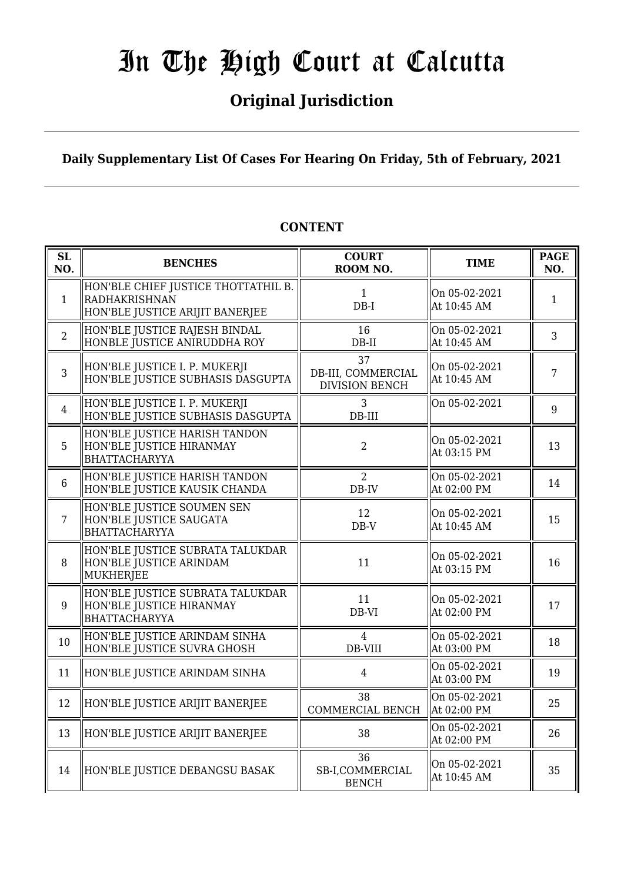### **Original Jurisdiction**

### **Daily Supplementary List Of Cases For Hearing On Friday, 5th of February, 2021**

#### **SL SL BENCHES COURT**<br> **NO. BENCHES COURT ROOM NO. TIME PAGE**<br>**ROOM NO. TIME PAGE NO.** 1 HON'BLE CHIEF JUSTICE THOTTATHIL B. RADHAKRISHNAN HON'BLE JUSTICE ARIJIT BANERJEE 1 DB-I On 05-02-2021 At  $10:45$  AM 1 2 HON'BLE JUSTICE RAJESH BINDAL HONBLE JUSTICE ANIRUDDHA ROY 16 DB-II On 05-02-2021  $\begin{array}{|c|c|c|c|c|} \hline \text{Un 03-02-2021} & & 3 \\ \text{At 10:45 AM} & & 3 \\ \hline \end{array}$ 3 HON'BLE JUSTICE I. P. MUKERJI HON'BLE JUSTICE SUBHASIS DASGUPTA 37 DB-III, COMMERCIAL DIVISION BENCH On 05-02-2021  $\begin{array}{c|c}\n\text{On 03-02-2021} \\
\text{At 10:45 AM}\n\end{array}$  7 4 HON'BLE JUSTICE I. P. MUKERJI HON'BLE JUSTICE SUBHASIS DASGUPTA 3 DB-III  $\begin{vmatrix} 0n & 05-02-2021 & \ & 9 \end{vmatrix}$ 5 HON'BLE JUSTICE HARISH TANDON HON'BLE JUSTICE HIRANMAY BHATTACHARYYA 2 On 05-02-2021 At 03:15 PM  $\begin{array}{|l|} \hline 13 \end{array}$ 6 HON'BLE JUSTICE HARISH TANDON HON'BLE JUSTICE KAUSIK CHANDA  $\overline{2}$ DB-IV On 05-02-2021  $\begin{array}{|c|c|c|c|c|c|c|} \hline \text{Out 03-02-2021} & & 14 \ \text{At 02:00 PM} & & 14 \hline \end{array}$ 7 HON'BLE JUSTICE SOUMEN SEN HON'BLE JUSTICE SAUGATA BHATTACHARYYA 12 DB-V On 05-02-2021  $\begin{array}{|c|c|c|c|c|}\n\hline\n\text{At 10:45 AM} & & 15\n\end{array}$ 8 HON'BLE JUSTICE SUBRATA TALUKDAR HON'BLE JUSTICE ARINDAM MUKHERJEE  $\begin{array}{ccc} \n 11 & & \text{on } 05-02-2021 \\
 \n \text{On } 05-02-2021\n \end{array}$  $\begin{array}{|c|c|c|c|c|c|} \hline \text{At 03:15 PM} & & 16 \hline \end{array}$  $\mathbf{q}$ HON'BLE JUSTICE SUBRATA TALUKDAR HON'BLE JUSTICE HIRANMAY BHATTACHARYYA 11 DB-VI On 05-02-2021 On 05-02-2021  $\left| \begin{array}{c} 17 \\ 17 \end{array} \right|$ 10 HON'BLE JUSTICE ARINDAM SINHA HON'BLE JUSTICE SUVRA GHOSH 4 DB-VIII On 05-02-2021  $\begin{array}{c|c}\n\text{Out 03:00 PM} & & 18\n\end{array}$ 11 HON'BLE JUSTICE ARINDAM SINHA  $\parallel$  4 On 05-02-2021  $\begin{array}{|c|c|c|c|c|c|} \hline \text{At 03:00 PM} & & & 19 \ \hline \end{array}$ 12 HON'BLE JUSTICE ARIJIT BANERJEE  $\|\cdot\|_{\text{conform}}$ COMMERCIAL BENCH On 05-02-2021  $\begin{array}{|c|c|c|c|c|c|} \hline \text{At } 02:00 \text{ PM} & & 25 \hline \end{array}$ 13 HON'BLE JUSTICE ARIJIT BANERJEE  $\parallel$  38  $\parallel$  05-02-2021  $\begin{array}{|c|c|c|c|c|} \hline \text{At 02:00 PM} & & 26 \ \hline \end{array}$ 14 HON'BLE JUSTICE DEBANGSU BASAK 36 SB-I,COMMERCIAL BENCH On 05-02-2021  $\begin{array}{|c|c|c|c|c|c|}\n\hline\n\text{At 10:45 AM} & & 35\n\end{array}$

### **CONTENT**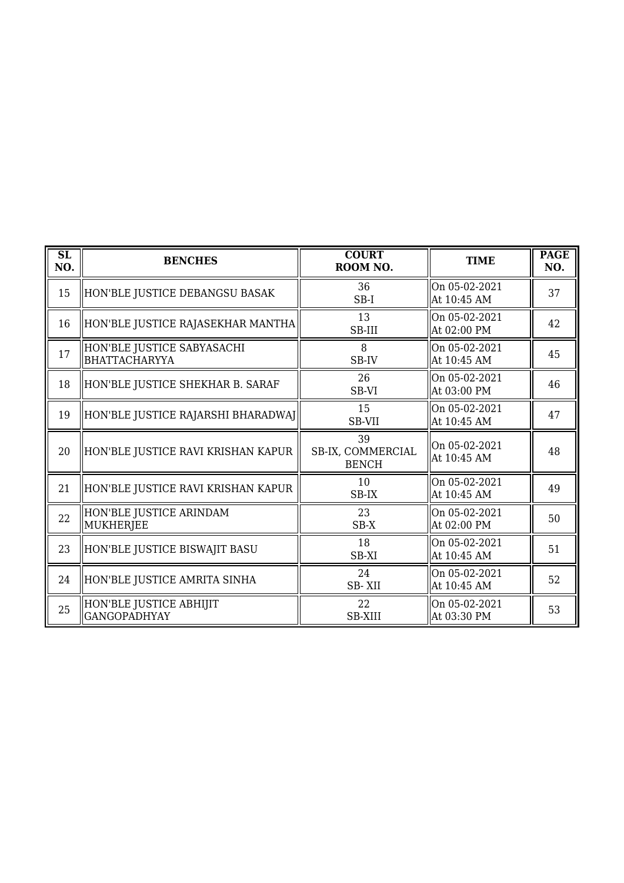| $\overline{\text{SL}}$<br>NO. | <b>BENCHES</b>                                     | <b>COURT</b><br>ROOM NO.                | <b>TIME</b>                  | <b>PAGE</b><br>NO. |
|-------------------------------|----------------------------------------------------|-----------------------------------------|------------------------------|--------------------|
| 15                            | HON'BLE JUSTICE DEBANGSU BASAK                     | 36<br>$SB-I$                            | On 05-02-2021<br>At 10:45 AM | 37                 |
| 16                            | HON'BLE JUSTICE RAJASEKHAR MANTHA                  | 13<br>SB-III                            | On 05-02-2021<br>At 02:00 PM | 42                 |
| 17                            | HON'BLE JUSTICE SABYASACHI<br><b>BHATTACHARYYA</b> | 8<br>SB-IV                              | On 05-02-2021<br>At 10:45 AM | 45                 |
| 18                            | HON'BLE JUSTICE SHEKHAR B. SARAF                   | 26<br>SB-VI                             | On 05-02-2021<br>At 03:00 PM | 46                 |
| 19                            | HON'BLE JUSTICE RAJARSHI BHARADWAJ                 | 15<br>SB-VII                            | On 05-02-2021<br>At 10:45 AM | 47                 |
| 20                            | HON'BLE JUSTICE RAVI KRISHAN KAPUR                 | 39<br>SB-IX, COMMERCIAL<br><b>BENCH</b> | On 05-02-2021<br>At 10:45 AM | 48                 |
| 21                            | HON'BLE JUSTICE RAVI KRISHAN KAPUR                 | 10<br>SB-IX                             | On 05-02-2021<br>At 10:45 AM | 49                 |
| 22                            | HON'BLE JUSTICE ARINDAM<br>MUKHERJEE               | 23<br>$SB-X$                            | On 05-02-2021<br>At 02:00 PM | 50                 |
| 23                            | HON'BLE JUSTICE BISWAJIT BASU                      | 18<br>SB-XI                             | On 05-02-2021<br>At 10:45 AM | 51                 |
| 24                            | HON'BLE JUSTICE AMRITA SINHA                       | 24<br>SB-XII                            | On 05-02-2021<br>At 10:45 AM | 52                 |
| 25                            | HON'BLE JUSTICE ABHIJIT<br><b>GANGOPADHYAY</b>     | 22<br><b>SB-XIII</b>                    | On 05-02-2021<br>At 03:30 PM | 53                 |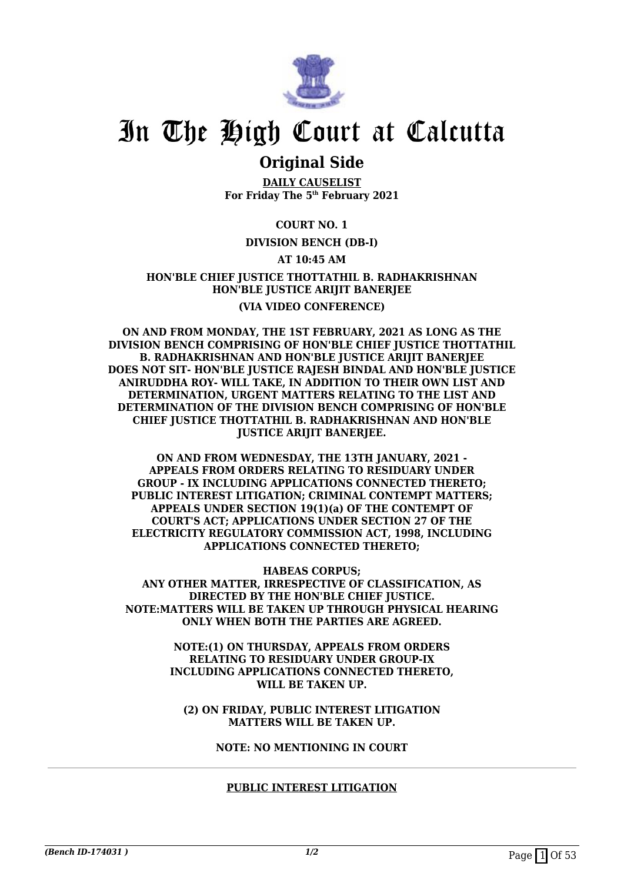

### **Original Side**

**DAILY CAUSELIST For Friday The 5th February 2021**

### **COURT NO. 1**

### **DIVISION BENCH (DB-I)**

### **AT 10:45 AM**

### **HON'BLE CHIEF JUSTICE THOTTATHIL B. RADHAKRISHNAN HON'BLE JUSTICE ARIJIT BANERJEE (VIA VIDEO CONFERENCE)**

**ON AND FROM MONDAY, THE 1ST FEBRUARY, 2021 AS LONG AS THE DIVISION BENCH COMPRISING OF HON'BLE CHIEF JUSTICE THOTTATHIL B. RADHAKRISHNAN AND HON'BLE JUSTICE ARIJIT BANERJEE DOES NOT SIT- HON'BLE JUSTICE RAJESH BINDAL AND HON'BLE JUSTICE ANIRUDDHA ROY- WILL TAKE, IN ADDITION TO THEIR OWN LIST AND DETERMINATION, URGENT MATTERS RELATING TO THE LIST AND DETERMINATION OF THE DIVISION BENCH COMPRISING OF HON'BLE CHIEF JUSTICE THOTTATHIL B. RADHAKRISHNAN AND HON'BLE JUSTICE ARIJIT BANERJEE.**

**ON AND FROM WEDNESDAY, THE 13TH JANUARY, 2021 - APPEALS FROM ORDERS RELATING TO RESIDUARY UNDER GROUP - IX INCLUDING APPLICATIONS CONNECTED THERETO; PUBLIC INTEREST LITIGATION; CRIMINAL CONTEMPT MATTERS; APPEALS UNDER SECTION 19(1)(a) OF THE CONTEMPT OF COURT'S ACT; APPLICATIONS UNDER SECTION 27 OF THE ELECTRICITY REGULATORY COMMISSION ACT, 1998, INCLUDING APPLICATIONS CONNECTED THERETO;**

**HABEAS CORPUS;**

**ANY OTHER MATTER, IRRESPECTIVE OF CLASSIFICATION, AS DIRECTED BY THE HON'BLE CHIEF JUSTICE. NOTE:MATTERS WILL BE TAKEN UP THROUGH PHYSICAL HEARING ONLY WHEN BOTH THE PARTIES ARE AGREED.**

> **NOTE:(1) ON THURSDAY, APPEALS FROM ORDERS RELATING TO RESIDUARY UNDER GROUP-IX INCLUDING APPLICATIONS CONNECTED THERETO, WILL BE TAKEN UP.**

**(2) ON FRIDAY, PUBLIC INTEREST LITIGATION MATTERS WILL BE TAKEN UP.**

**NOTE: NO MENTIONING IN COURT**

#### **PUBLIC INTEREST LITIGATION**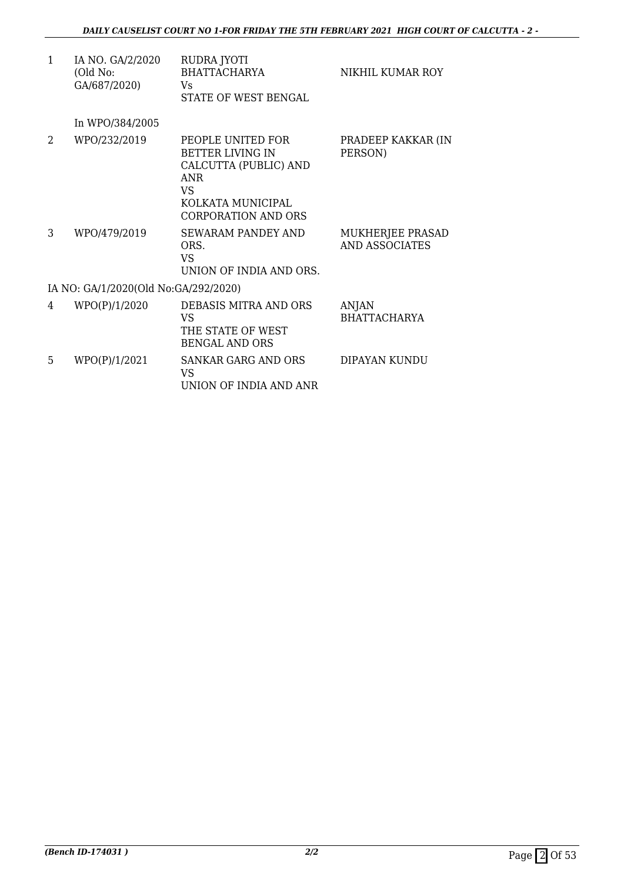| $\mathbf{1}$ | IA NO. GA/2/2020<br>(Old No:<br>GA/687/2020) | RUDRA JYOTI<br><b>BHATTACHARYA</b><br>Vs.<br>STATE OF WEST BENGAL                                                                             | NIKHIL KUMAR ROY                          |
|--------------|----------------------------------------------|-----------------------------------------------------------------------------------------------------------------------------------------------|-------------------------------------------|
|              | In WPO/384/2005                              |                                                                                                                                               |                                           |
| 2            | WPO/232/2019                                 | PEOPLE UNITED FOR<br><b>BETTER LIVING IN</b><br>CALCUTTA (PUBLIC) AND<br><b>ANR</b><br>VS.<br>KOLKATA MUNICIPAL<br><b>CORPORATION AND ORS</b> | PRADEEP KAKKAR (IN<br>PERSON)             |
| 3            | WPO/479/2019                                 | <b>SEWARAM PANDEY AND</b><br>ORS.<br>VS.<br>UNION OF INDIA AND ORS.                                                                           | MUKHERJEE PRASAD<br><b>AND ASSOCIATES</b> |
|              | IA NO: GA/1/2020(Old No:GA/292/2020)         |                                                                                                                                               |                                           |
| 4            | WPO(P)/1/2020                                | DEBASIS MITRA AND ORS<br>VS.<br>THE STATE OF WEST<br><b>BENGAL AND ORS</b>                                                                    | <b>ANJAN</b><br><b>BHATTACHARYA</b>       |
| 5            | WPO(P)/1/2021                                | <b>SANKAR GARG AND ORS</b><br>VS<br>UNION OF INDIA AND ANR                                                                                    | DIPAYAN KUNDU                             |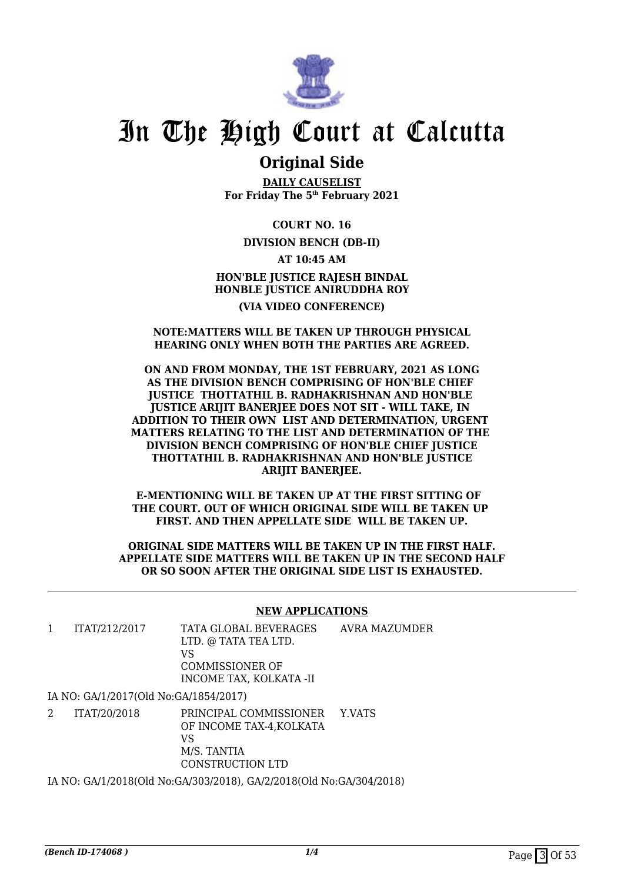

### **Original Side**

**DAILY CAUSELIST For Friday The 5th February 2021**

**COURT NO. 16**

### **DIVISION BENCH (DB-II)**

**AT 10:45 AM HON'BLE JUSTICE RAJESH BINDAL HONBLE JUSTICE ANIRUDDHA ROY (VIA VIDEO CONFERENCE)**

### **NOTE:MATTERS WILL BE TAKEN UP THROUGH PHYSICAL HEARING ONLY WHEN BOTH THE PARTIES ARE AGREED.**

#### **ON AND FROM MONDAY, THE 1ST FEBRUARY, 2021 AS LONG AS THE DIVISION BENCH COMPRISING OF HON'BLE CHIEF JUSTICE THOTTATHIL B. RADHAKRISHNAN AND HON'BLE JUSTICE ARIJIT BANERJEE DOES NOT SIT - WILL TAKE, IN ADDITION TO THEIR OWN LIST AND DETERMINATION, URGENT MATTERS RELATING TO THE LIST AND DETERMINATION OF THE DIVISION BENCH COMPRISING OF HON'BLE CHIEF JUSTICE THOTTATHIL B. RADHAKRISHNAN AND HON'BLE JUSTICE ARIJIT BANERJEE.**

**E-MENTIONING WILL BE TAKEN UP AT THE FIRST SITTING OF THE COURT. OUT OF WHICH ORIGINAL SIDE WILL BE TAKEN UP FIRST. AND THEN APPELLATE SIDE WILL BE TAKEN UP.**

**ORIGINAL SIDE MATTERS WILL BE TAKEN UP IN THE FIRST HALF. APPELLATE SIDE MATTERS WILL BE TAKEN UP IN THE SECOND HALF OR SO SOON AFTER THE ORIGINAL SIDE LIST IS EXHAUSTED.**

### **NEW APPLICATIONS**

| ITAT/212/2017 | TATA GLOBAL BEVERAGES<br>LTD. @ TATA TEA LTD. | AVRA MAZUMDER |
|---------------|-----------------------------------------------|---------------|
|               | VS                                            |               |
|               | COMMISSIONER OF                               |               |
|               | INCOME TAX. KOLKATA -II                       |               |
|               |                                               |               |

IA NO: GA/1/2017(Old No:GA/1854/2017)

2 ITAT/20/2018 PRINCIPAL COMMISSIONER OF INCOME TAX-4,KOLKATA VS M/S. TANTIA CONSTRUCTION LTD Y.VATS

IA NO: GA/1/2018(Old No:GA/303/2018), GA/2/2018(Old No:GA/304/2018)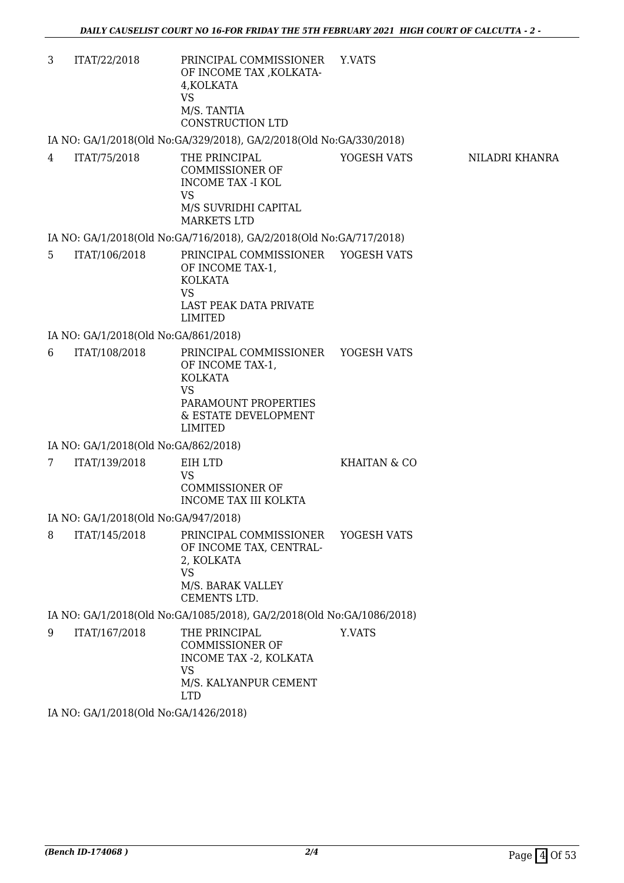3 ITAT/22/2018 PRINCIPAL COMMISSIONER OF INCOME TAX ,KOLKATA-4,KOLKATA VS M/S. TANTIA CONSTRUCTION LTD Y.VATS

IA NO: GA/1/2018(Old No:GA/329/2018), GA/2/2018(Old No:GA/330/2018)

4 ITAT/75/2018 THE PRINCIPAL COMMISSIONER OF INCOME TAX -I KOL VS M/S SUVRIDHI CAPITAL MARKETS LTD YOGESH VATS NILADRI KHANRA

### IA NO: GA/1/2018(Old No:GA/716/2018), GA/2/2018(Old No:GA/717/2018)

5 ITAT/106/2018 PRINCIPAL COMMISSIONER OF INCOME TAX-1, KOLKATA VS LAST PEAK DATA PRIVATE LIMITED YOGESH VATS

IA NO: GA/1/2018(Old No:GA/861/2018)

6 ITAT/108/2018 PRINCIPAL COMMISSIONER OF INCOME TAX-1, KOLKATA VS PARAMOUNT PROPERTIES & ESTATE DEVELOPMENT LIMITED YOGESH VATS

IA NO: GA/1/2018(Old No:GA/862/2018)

7 ITAT/139/2018 EIH LTD VS COMMISSIONER OF INCOME TAX III KOLKTA KHAITAN & CO

IA NO: GA/1/2018(Old No:GA/947/2018)

8 ITAT/145/2018 PRINCIPAL COMMISSIONER OF INCOME TAX, CENTRAL-2, KOLKATA VS M/S. BARAK VALLEY CEMENTS LTD. YOGESH VATS

IA NO: GA/1/2018(Old No:GA/1085/2018), GA/2/2018(Old No:GA/1086/2018)

9 ITAT/167/2018 THE PRINCIPAL COMMISSIONER OF INCOME TAX -2, KOLKATA VS M/S. KALYANPUR CEMENT LTD Y.VATS

IA NO: GA/1/2018(Old No:GA/1426/2018)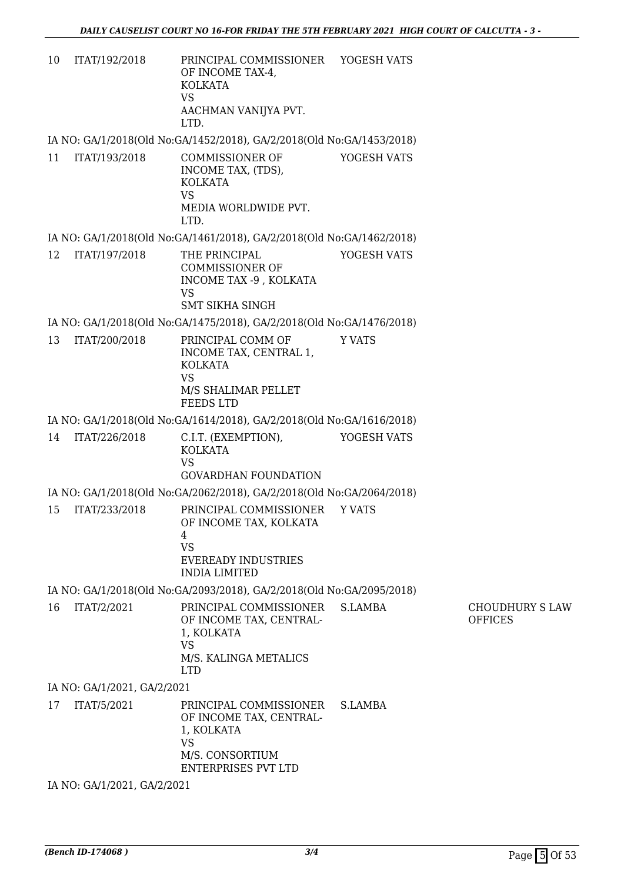10 ITAT/192/2018 PRINCIPAL COMMISSIONER OF INCOME TAX-4, KOLKATA VS AACHMAN VANIJYA PVT. LTD. YOGESH VATS

IA NO: GA/1/2018(Old No:GA/1452/2018), GA/2/2018(Old No:GA/1453/2018)

11 ITAT/193/2018 COMMISSIONER OF INCOME TAX, (TDS), KOLKATA VS MEDIA WORLDWIDE PVT. LTD. YOGESH VATS

IA NO: GA/1/2018(Old No:GA/1461/2018), GA/2/2018(Old No:GA/1462/2018)

12 ITAT/197/2018 THE PRINCIPAL COMMISSIONER OF INCOME TAX -9 , KOLKATA VS SMT SIKHA SINGH YOGESH VATS

IA NO: GA/1/2018(Old No:GA/1475/2018), GA/2/2018(Old No:GA/1476/2018)

13 ITAT/200/2018 PRINCIPAL COMM OF INCOME TAX, CENTRAL 1, KOLKATA VS M/S SHALIMAR PELLET FEEDS LTD Y VATS

IA NO: GA/1/2018(Old No:GA/1614/2018), GA/2/2018(Old No:GA/1616/2018)

14 ITAT/226/2018 C.I.T. (EXEMPTION), KOLKATA VS GOVARDHAN FOUNDATION YOGESH VATS

IA NO: GA/1/2018(Old No:GA/2062/2018), GA/2/2018(Old No:GA/2064/2018)

15 ITAT/233/2018 PRINCIPAL COMMISSIONER OF INCOME TAX, KOLKATA 4 VS EVEREADY INDUSTRIES INDIA LIMITED Y VATS

IA NO: GA/1/2018(Old No:GA/2093/2018), GA/2/2018(Old No:GA/2095/2018)

16 ITAT/2/2021 PRINCIPAL COMMISSIONER OF INCOME TAX, CENTRAL-1, KOLKATA VS M/S. KALINGA METALICS LTD S.LAMBA CHOUDHURY S LAW OFFICES

IA NO: GA/1/2021, GA/2/2021

17 ITAT/5/2021 PRINCIPAL COMMISSIONER OF INCOME TAX, CENTRAL-1, KOLKATA VS M/S. CONSORTIUM ENTERPRISES PVT LTD S.LAMBA

IA NO: GA/1/2021, GA/2/2021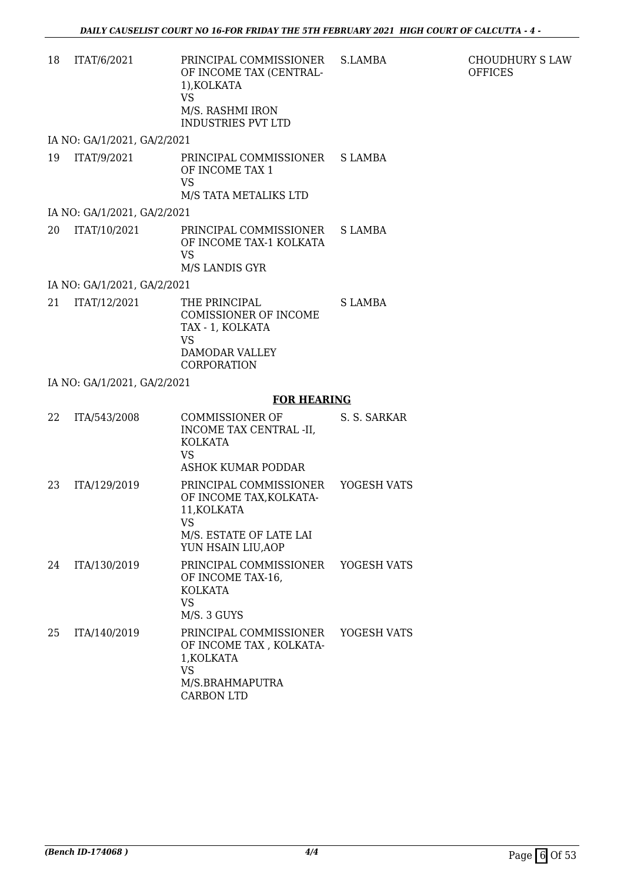| 18<br>ITAT/6/2021           | PRINCIPAL COMMISSIONER S.LAMBA<br>OF INCOME TAX (CENTRAL-<br>1),KOLKATA<br>VS<br>M/S. RASHMI IRON<br><b>INDUSTRIES PVT LTD</b> |         |
|-----------------------------|--------------------------------------------------------------------------------------------------------------------------------|---------|
| IA NO: GA/1/2021, GA/2/2021 |                                                                                                                                |         |
| 19<br>ITAT/9/2021           | PRINCIPAL COMMISSIONER S LAMBA<br>OF INCOME TAX 1<br><b>VS</b><br>M/S TATA METALIKS LTD                                        |         |
| IA NO: GA/1/2021, GA/2/2021 |                                                                                                                                |         |
| 20<br>ITAT/10/2021          | PRINCIPAL COMMISSIONER S LAMBA<br>OF INCOME TAX-1 KOLKATA<br><b>VS</b><br>M/S LANDIS GYR                                       |         |
| IA NO: GA/1/2021, GA/2/2021 |                                                                                                                                |         |
| 21<br>ITAT/12/2021          | THE PRINCIPAL.<br>COMISSIONER OF INCOME<br>TAX - 1, KOLKATA<br><b>VS</b><br>DAMODAR VALLEY<br>CORPORATION                      | S LAMBA |
| IA NO: GA/1/2021, GA/2/2021 |                                                                                                                                |         |

### **FOR HEARING**

| 22 | ITA/543/2008 | COMMISSIONER OF<br>INCOME TAX CENTRAL -II,<br>KOLKATA<br>VS.<br>ASHOK KUMAR PODDAR                                             | S. S. SARKAR |
|----|--------------|--------------------------------------------------------------------------------------------------------------------------------|--------------|
| 23 | ITA/129/2019 | PRINCIPAL COMMISSIONER<br>OF INCOME TAX, KOLKATA-<br>11, KOLKATA<br><b>VS</b><br>M/S. ESTATE OF LATE LAI<br>YUN HSAIN LIU, AOP | YOGESH VATS  |
| 24 | ITA/130/2019 | PRINCIPAL COMMISSIONER YOGESH VATS<br>OF INCOME TAX-16,<br>KOLKATA<br>VS<br>M/S. 3 GUYS                                        |              |
| 25 | ITA/140/2019 | PRINCIPAL COMMISSIONER<br>OF INCOME TAX, KOLKATA-<br>1, KOLKATA<br>VS<br>M/S.BRAHMAPUTRA<br><b>CARBON LTD</b>                  | YOGESH VATS  |

CHOUDHURY S LAW

**OFFICES**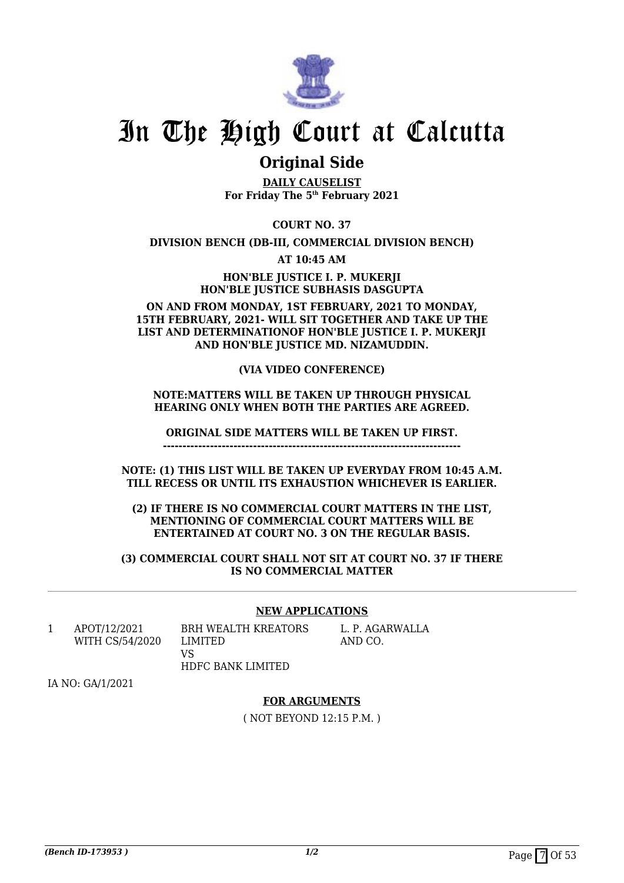

### **Original Side**

**DAILY CAUSELIST For Friday The 5th February 2021**

**COURT NO. 37**

**DIVISION BENCH (DB-III, COMMERCIAL DIVISION BENCH)**

**AT 10:45 AM**

**HON'BLE JUSTICE I. P. MUKERJI HON'BLE JUSTICE SUBHASIS DASGUPTA**

**ON AND FROM MONDAY, 1ST FEBRUARY, 2021 TO MONDAY, 15TH FEBRUARY, 2021- WILL SIT TOGETHER AND TAKE UP THE LIST AND DETERMINATIONOF HON'BLE JUSTICE I. P. MUKERJI AND HON'BLE JUSTICE MD. NIZAMUDDIN.**

### **(VIA VIDEO CONFERENCE)**

#### **NOTE:MATTERS WILL BE TAKEN UP THROUGH PHYSICAL HEARING ONLY WHEN BOTH THE PARTIES ARE AGREED.**

**ORIGINAL SIDE MATTERS WILL BE TAKEN UP FIRST.**

**----------------------------------------------------------------------------**

**NOTE: (1) THIS LIST WILL BE TAKEN UP EVERYDAY FROM 10:45 A.M. TILL RECESS OR UNTIL ITS EXHAUSTION WHICHEVER IS EARLIER.**

**(2) IF THERE IS NO COMMERCIAL COURT MATTERS IN THE LIST, MENTIONING OF COMMERCIAL COURT MATTERS WILL BE ENTERTAINED AT COURT NO. 3 ON THE REGULAR BASIS.**

**(3) COMMERCIAL COURT SHALL NOT SIT AT COURT NO. 37 IF THERE IS NO COMMERCIAL MATTER**

### **NEW APPLICATIONS**

1 APOT/12/2021 WITH CS/54/2020

BRH WEALTH KREATORS LIMITED VS HDFC BANK LIMITED

L. P. AGARWALLA AND CO.

IA NO: GA/1/2021

#### **FOR ARGUMENTS**

( NOT BEYOND 12:15 P.M. )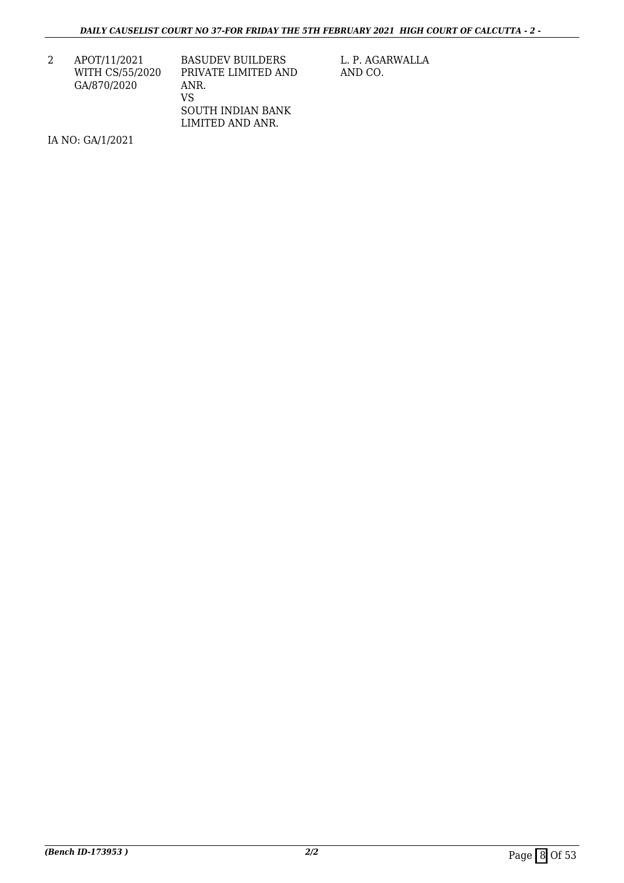2 APOT/11/2021 WITH CS/55/2020 GA/870/2020

BASUDEV BUILDERS PRIVATE LIMITED AND ANR. VS SOUTH INDIAN BANK LIMITED AND ANR.

L. P. AGARWALLA AND CO.

IA NO: GA/1/2021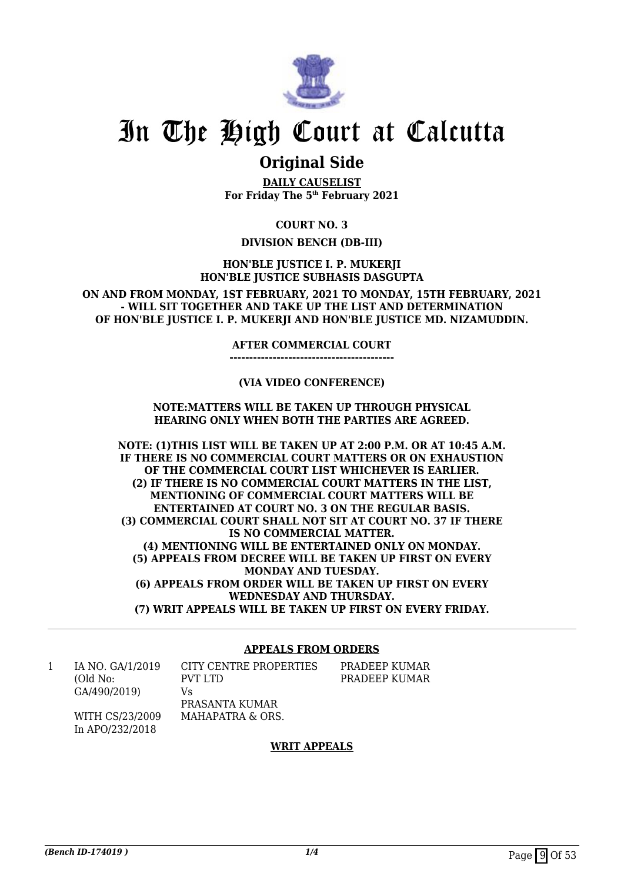

### **Original Side**

**DAILY CAUSELIST For Friday The 5th February 2021**

**COURT NO. 3**

### **DIVISION BENCH (DB-III)**

**HON'BLE JUSTICE I. P. MUKERJI HON'BLE JUSTICE SUBHASIS DASGUPTA**

**ON AND FROM MONDAY, 1ST FEBRUARY, 2021 TO MONDAY, 15TH FEBRUARY, 2021 - WILL SIT TOGETHER AND TAKE UP THE LIST AND DETERMINATION OF HON'BLE JUSTICE I. P. MUKERJI AND HON'BLE JUSTICE MD. NIZAMUDDIN.**

#### **AFTER COMMERCIAL COURT**

**------------------------------------------**

### **(VIA VIDEO CONFERENCE)**

### **NOTE:MATTERS WILL BE TAKEN UP THROUGH PHYSICAL HEARING ONLY WHEN BOTH THE PARTIES ARE AGREED.**

**NOTE: (1)THIS LIST WILL BE TAKEN UP AT 2:00 P.M. OR AT 10:45 A.M. IF THERE IS NO COMMERCIAL COURT MATTERS OR ON EXHAUSTION OF THE COMMERCIAL COURT LIST WHICHEVER IS EARLIER. (2) IF THERE IS NO COMMERCIAL COURT MATTERS IN THE LIST, MENTIONING OF COMMERCIAL COURT MATTERS WILL BE ENTERTAINED AT COURT NO. 3 ON THE REGULAR BASIS. (3) COMMERCIAL COURT SHALL NOT SIT AT COURT NO. 37 IF THERE IS NO COMMERCIAL MATTER. (4) MENTIONING WILL BE ENTERTAINED ONLY ON MONDAY. (5) APPEALS FROM DECREE WILL BE TAKEN UP FIRST ON EVERY MONDAY AND TUESDAY. (6) APPEALS FROM ORDER WILL BE TAKEN UP FIRST ON EVERY WEDNESDAY AND THURSDAY. (7) WRIT APPEALS WILL BE TAKEN UP FIRST ON EVERY FRIDAY.**

#### **APPEALS FROM ORDERS**

1 IA NO. GA/1/2019 (Old No: GA/490/2019)

CITY CENTRE PROPERTIES PVT LTD Vs PRASANTA KUMAR MAHAPATRA & ORS.

PRADEEP KUMAR PRADEEP KUMAR

WITH CS/23/2009 In APO/232/2018

### **WRIT APPEALS**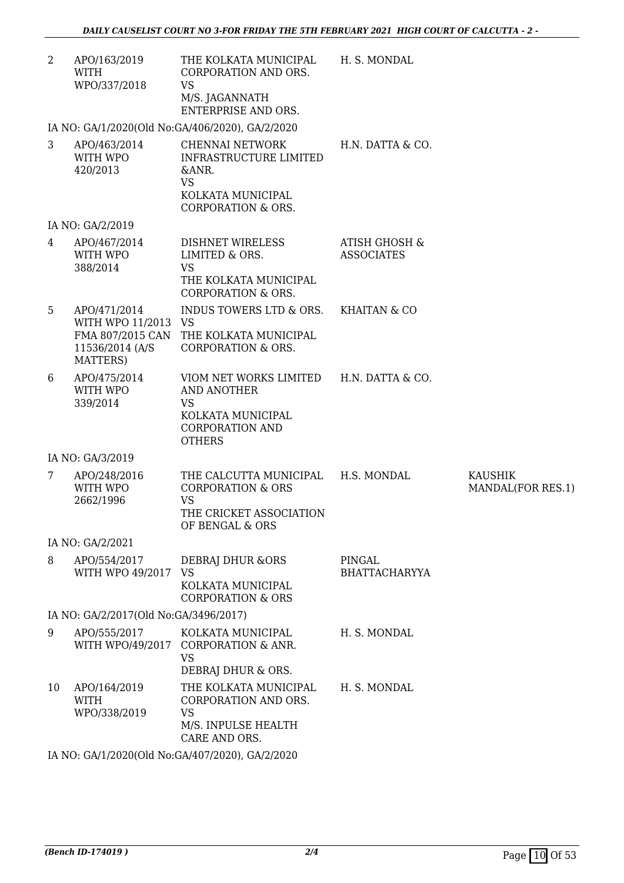| 2              | APO/163/2019<br>WITH<br>WPO/337/2018                                | THE KOLKATA MUNICIPAL<br>CORPORATION AND ORS.<br><b>VS</b><br>M/S. JAGANNATH<br><b>ENTERPRISE AND ORS.</b>                                 | H. S. MONDAL                                  |                              |
|----------------|---------------------------------------------------------------------|--------------------------------------------------------------------------------------------------------------------------------------------|-----------------------------------------------|------------------------------|
|                |                                                                     | IA NO: GA/1/2020(Old No:GA/406/2020), GA/2/2020                                                                                            |                                               |                              |
| 3              | APO/463/2014<br>WITH WPO<br>420/2013                                | <b>CHENNAI NETWORK</b><br><b>INFRASTRUCTURE LIMITED</b><br>&ANR.<br><b>VS</b><br>KOLKATA MUNICIPAL<br><b>CORPORATION &amp; ORS.</b>        | H.N. DATTA & CO.                              |                              |
|                | IA NO: GA/2/2019                                                    |                                                                                                                                            |                                               |                              |
| $\overline{4}$ | APO/467/2014<br>WITH WPO<br>388/2014                                | DISHNET WIRELESS<br>LIMITED & ORS.<br><b>VS</b><br>THE KOLKATA MUNICIPAL<br><b>CORPORATION &amp; ORS.</b>                                  | <b>ATISH GHOSH &amp;</b><br><b>ASSOCIATES</b> |                              |
| 5              | APO/471/2014<br>WITH WPO 11/2013 VS<br>11536/2014 (A/S)<br>MATTERS) | INDUS TOWERS LTD & ORS.<br>FMA 807/2015 CAN THE KOLKATA MUNICIPAL<br><b>CORPORATION &amp; ORS.</b>                                         | <b>KHAITAN &amp; CO</b>                       |                              |
| 6              | APO/475/2014<br>WITH WPO<br>339/2014                                | VIOM NET WORKS LIMITED H.N. DATTA & CO.<br><b>AND ANOTHER</b><br><b>VS</b><br>KOLKATA MUNICIPAL<br><b>CORPORATION AND</b><br><b>OTHERS</b> |                                               |                              |
|                | IA NO: GA/3/2019                                                    |                                                                                                                                            |                                               |                              |
| 7              | APO/248/2016<br>WITH WPO<br>2662/1996                               | THE CALCUTTA MUNICIPAL<br><b>CORPORATION &amp; ORS</b><br><b>VS</b><br>THE CRICKET ASSOCIATION<br>OF BENGAL & ORS                          | H.S. MONDAL                                   | KAUSHIK<br>MANDAL(FOR RES.1) |
|                | IA NO: GA/2/2021                                                    |                                                                                                                                            |                                               |                              |
| 8              | APO/554/2017<br>WITH WPO 49/2017 VS                                 | DEBRAJ DHUR & ORS<br>KOLKATA MUNICIPAL<br><b>CORPORATION &amp; ORS</b>                                                                     | PINGAL<br><b>BHATTACHARYYA</b>                |                              |
|                | IA NO: GA/2/2017(Old No:GA/3496/2017)                               |                                                                                                                                            |                                               |                              |
| 9              | APO/555/2017                                                        | KOLKATA MUNICIPAL<br>WITH WPO/49/2017 CORPORATION & ANR.<br><b>VS</b><br>DEBRAJ DHUR & ORS.                                                | H. S. MONDAL                                  |                              |
| 10             | APO/164/2019<br><b>WITH</b><br>WPO/338/2019                         | THE KOLKATA MUNICIPAL<br>CORPORATION AND ORS.<br><b>VS</b><br>M/S. INPULSE HEALTH<br>CARE AND ORS.                                         | H. S. MONDAL                                  |                              |
|                |                                                                     |                                                                                                                                            |                                               |                              |

IA NO: GA/1/2020(Old No:GA/407/2020), GA/2/2020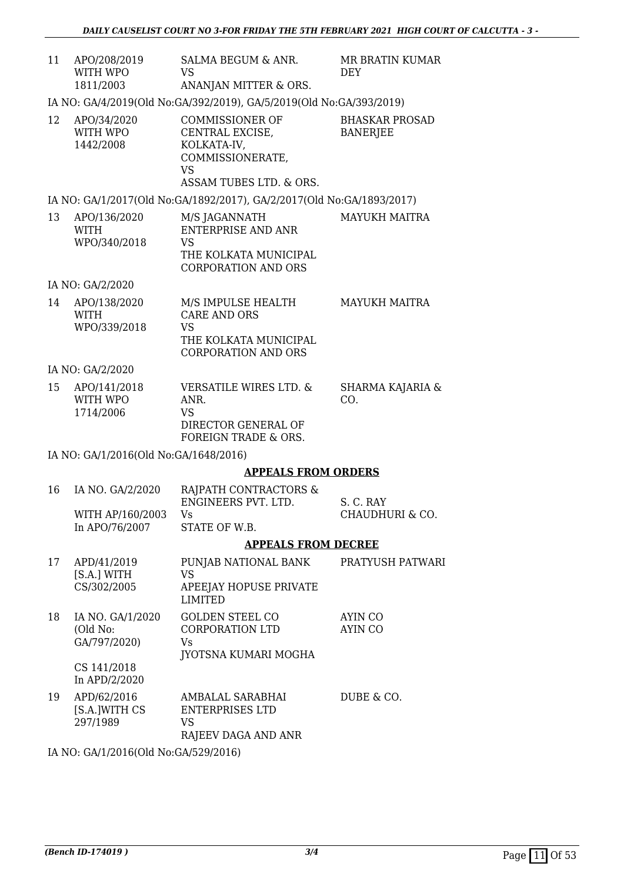| 11 | APO/208/2019<br>WITH WPO<br>1811/2003 | SALMA BEGUM & ANR.<br>VS<br>ANANJAN MITTER & ORS.                                                      | <b>MR BRATIN KUMAR</b><br>DEY     |
|----|---------------------------------------|--------------------------------------------------------------------------------------------------------|-----------------------------------|
|    |                                       | IA NO: GA/4/2019(Old No: GA/392/2019), GA/5/2019(Old No: GA/393/2019)                                  |                                   |
| 12 | APO/34/2020<br>WITH WPO<br>1442/2008  | COMMISSIONER OF<br>CENTRAL EXCISE,<br>KOLKATA-IV,<br>COMMISSIONERATE,<br>VS<br>ASSAM TUBES LTD. & ORS. | BHASKAR PROSAD<br><b>BANERJEE</b> |
|    |                                       | IA NO: GA/1/2017(Old No:GA/1892/2017), GA/2/2017(Old No:GA/1893/2017)                                  |                                   |
| 13 | APO/136/2020<br>WITH<br>WPO/340/2018  | M/S JAGANNATH<br>ENTERPRISE AND ANR<br>VS<br>THE KOLKATA MUNICIPAL<br><b>CORPORATION AND ORS</b>       | <b>MAYUKH MAITRA</b>              |

IA NO: GA/2/2020

| 14 | APO/138/2020<br><b>WITH</b> | M/S IMPULSE HEALTH<br>CARE AND ORS | MAYUKH MAITRA |
|----|-----------------------------|------------------------------------|---------------|
|    | WPO/339/2018                | VS                                 |               |
|    |                             | THE KOLKATA MUNICIPAL              |               |
|    |                             | CORPORATION AND ORS                |               |

IA NO: GA/2/2020

| 15 | APO/141/2018 | VERSATILE WIRES LTD. & | SHARMA KAJARIA & |
|----|--------------|------------------------|------------------|
|    | WITH WPO     | ANR.                   | CO.              |
|    | 1714/2006    | VS                     |                  |
|    |              | DIRECTOR GENERAL OF    |                  |
|    |              | FOREIGN TRADE & ORS.   |                  |

IA NO: GA/1/2016(Old No:GA/1648/2016)

### **APPEALS FROM ORDERS**

|                     | <b>APPEALS FROM DECREE</b> |                 |
|---------------------|----------------------------|-----------------|
| In APO/76/2007      | STATE OF W.B.              |                 |
| WITH AP/160/2003    | Vs                         | CHAUDHURI & CO. |
|                     | ENGINEERS PVT. LTD.        | S. C. RAY       |
| 16 IA NO. GA/2/2020 | RAJPATH CONTRACTORS &      |                 |

| 17 | APD/41/2019<br>[S.A.] WITH<br>CS/302/2005    | PUNJAB NATIONAL BANK<br>VS<br>APEEJAY HOPUSE PRIVATE<br><b>LIMITED</b>          | PRATYUSH PATWARI   |
|----|----------------------------------------------|---------------------------------------------------------------------------------|--------------------|
| 18 | IA NO. GA/1/2020<br>(Old No:<br>GA/797/2020) | <b>GOLDEN STEEL CO</b><br>CORPORATION LTD<br>Vs.<br><b>IYOTSNA KUMARI MOGHA</b> | AYIN CO<br>AYIN CO |
|    | CS 141/2018<br>In $APD/2/2020$               |                                                                                 |                    |
| 19 | APD/62/2016<br>[S.A.]WITH CS<br>297/1989     | AMBALAL SARABHAI<br>ENTERPRISES LTD<br>VS<br>RAJEEV DAGA AND ANR                | DUBE & CO.         |

IA NO: GA/1/2016(Old No:GA/529/2016)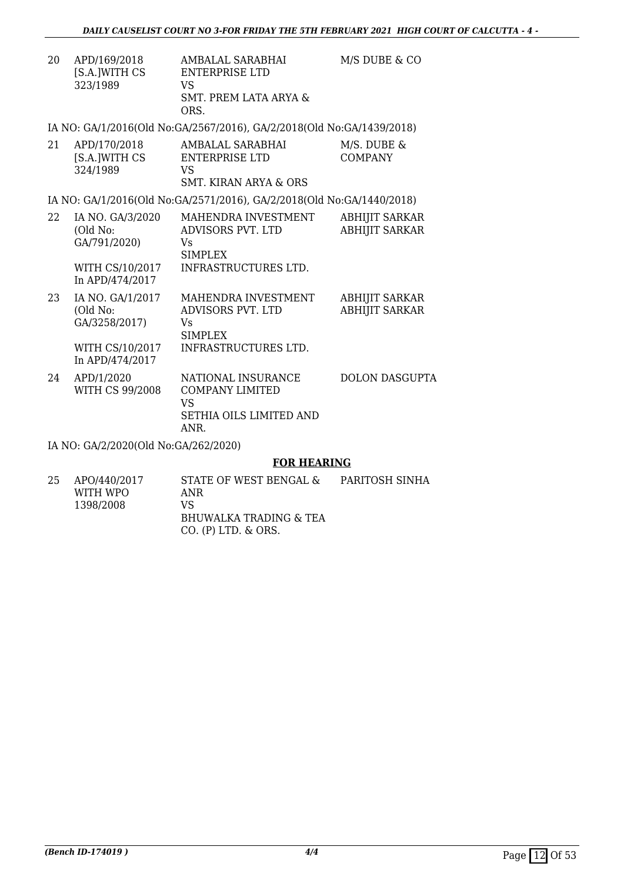| 20 | APD/169/2018  | AMBALAL SARABHAI      | M/S DUBE & CO |
|----|---------------|-----------------------|---------------|
|    | [S.A.]WITH CS | ENTERPRISE LTD        |               |
|    | 323/1989      | VS                    |               |
|    |               | SMT. PREM LATA ARYA & |               |
|    |               | ORS.                  |               |

IA NO: GA/1/2016(Old No:GA/2567/2016), GA/2/2018(Old No:GA/1439/2018)

| 21 | APD/170/2018  | AMBALAL SARABHAI      | M/S. DUBE & |
|----|---------------|-----------------------|-------------|
|    | [S.A.]WITH CS | ENTERPRISE LTD        | COMPANY     |
|    | 324/1989      | VS.                   |             |
|    |               | SMT. KIRAN ARYA & ORS |             |

IA NO: GA/1/2016(Old No:GA/2571/2016), GA/2/2018(Old No:GA/1440/2018)

| 22 | IA NO. GA/3/2020<br>(Old No:<br>GA/791/2020)<br>WITH CS/10/2017<br>In APD/474/2017 | MAHENDRA INVESTMENT<br>ADVISORS PVT. LTD<br>Vs<br><b>SIMPLEX</b><br>INFRASTRUCTURES LTD. | <b>ABHIJIT SARKAR</b><br><b>ABHIJIT SARKAR</b> |
|----|------------------------------------------------------------------------------------|------------------------------------------------------------------------------------------|------------------------------------------------|
| 23 | IA NO. GA/1/2017                                                                   | MAHENDRA INVESTMENT                                                                      | <b>ABHIJIT SARKAR</b>                          |

| د ∠ | IA INU. UA/1/4017<br>(Old No:<br>GA/3258/2017)<br>WITH CS/10/2017<br>In APD/474/2017 | MARENDRA INVESTMENT<br>ADVISORS PVT. LTD<br>Vs<br><b>SIMPLEX</b><br>INFRASTRUCTURES LTD. | ADHIJII SARNAR<br><b>ABHIJIT SARKAR</b> |
|-----|--------------------------------------------------------------------------------------|------------------------------------------------------------------------------------------|-----------------------------------------|
| 24  | APD/1/2020<br>WITH CS 99/2008                                                        | NATIONAL INSURANCE<br><b>COMPANY LIMITED</b><br>VS<br>SETHIA OILS LIMITED AND<br>ANR.    | DOLON DASGUPTA                          |

IA NO: GA/2/2020(Old No:GA/262/2020)

### **FOR HEARING**

| APO/440/2017 | STATE OF WEST BENGAL &   | PARITOSH SINHA |
|--------------|--------------------------|----------------|
| WITH WPO     | ANR                      |                |
| 1398/2008    | VS.                      |                |
|              | BHUWALKA TRADING & TEA   |                |
|              | $CO.$ (P) LTD, $\&$ ORS. |                |
|              |                          |                |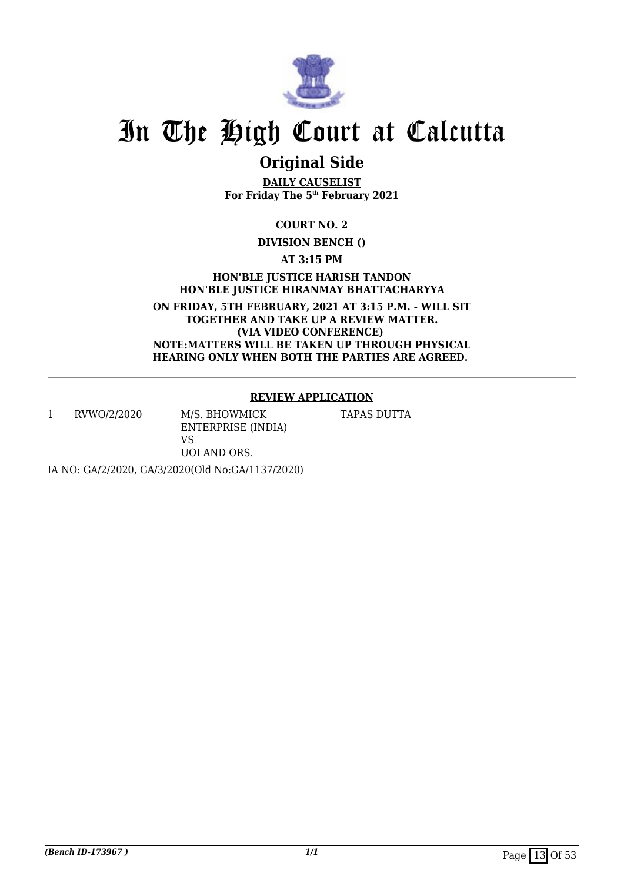

## **Original Side**

**DAILY CAUSELIST For Friday The 5th February 2021**

**COURT NO. 2**

**DIVISION BENCH ()**

**AT 3:15 PM**

**HON'BLE JUSTICE HARISH TANDON HON'BLE JUSTICE HIRANMAY BHATTACHARYYA**

**ON FRIDAY, 5TH FEBRUARY, 2021 AT 3:15 P.M. - WILL SIT TOGETHER AND TAKE UP A REVIEW MATTER. (VIA VIDEO CONFERENCE) NOTE:MATTERS WILL BE TAKEN UP THROUGH PHYSICAL HEARING ONLY WHEN BOTH THE PARTIES ARE AGREED.** 

### **REVIEW APPLICATION**

1 RVWO/2/2020 M/S. BHOWMICK

ENTERPRISE (INDIA) VS UOI AND ORS.

TAPAS DUTTA

IA NO: GA/2/2020, GA/3/2020(Old No:GA/1137/2020)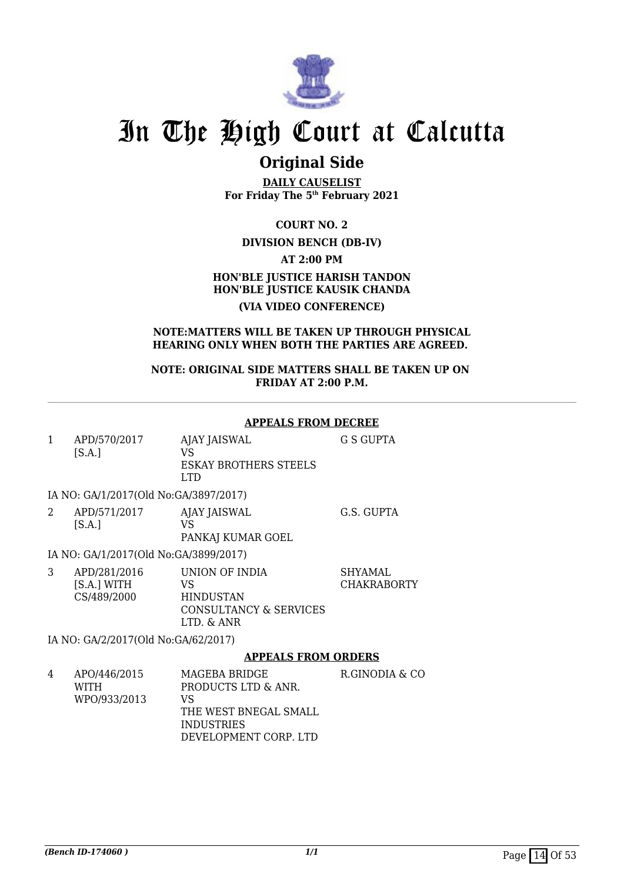

### **Original Side**

**DAILY CAUSELIST For Friday The 5th February 2021**

**COURT NO. 2**

### **DIVISION BENCH (DB-IV)**

**AT 2:00 PM**

### **HON'BLE JUSTICE HARISH TANDON HON'BLE JUSTICE KAUSIK CHANDA (VIA VIDEO CONFERENCE)**

#### **NOTE:MATTERS WILL BE TAKEN UP THROUGH PHYSICAL HEARING ONLY WHEN BOTH THE PARTIES ARE AGREED.**

**NOTE: ORIGINAL SIDE MATTERS SHALL BE TAKEN UP ON FRIDAY AT 2:00 P.M.**

#### **APPEALS FROM DECREE**

1 APD/570/2017 [S.A.] AJAY JAISWAL VS ESKAY BROTHERS STEELS LTD G S GUPTA

### IA NO: GA/1/2017(Old No:GA/3897/2017)

2 APD/571/2017  $[S.A.]$ AJAY JAISWAL VS PANKAJ KUMAR GOEL G.S. GUPTA

IA NO: GA/1/2017(Old No:GA/3899/2017)

|  | APD/281/2016<br>[S.A.] WITH<br>CS/489/2000 | UNION OF INDIA<br>VS<br><b>HINDUSTAN</b><br>CONSULTANCY & SERVICES<br>LTD. & ANR | SHYAMAL.<br><b>CHAKRABORTY</b> |
|--|--------------------------------------------|----------------------------------------------------------------------------------|--------------------------------|
|--|--------------------------------------------|----------------------------------------------------------------------------------|--------------------------------|

IA NO: GA/2/2017(Old No:GA/62/2017)

### **APPEALS FROM ORDERS**

4 APO/446/2015 WITH WPO/933/2013 MAGEBA BRIDGE PRODUCTS LTD & ANR. VS THE WEST BNEGAL SMALL INDUSTRIES DEVELOPMENT CORP. LTD R.GINODIA & CO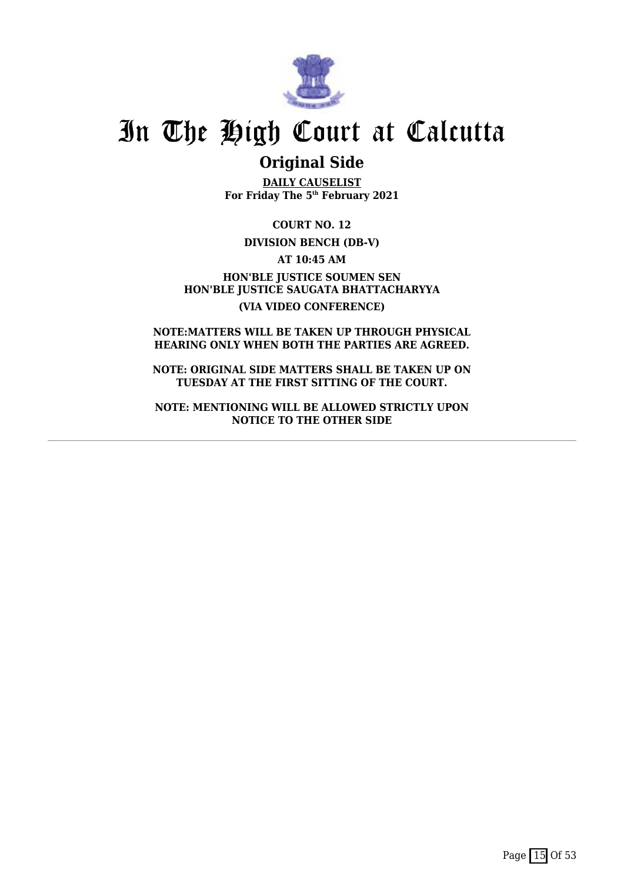

### **Original Side**

**DAILY CAUSELIST For Friday The 5th February 2021**

**COURT NO. 12**

### **DIVISION BENCH (DB-V)**

**AT 10:45 AM**

**HON'BLE JUSTICE SOUMEN SEN HON'BLE JUSTICE SAUGATA BHATTACHARYYA (VIA VIDEO CONFERENCE)**

**NOTE:MATTERS WILL BE TAKEN UP THROUGH PHYSICAL HEARING ONLY WHEN BOTH THE PARTIES ARE AGREED.**

**NOTE: ORIGINAL SIDE MATTERS SHALL BE TAKEN UP ON TUESDAY AT THE FIRST SITTING OF THE COURT.**

**NOTE: MENTIONING WILL BE ALLOWED STRICTLY UPON NOTICE TO THE OTHER SIDE**

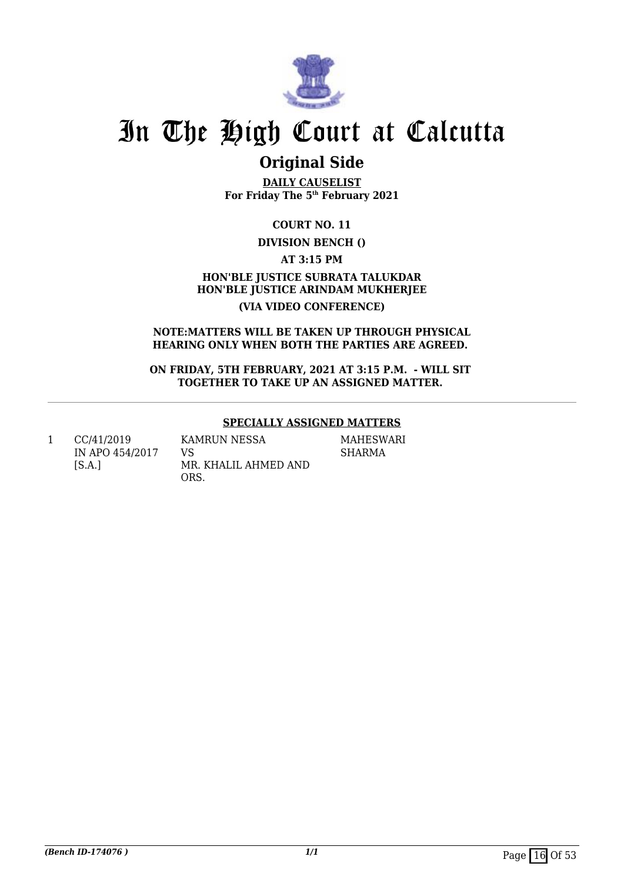

## **Original Side**

**DAILY CAUSELIST For Friday The 5th February 2021**

**COURT NO. 11**

### **DIVISION BENCH ()**

**AT 3:15 PM**

**HON'BLE JUSTICE SUBRATA TALUKDAR HON'BLE JUSTICE ARINDAM MUKHERJEE (VIA VIDEO CONFERENCE)**

#### **NOTE:MATTERS WILL BE TAKEN UP THROUGH PHYSICAL HEARING ONLY WHEN BOTH THE PARTIES ARE AGREED.**

**ON FRIDAY, 5TH FEBRUARY, 2021 AT 3:15 P.M. - WILL SIT TOGETHER TO TAKE UP AN ASSIGNED MATTER.** 

### **SPECIALLY ASSIGNED MATTERS**

1 CC/41/2019 IN APO 454/2017  $[S.A.]$ 

KAMRUN NESSA VS MR. KHALIL AHMED AND ORS.

MAHESWARI SHARMA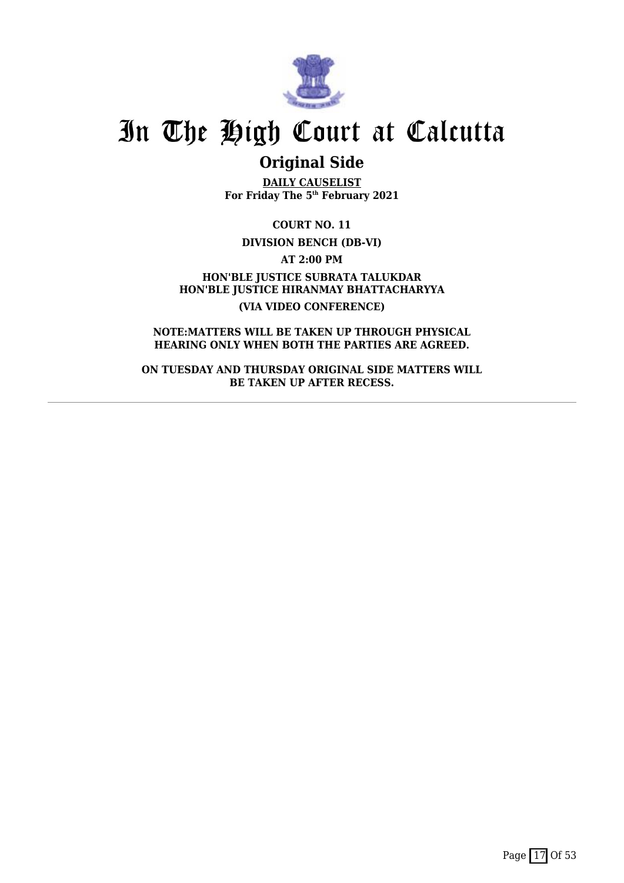

### **Original Side**

**DAILY CAUSELIST For Friday The 5th February 2021**

**COURT NO. 11**

**DIVISION BENCH (DB-VI)**

**AT 2:00 PM**

**HON'BLE JUSTICE SUBRATA TALUKDAR HON'BLE JUSTICE HIRANMAY BHATTACHARYYA (VIA VIDEO CONFERENCE)**

**NOTE:MATTERS WILL BE TAKEN UP THROUGH PHYSICAL HEARING ONLY WHEN BOTH THE PARTIES ARE AGREED.**

**ON TUESDAY AND THURSDAY ORIGINAL SIDE MATTERS WILL BE TAKEN UP AFTER RECESS.**

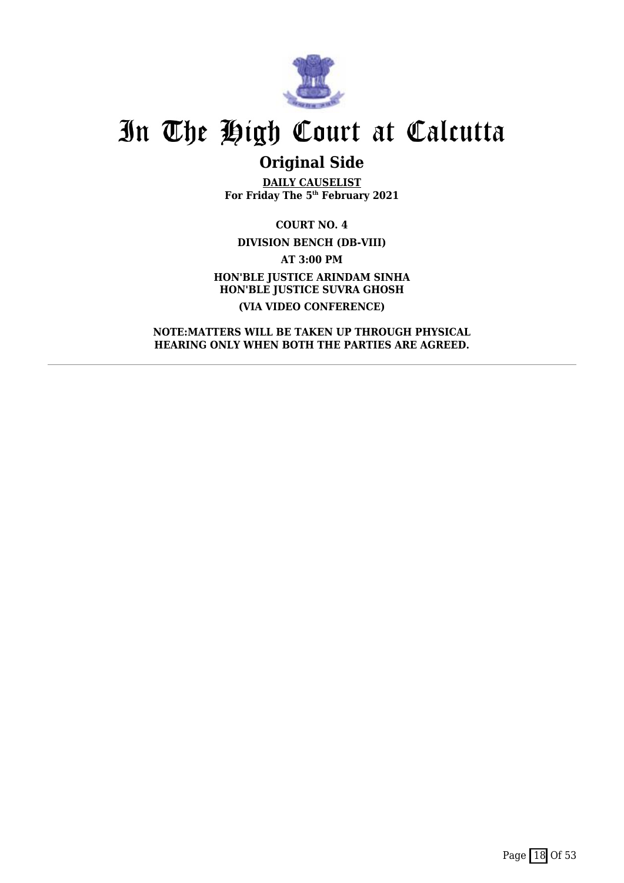

## **Original Side**

**DAILY CAUSELIST For Friday The 5th February 2021**

**COURT NO. 4 DIVISION BENCH (DB-VIII) AT 3:00 PM HON'BLE JUSTICE ARINDAM SINHA HON'BLE JUSTICE SUVRA GHOSH (VIA VIDEO CONFERENCE)**

**NOTE:MATTERS WILL BE TAKEN UP THROUGH PHYSICAL HEARING ONLY WHEN BOTH THE PARTIES ARE AGREED.**

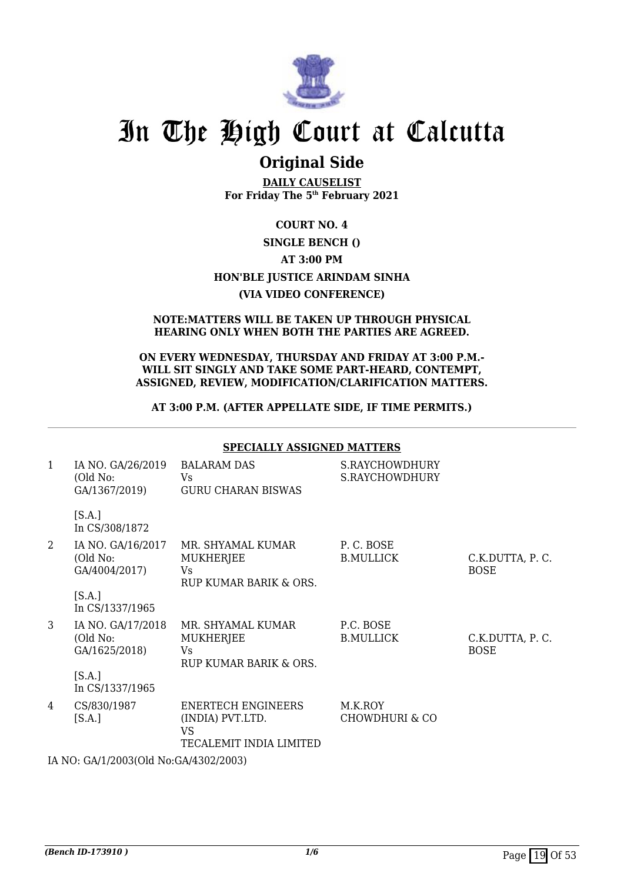

### **Original Side**

**DAILY CAUSELIST For Friday The 5th February 2021**

### **COURT NO. 4 SINGLE BENCH () AT 3:00 PM HON'BLE JUSTICE ARINDAM SINHA (VIA VIDEO CONFERENCE)**

#### **NOTE:MATTERS WILL BE TAKEN UP THROUGH PHYSICAL HEARING ONLY WHEN BOTH THE PARTIES ARE AGREED.**

#### **ON EVERY WEDNESDAY, THURSDAY AND FRIDAY AT 3:00 P.M.- WILL SIT SINGLY AND TAKE SOME PART-HEARD, CONTEMPT, ASSIGNED, REVIEW, MODIFICATION/CLARIFICATION MATTERS.**

### **AT 3:00 P.M. (AFTER APPELLATE SIDE, IF TIME PERMITS.)**

|              | <b>SPECIALLY ASSIGNED MATTERS</b>              |                                                                                |                                      |                                |
|--------------|------------------------------------------------|--------------------------------------------------------------------------------|--------------------------------------|--------------------------------|
| $\mathbf{1}$ | IA NO. GA/26/2019<br>(Old No:<br>GA/1367/2019) | <b>BALARAM DAS</b><br><b>Vs</b><br><b>GURU CHARAN BISWAS</b>                   | S.RAYCHOWDHURY<br>S.RAYCHOWDHURY     |                                |
|              | [S.A.]<br>In CS/308/1872                       |                                                                                |                                      |                                |
| 2            | IA NO. GA/16/2017<br>(Old No:<br>GA/4004/2017) | MR. SHYAMAL KUMAR<br>MUKHERJEE<br><b>Vs</b><br>RUP KUMAR BARIK & ORS.          | P.C. BOSE<br><b>B.MULLICK</b>        | C.K.DUTTA, P.C.<br><b>BOSE</b> |
|              | [S.A.]<br>In CS/1337/1965                      |                                                                                |                                      |                                |
| 3            | IA NO. GA/17/2018<br>(Old No:<br>GA/1625/2018) | MR. SHYAMAL KUMAR<br><b>MUKHERJEE</b><br><b>Vs</b><br>RUP KUMAR BARIK & ORS.   | P.C. BOSE<br><b>B.MULLICK</b>        | C.K.DUTTA, P.C.<br><b>BOSE</b> |
|              | [S.A.]<br>In CS/1337/1965                      |                                                                                |                                      |                                |
| 4            | CS/830/1987<br>[S.A.]                          | <b>ENERTECH ENGINEERS</b><br>(INDIA) PVT.LTD.<br>VS<br>TECALEMIT INDIA LIMITED | M.K.ROY<br><b>CHOWDHURI &amp; CO</b> |                                |

IA NO: GA/1/2003(Old No:GA/4302/2003)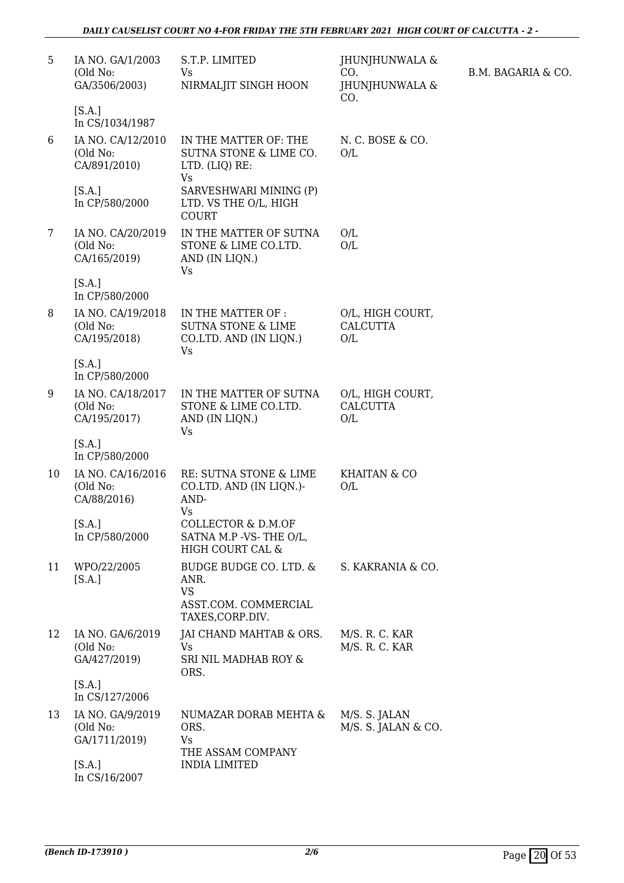| 5  | IA NO. GA/1/2003<br>(Old No:<br>GA/3506/2003)<br>[S.A.]          | S.T.P. LIMITED<br>Vs<br>NIRMALJIT SINGH HOON                                               | JHUNJHUNWALA &<br>CO.<br>JHUNJHUNWALA &<br>CO. | B.M. BAGARIA & CO. |
|----|------------------------------------------------------------------|--------------------------------------------------------------------------------------------|------------------------------------------------|--------------------|
| 6  | In CS/1034/1987<br>IA NO. CA/12/2010<br>(Old No:<br>CA/891/2010) | IN THE MATTER OF: THE<br>SUTNA STONE & LIME CO.<br>LTD. (LIQ) RE:<br><b>Vs</b>             | N. C. BOSE & CO.<br>O/L                        |                    |
|    | [S.A.]<br>In CP/580/2000                                         | SARVESHWARI MINING (P)<br>LTD. VS THE O/L, HIGH<br><b>COURT</b>                            |                                                |                    |
| 7  | IA NO. CA/20/2019<br>(Old No:<br>CA/165/2019)                    | IN THE MATTER OF SUTNA<br>STONE & LIME CO.LTD.<br>AND (IN LIQN.)<br>Vs                     | O/L<br>O/L                                     |                    |
|    | [S.A.]<br>In CP/580/2000                                         |                                                                                            |                                                |                    |
| 8  | IA NO. CA/19/2018<br>(Old No:<br>CA/195/2018)                    | IN THE MATTER OF :<br><b>SUTNA STONE &amp; LIME</b><br>CO.LTD. AND (IN LIQN.)<br><b>Vs</b> | O/L, HIGH COURT,<br><b>CALCUTTA</b><br>O/L     |                    |
|    | [S.A.]<br>In CP/580/2000                                         |                                                                                            |                                                |                    |
| 9  | IA NO. CA/18/2017<br>(Old No:<br>CA/195/2017)                    | IN THE MATTER OF SUTNA<br>STONE & LIME CO.LTD.<br>AND (IN LIQN.)<br>Vs                     | O/L, HIGH COURT,<br><b>CALCUTTA</b><br>O/L     |                    |
|    | [S.A.]<br>In CP/580/2000                                         |                                                                                            |                                                |                    |
| 10 | IA NO. CA/16/2016<br>(Old No:<br>CA/88/2016)                     | RE: SUTNA STONE & LIME<br>CO.LTD. AND (IN LIQN.)-<br>AND-<br>Vs                            | <b>KHAITAN &amp; CO</b><br>O/L                 |                    |
|    | [S.A.]<br>In CP/580/2000                                         | <b>COLLECTOR &amp; D.M.OF</b><br>SATNA M.P -VS-THE O/L,<br>HIGH COURT CAL &                |                                                |                    |
| 11 | WPO/22/2005<br>[S.A.]                                            | BUDGE BUDGE CO. LTD. &<br>ANR.<br><b>VS</b><br>ASST.COM. COMMERCIAL<br>TAXES, CORP.DIV.    | S. KAKRANIA & CO.                              |                    |
| 12 | IA NO. GA/6/2019<br>(Old No:<br>GA/427/2019)                     | JAI CHAND MAHTAB & ORS.<br><b>Vs</b><br>SRI NIL MADHAB ROY &<br>ORS.                       | M/S. R. C. KAR<br>M/S. R. C. KAR               |                    |
|    | [S.A.]<br>In CS/127/2006                                         |                                                                                            |                                                |                    |
| 13 | IA NO. GA/9/2019<br>(Old No:<br>GA/1711/2019)                    | NUMAZAR DORAB MEHTA &<br>ORS.<br>Vs<br>THE ASSAM COMPANY                                   | M/S. S. JALAN<br>M/S. S. JALAN & CO.           |                    |
|    | [S.A.]<br>In CS/16/2007                                          | <b>INDIA LIMITED</b>                                                                       |                                                |                    |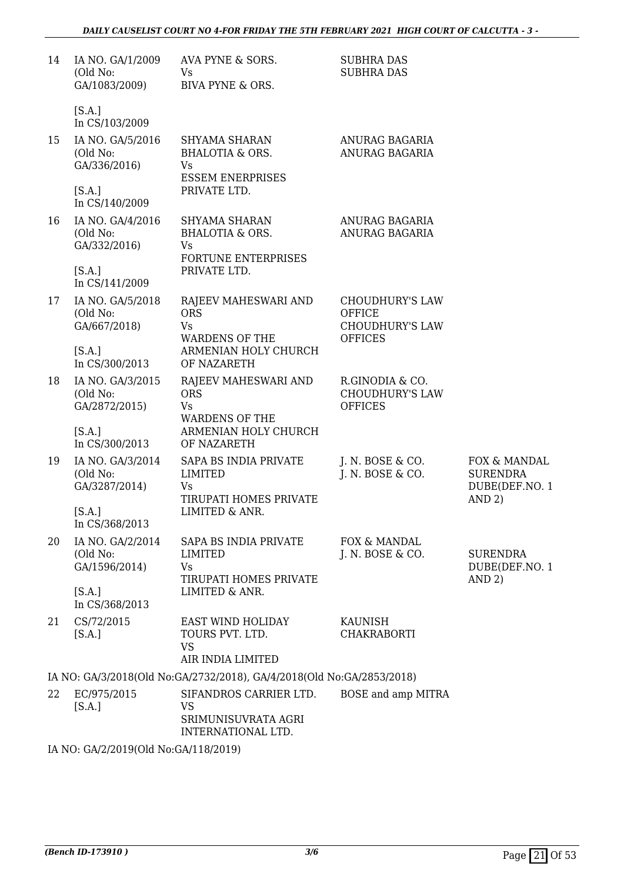| 14 | IA NO. GA/1/2009<br>(Old No:<br>GA/1083/2009)                            | AVA PYNE & SORS.<br>Vs<br><b>BIVA PYNE &amp; ORS.</b>                                            | <b>SUBHRA DAS</b><br><b>SUBHRA DAS</b>                                              |                                                             |
|----|--------------------------------------------------------------------------|--------------------------------------------------------------------------------------------------|-------------------------------------------------------------------------------------|-------------------------------------------------------------|
|    | [S.A.]<br>In CS/103/2009                                                 |                                                                                                  |                                                                                     |                                                             |
| 15 | IA NO. GA/5/2016<br>(Old No:<br>GA/336/2016)<br>[S.A.]<br>In CS/140/2009 | SHYAMA SHARAN<br><b>BHALOTIA &amp; ORS.</b><br>Vs<br><b>ESSEM ENERPRISES</b><br>PRIVATE LTD.     | ANURAG BAGARIA<br>ANURAG BAGARIA                                                    |                                                             |
| 16 | IA NO. GA/4/2016<br>(Old No:<br>GA/332/2016)<br>[S.A.]                   | SHYAMA SHARAN<br><b>BHALOTIA &amp; ORS.</b><br>Vs<br>FORTUNE ENTERPRISES<br>PRIVATE LTD.         | ANURAG BAGARIA<br>ANURAG BAGARIA                                                    |                                                             |
| 17 | In CS/141/2009<br>IA NO. GA/5/2018<br>(Old No:<br>GA/667/2018)<br>[S.A.] | RAJEEV MAHESWARI AND<br><b>ORS</b><br>Vs<br><b>WARDENS OF THE</b><br>ARMENIAN HOLY CHURCH        | <b>CHOUDHURY'S LAW</b><br><b>OFFICE</b><br><b>CHOUDHURY'S LAW</b><br><b>OFFICES</b> |                                                             |
|    | In CS/300/2013                                                           | OF NAZARETH                                                                                      |                                                                                     |                                                             |
| 18 | IA NO. GA/3/2015<br>(Old No:<br>GA/2872/2015)<br>[S.A.]                  | RAJEEV MAHESWARI AND<br><b>ORS</b><br><b>Vs</b><br><b>WARDENS OF THE</b><br>ARMENIAN HOLY CHURCH | R.GINODIA & CO.<br><b>CHOUDHURY'S LAW</b><br><b>OFFICES</b>                         |                                                             |
|    | In CS/300/2013                                                           | OF NAZARETH                                                                                      |                                                                                     |                                                             |
| 19 | IA NO. GA/3/2014<br>(Old No:<br>GA/3287/2014)<br>[S.A.]                  | SAPA BS INDIA PRIVATE<br><b>LIMITED</b><br>Vs<br>TIRUPATI HOMES PRIVATE<br>LIMITED & ANR.        | J. N. BOSE $&$ CO.<br>J. N. BOSE & CO.                                              | FOX & MANDAL<br><b>SURENDRA</b><br>DUBE(DEF.NO. 1<br>AND 2) |
|    | In CS/368/2013                                                           |                                                                                                  |                                                                                     |                                                             |
| 20 | IA NO. GA/2/2014<br>(Old No:<br>GA/1596/2014)                            | SAPA BS INDIA PRIVATE<br><b>LIMITED</b><br>Vs<br>TIRUPATI HOMES PRIVATE                          | FOX & MANDAL<br>J. N. BOSE & CO.                                                    | <b>SURENDRA</b><br>DUBE(DEF.NO. 1<br>AND 2)                 |
|    | [S.A.]<br>In CS/368/2013                                                 | LIMITED & ANR.                                                                                   |                                                                                     |                                                             |
| 21 | CS/72/2015<br>[S.A.]                                                     | EAST WIND HOLIDAY<br>TOURS PVT. LTD.<br><b>VS</b><br>AIR INDIA LIMITED                           | KAUNISH<br><b>CHAKRABORTI</b>                                                       |                                                             |
|    |                                                                          | IA NO: GA/3/2018(Old No:GA/2732/2018), GA/4/2018(Old No:GA/2853/2018)                            |                                                                                     |                                                             |
| 22 | EC/975/2015<br>[S.A.]                                                    | SIFANDROS CARRIER LTD.<br><b>VS</b><br>SRIMUNISUVRATA AGRI<br>INTERNATIONAL LTD.                 | BOSE and amp MITRA                                                                  |                                                             |

IA NO: GA/2/2019(Old No:GA/118/2019)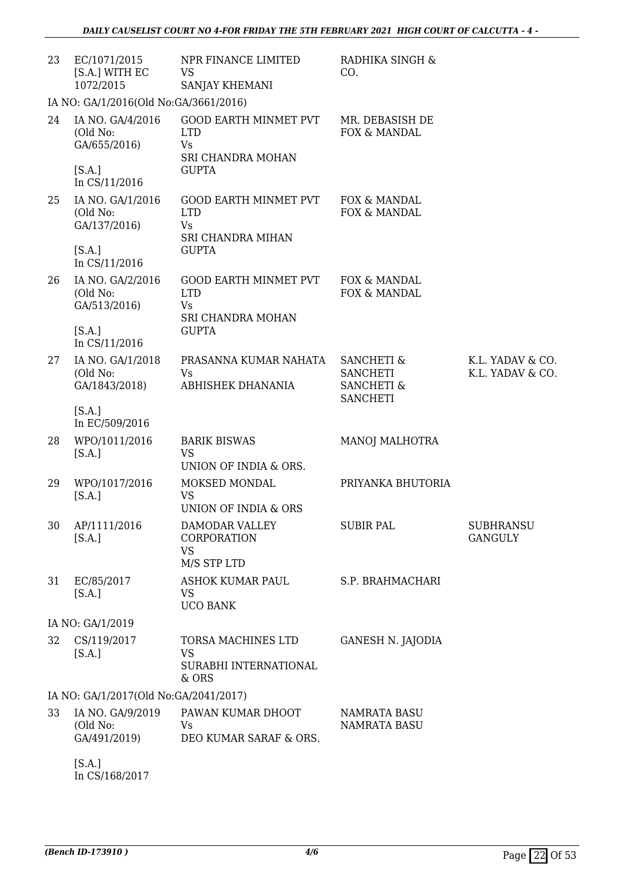| 23 | EC/1071/2015<br>[S.A.] WITH EC<br>1072/2015                             | NPR FINANCE LIMITED<br>VS<br>SANJAY KHEMANI                                                  | RADHIKA SINGH &<br>CO.                                                               |                                      |
|----|-------------------------------------------------------------------------|----------------------------------------------------------------------------------------------|--------------------------------------------------------------------------------------|--------------------------------------|
|    | IA NO: GA/1/2016(Old No:GA/3661/2016)                                   |                                                                                              |                                                                                      |                                      |
| 24 | IA NO. GA/4/2016<br>(Old No:<br>GA/655/2016)<br>[S.A.]<br>In CS/11/2016 | <b>GOOD EARTH MINMET PVT</b><br><b>LTD</b><br><b>Vs</b><br>SRI CHANDRA MOHAN<br><b>GUPTA</b> | MR. DEBASISH DE<br>FOX & MANDAL                                                      |                                      |
| 25 | IA NO. GA/1/2016<br>(Old No:<br>GA/137/2016)<br>[S.A.]                  | <b>GOOD EARTH MINMET PVT</b><br><b>LTD</b><br>Vs<br><b>SRI CHANDRA MIHAN</b><br><b>GUPTA</b> | FOX & MANDAL<br>FOX & MANDAL                                                         |                                      |
|    | In CS/11/2016                                                           |                                                                                              |                                                                                      |                                      |
| 26 | IA NO. GA/2/2016<br>(Old No:<br>GA/513/2016)                            | <b>GOOD EARTH MINMET PVT</b><br><b>LTD</b><br><b>Vs</b><br>SRI CHANDRA MOHAN                 | FOX & MANDAL<br>FOX & MANDAL                                                         |                                      |
|    | [S.A.]<br>In CS/11/2016                                                 | <b>GUPTA</b>                                                                                 |                                                                                      |                                      |
| 27 | IA NO. GA/1/2018<br>(Old No:<br>GA/1843/2018)                           | PRASANNA KUMAR NAHATA<br>Vs<br>ABHISHEK DHANANIA                                             | <b>SANCHETI &amp;</b><br><b>SANCHETI</b><br><b>SANCHETI &amp;</b><br><b>SANCHETI</b> | K.L. YADAV & CO.<br>K.L. YADAV & CO. |
|    | [S.A.]<br>In EC/509/2016                                                |                                                                                              |                                                                                      |                                      |
| 28 | WPO/1011/2016<br>[S.A.]                                                 | <b>BARIK BISWAS</b><br><b>VS</b><br>UNION OF INDIA & ORS.                                    | MANOJ MALHOTRA                                                                       |                                      |
| 29 | WPO/1017/2016<br>[S.A.]                                                 | MOKSED MONDAL<br><b>VS</b><br>UNION OF INDIA & ORS                                           | PRIYANKA BHUTORIA                                                                    |                                      |
| 30 | AP/1111/2016<br>[S.A.]                                                  | DAMODAR VALLEY<br>CORPORATION<br><b>VS</b><br>M/S STP LTD                                    | <b>SUBIR PAL</b>                                                                     | <b>SUBHRANSU</b><br><b>GANGULY</b>   |
| 31 | EC/85/2017<br>[S.A.]                                                    | <b>ASHOK KUMAR PAUL</b><br><b>VS</b><br><b>UCO BANK</b>                                      | S.P. BRAHMACHARI                                                                     |                                      |
|    | IA NO: GA/1/2019                                                        |                                                                                              |                                                                                      |                                      |
| 32 | CS/119/2017<br>[S.A.]                                                   | TORSA MACHINES LTD<br><b>VS</b><br>SURABHI INTERNATIONAL<br>& ORS                            | <b>GANESH N. JAJODIA</b>                                                             |                                      |
|    | IA NO: GA/1/2017(Old No:GA/2041/2017)                                   |                                                                                              |                                                                                      |                                      |
| 33 | IA NO. GA/9/2019<br>(Old No:<br>GA/491/2019)                            | PAWAN KUMAR DHOOT<br>Vs<br>DEO KUMAR SARAF & ORS.                                            | NAMRATA BASU<br><b>NAMRATA BASU</b>                                                  |                                      |
|    | [S.A.]                                                                  |                                                                                              |                                                                                      |                                      |

In CS/168/2017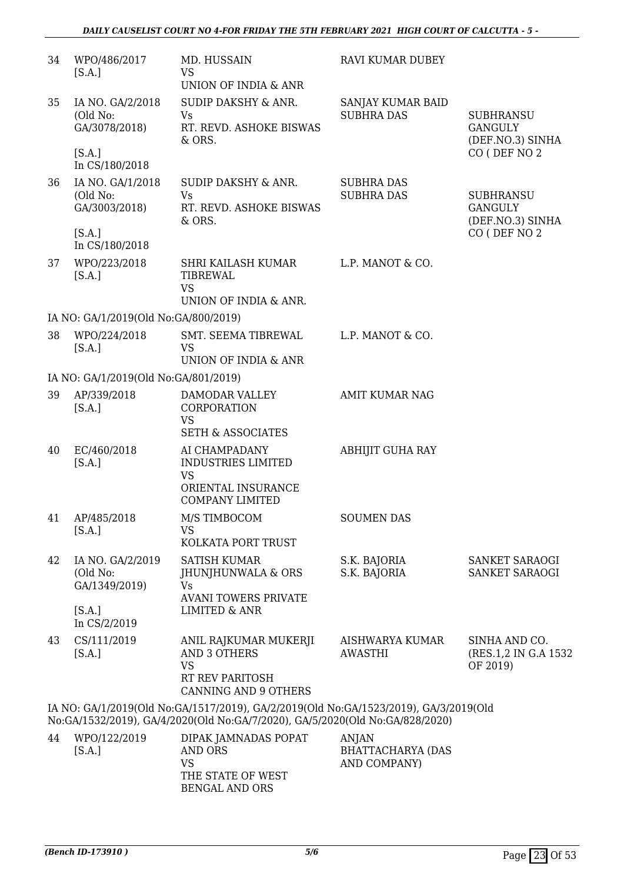| 34 | WPO/486/2017<br>[S.A.]                                  | MD. HUSSAIN<br><b>VS</b><br>UNION OF INDIA & ANR                                                                                                                     | <b>RAVI KUMAR DUBEY</b>                  |                                                        |
|----|---------------------------------------------------------|----------------------------------------------------------------------------------------------------------------------------------------------------------------------|------------------------------------------|--------------------------------------------------------|
| 35 | IA NO. GA/2/2018<br>(Old No:<br>GA/3078/2018)           | SUDIP DAKSHY & ANR.<br><b>Vs</b><br>RT. REVD. ASHOKE BISWAS<br>& ORS.                                                                                                | SANJAY KUMAR BAID<br><b>SUBHRA DAS</b>   | <b>SUBHRANSU</b><br><b>GANGULY</b><br>(DEF.NO.3) SINHA |
|    | [S.A.]<br>In CS/180/2018                                |                                                                                                                                                                      |                                          | CO (DEF NO 2                                           |
| 36 | IA NO. GA/1/2018<br>(Old No:<br>GA/3003/2018)           | SUDIP DAKSHY & ANR.<br>Vs<br>RT. REVD. ASHOKE BISWAS<br>& ORS.                                                                                                       | <b>SUBHRA DAS</b><br><b>SUBHRA DAS</b>   | <b>SUBHRANSU</b><br><b>GANGULY</b><br>(DEF.NO.3) SINHA |
|    | [S.A.]<br>In CS/180/2018                                |                                                                                                                                                                      |                                          | CO (DEF NO 2                                           |
| 37 | WPO/223/2018<br>[S.A.]                                  | SHRI KAILASH KUMAR<br>TIBREWAL<br><b>VS</b><br>UNION OF INDIA & ANR.                                                                                                 | L.P. MANOT & CO.                         |                                                        |
|    | IA NO: GA/1/2019(Old No:GA/800/2019)                    |                                                                                                                                                                      |                                          |                                                        |
| 38 | WPO/224/2018<br>[S.A.]                                  | SMT. SEEMA TIBREWAL<br><b>VS</b><br>UNION OF INDIA & ANR                                                                                                             | L.P. MANOT & CO.                         |                                                        |
|    | IA NO: GA/1/2019(Old No:GA/801/2019)                    |                                                                                                                                                                      |                                          |                                                        |
| 39 | AP/339/2018<br>[S.A.]                                   | DAMODAR VALLEY<br>CORPORATION<br><b>VS</b><br><b>SETH &amp; ASSOCIATES</b>                                                                                           | <b>AMIT KUMAR NAG</b>                    |                                                        |
| 40 | EC/460/2018<br>[S.A.]                                   | AI CHAMPADANY<br><b>INDUSTRIES LIMITED</b><br><b>VS</b><br>ORIENTAL INSURANCE<br><b>COMPANY LIMITED</b>                                                              | <b>ABHIJIT GUHA RAY</b>                  |                                                        |
|    | 41 AP/485/2018<br>[S.A.]                                | M/S TIMBOCOM<br><b>VS</b><br>KOLKATA PORT TRUST                                                                                                                      | <b>SOUMEN DAS</b>                        |                                                        |
| 42 | IA NO. GA/2/2019<br>(Old No:<br>GA/1349/2019)<br>[S.A.] | <b>SATISH KUMAR</b><br>JHUNJHUNWALA & ORS<br><b>Vs</b><br><b>AVANI TOWERS PRIVATE</b><br><b>LIMITED &amp; ANR</b>                                                    | S.K. BAJORIA<br>S.K. BAJORIA             | SANKET SARAOGI<br>SANKET SARAOGI                       |
| 43 | In CS/2/2019<br>CS/111/2019<br>[S.A.]                   | ANIL RAJKUMAR MUKERJI<br><b>AND 3 OTHERS</b><br><b>VS</b><br>RT REV PARITOSH<br>CANNING AND 9 OTHERS                                                                 | AISHWARYA KUMAR<br><b>AWASTHI</b>        | SINHA AND CO.<br>(RES.1,2 IN G.A 1532<br>OF 2019)      |
|    |                                                         | IA NO: GA/1/2019(Old No:GA/1517/2019), GA/2/2019(Old No:GA/1523/2019), GA/3/2019(Old<br>No:GA/1532/2019), GA/4/2020(Old No:GA/7/2020), GA/5/2020(Old No:GA/828/2020) |                                          |                                                        |
| 44 | WPO/122/2019<br>[S.A.]                                  | DIPAK JAMNADAS POPAT<br>AND ORS                                                                                                                                      | <b>ANJAN</b><br><b>BHATTACHARYA (DAS</b> |                                                        |

VS

THE STATE OF WEST BENGAL AND ORS

AND COMPANY)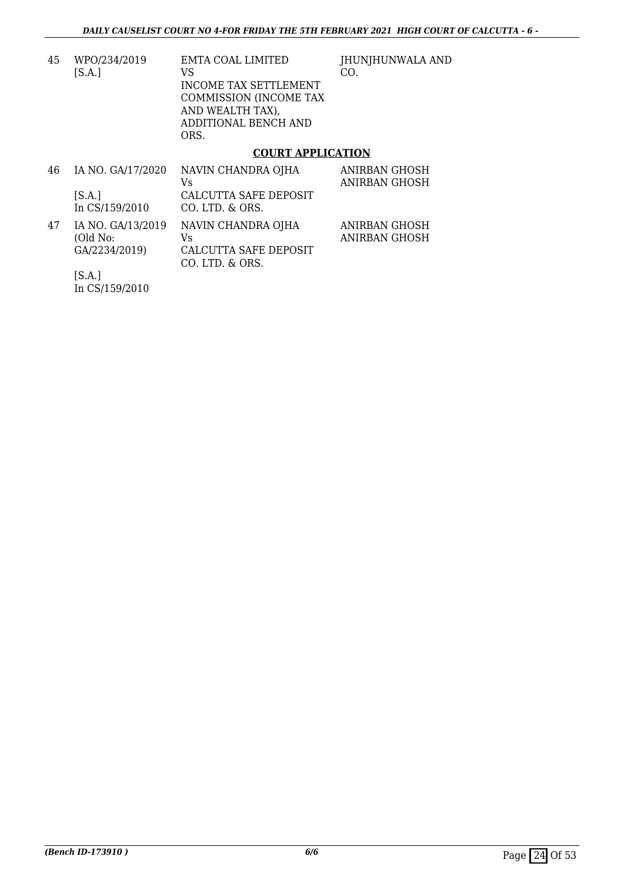45 WPO/234/2019 [S.A.] EMTA COAL LIMITED VS INCOME TAX SETTLEMENT COMMISSION (INCOME TAX AND WEALTH TAX), ADDITIONAL BENCH AND ORS.

JHUNJHUNWALA AND CO.

### **COURT APPLICATION**

| 46 | IA NO. GA/17/2020<br>[S.A.]<br>In CS/159/2010            | NAVIN CHANDRA OJHA<br>Vs<br>CALCUTTA SAFE DEPOSIT<br>CO. LTD. & ORS. | ANIRBAN GHOSH<br><b>ANIRBAN GHOSH</b> |
|----|----------------------------------------------------------|----------------------------------------------------------------------|---------------------------------------|
| 47 | IA NO. GA/13/2019<br>(Old No:<br>GA/2234/2019)<br>-- - - | NAVIN CHANDRA OJHA<br>Vs<br>CALCUTTA SAFE DEPOSIT<br>CO. LTD. & ORS. | ANIRBAN GHOSH<br><b>ANIRBAN GHOSH</b> |

[S.A.] In CS/159/2010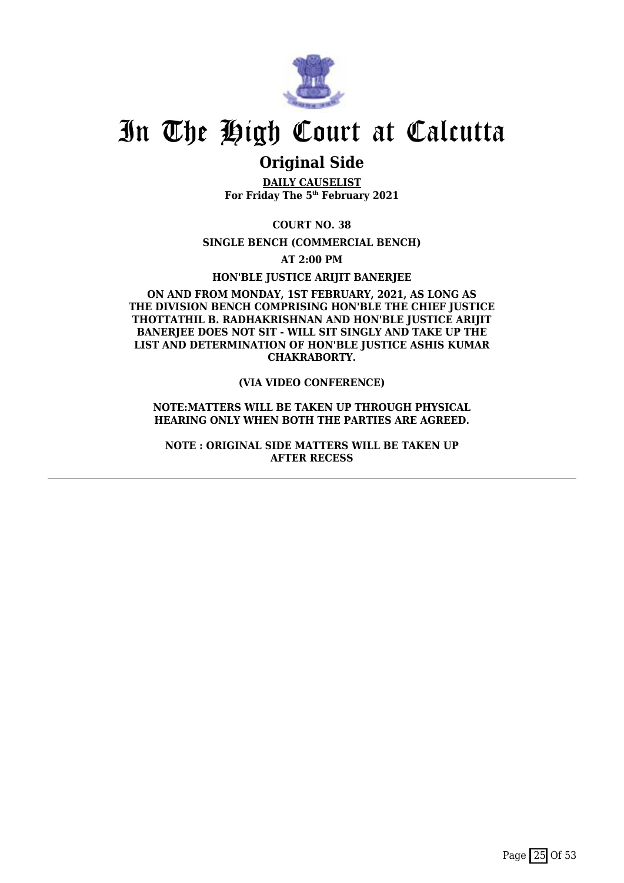

### **Original Side**

**DAILY CAUSELIST For Friday The 5th February 2021**

**COURT NO. 38**

**SINGLE BENCH (COMMERCIAL BENCH)**

**AT 2:00 PM**

**HON'BLE JUSTICE ARIJIT BANERJEE**

#### **ON AND FROM MONDAY, 1ST FEBRUARY, 2021, AS LONG AS THE DIVISION BENCH COMPRISING HON'BLE THE CHIEF JUSTICE THOTTATHIL B. RADHAKRISHNAN AND HON'BLE JUSTICE ARIJIT** BANERIEE DOES NOT SIT - WILL SIT SINGLY AND TAKE UP THE **LIST AND DETERMINATION OF HON'BLE JUSTICE ASHIS KUMAR CHAKRABORTY.**

#### **(VIA VIDEO CONFERENCE)**

#### **NOTE:MATTERS WILL BE TAKEN UP THROUGH PHYSICAL HEARING ONLY WHEN BOTH THE PARTIES ARE AGREED.**

**NOTE : ORIGINAL SIDE MATTERS WILL BE TAKEN UP AFTER RECESS**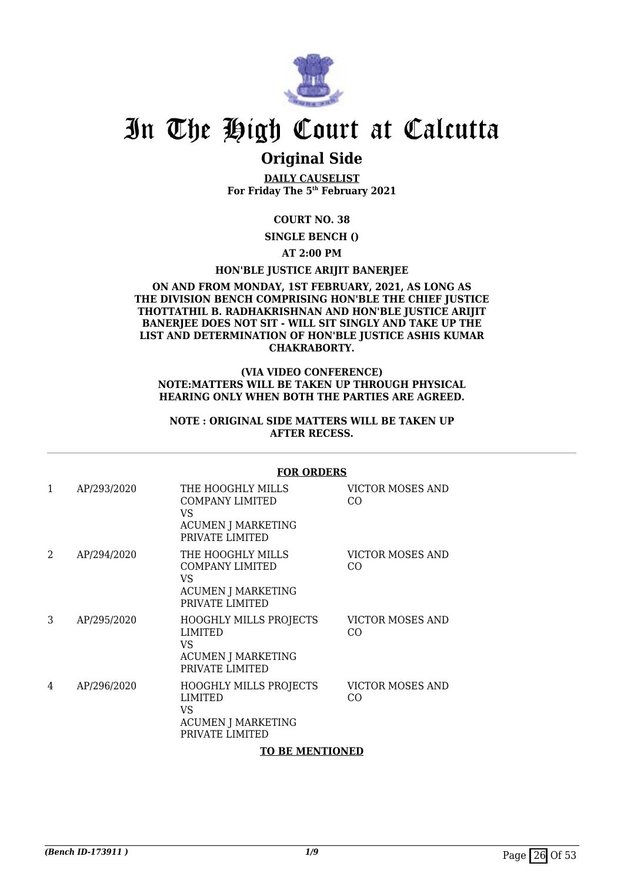

### **Original Side**

**DAILY CAUSELIST For Friday The 5th February 2021**

### **COURT NO. 38**

**SINGLE BENCH ()**

**AT 2:00 PM**

### **HON'BLE JUSTICE ARIJIT BANERJEE**

#### **ON AND FROM MONDAY, 1ST FEBRUARY, 2021, AS LONG AS THE DIVISION BENCH COMPRISING HON'BLE THE CHIEF JUSTICE THOTTATHIL B. RADHAKRISHNAN AND HON'BLE JUSTICE ARIJIT BANERJEE DOES NOT SIT - WILL SIT SINGLY AND TAKE UP THE LIST AND DETERMINATION OF HON'BLE JUSTICE ASHIS KUMAR CHAKRABORTY.**

#### **(VIA VIDEO CONFERENCE) NOTE:MATTERS WILL BE TAKEN UP THROUGH PHYSICAL HEARING ONLY WHEN BOTH THE PARTIES ARE AGREED.**

#### **NOTE : ORIGINAL SIDE MATTERS WILL BE TAKEN UP AFTER RECESS.**

|                |             | I UN UNDLNJ                                                                                        |                                |
|----------------|-------------|----------------------------------------------------------------------------------------------------|--------------------------------|
| 1              | AP/293/2020 | THE HOOGHLY MILLS<br><b>COMPANY LIMITED</b><br>VS.<br><b>ACUMEN J MARKETING</b><br>PRIVATE LIMITED | <b>VICTOR MOSES AND</b><br>CO. |
| $\mathfrak{D}$ | AP/294/2020 | THE HOOGHLY MILLS<br><b>COMPANY LIMITED</b><br>VS<br><b>ACUMEN J MARKETING</b><br>PRIVATE LIMITED  | VICTOR MOSES AND<br>CO.        |
| 3              | AP/295/2020 | <b>HOOGHLY MILLS PROJECTS</b><br>LIMITED<br>VS<br><b>ACUMEN J MARKETING</b><br>PRIVATE LIMITED     | VICTOR MOSES AND<br>CO.        |
| 4              | AP/296/2020 | <b>HOOGHLY MILLS PROJECTS</b><br>LIMITED<br>VS.<br><b>ACUMEN J MARKETING</b><br>PRIVATE LIMITED    | <b>VICTOR MOSES AND</b><br>CO. |
|                |             | <b>TO BE MENTIONED</b>                                                                             |                                |

#### **FOR ORDERS**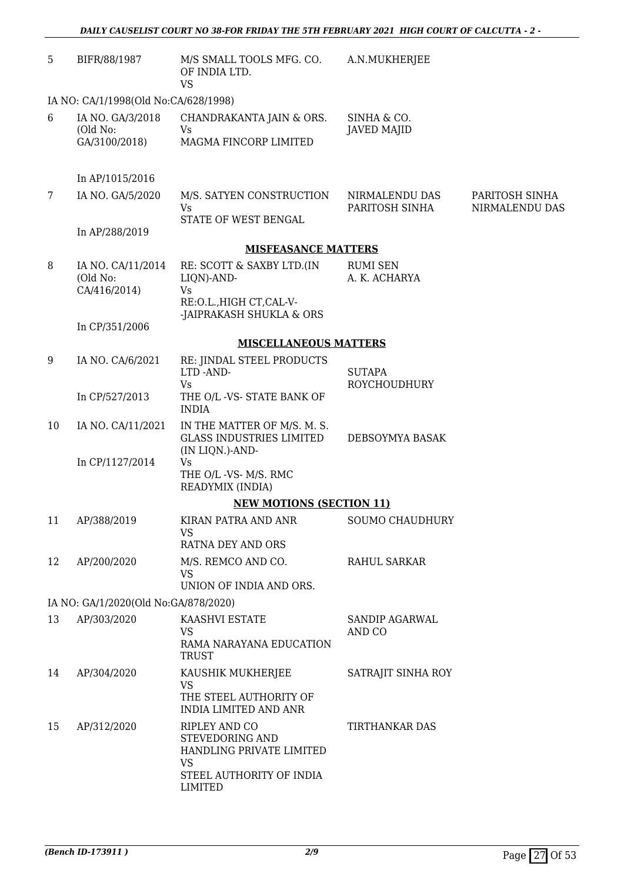| 5  | BIFR/88/1987                                  | M/S SMALL TOOLS MFG. CO.<br>OF INDIA LTD.<br><b>VS</b>                                                                         | A.N.MUKHERJEE                        |                                  |
|----|-----------------------------------------------|--------------------------------------------------------------------------------------------------------------------------------|--------------------------------------|----------------------------------|
|    | IA NO: CA/1/1998(Old No:CA/628/1998)          |                                                                                                                                |                                      |                                  |
| 6  | IA NO. GA/3/2018<br>(Old No:<br>GA/3100/2018) | CHANDRAKANTA JAIN & ORS.<br>Vs<br>MAGMA FINCORP LIMITED                                                                        | SINHA & CO.<br><b>JAVED MAJID</b>    |                                  |
|    | In AP/1015/2016                               |                                                                                                                                |                                      |                                  |
| 7  | IA NO. GA/5/2020                              | M/S. SATYEN CONSTRUCTION<br>Vs<br>STATE OF WEST BENGAL                                                                         | NIRMALENDU DAS<br>PARITOSH SINHA     | PARITOSH SINHA<br>NIRMALENDU DAS |
|    | In AP/288/2019                                |                                                                                                                                |                                      |                                  |
|    |                                               | <b>MISFEASANCE MATTERS</b>                                                                                                     |                                      |                                  |
| 8  | IA NO. CA/11/2014<br>(Old No:<br>CA/416/2014) | RE: SCOTT & SAXBY LTD.(IN<br>LIQN)-AND-<br>Vs                                                                                  | <b>RUMI SEN</b><br>A. K. ACHARYA     |                                  |
|    | In CP/351/2006                                | RE:O.L., HIGH CT, CAL-V-<br>-JAIPRAKASH SHUKLA & ORS                                                                           |                                      |                                  |
|    |                                               | <b>MISCELLANEOUS MATTERS</b>                                                                                                   |                                      |                                  |
| 9  | IA NO. CA/6/2021                              | RE: JINDAL STEEL PRODUCTS<br>LTD-AND-<br>Vs                                                                                    | <b>SUTAPA</b><br><b>ROYCHOUDHURY</b> |                                  |
|    | In CP/527/2013                                | THE O/L -VS- STATE BANK OF<br><b>INDIA</b>                                                                                     |                                      |                                  |
| 10 | IA NO. CA/11/2021                             | IN THE MATTER OF M/S. M. S.<br><b>GLASS INDUSTRIES LIMITED</b><br>(IN LIQN.)-AND-                                              | DEBSOYMYA BASAK                      |                                  |
|    | In CP/1127/2014                               | Vs<br>THE O/L -VS- M/S. RMC<br>READYMIX (INDIA)                                                                                |                                      |                                  |
|    |                                               | <b>NEW MOTIONS (SECTION 11)</b>                                                                                                |                                      |                                  |
| 11 | AP/388/2019                                   | KIRAN PATRA AND ANR<br><b>VS</b><br><b>RATNA DEY AND ORS</b>                                                                   | <b>SOUMO CHAUDHURY</b>               |                                  |
| 12 | AP/200/2020                                   | M/S. REMCO AND CO.<br><b>VS</b><br>UNION OF INDIA AND ORS.                                                                     | <b>RAHUL SARKAR</b>                  |                                  |
|    | IA NO: GA/1/2020(Old No:GA/878/2020)          |                                                                                                                                |                                      |                                  |
| 13 | AP/303/2020                                   | KAASHVI ESTATE<br><b>VS</b><br>RAMA NARAYANA EDUCATION                                                                         | <b>SANDIP AGARWAL</b><br>AND CO      |                                  |
|    |                                               | <b>TRUST</b>                                                                                                                   |                                      |                                  |
| 14 | AP/304/2020                                   | KAUSHIK MUKHERJEE<br><b>VS</b><br>THE STEEL AUTHORITY OF                                                                       | SATRAJIT SINHA ROY                   |                                  |
| 15 | AP/312/2020                                   | INDIA LIMITED AND ANR<br>RIPLEY AND CO<br>STEVEDORING AND<br>HANDLING PRIVATE LIMITED<br><b>VS</b><br>STEEL AUTHORITY OF INDIA | TIRTHANKAR DAS                       |                                  |

LIMITED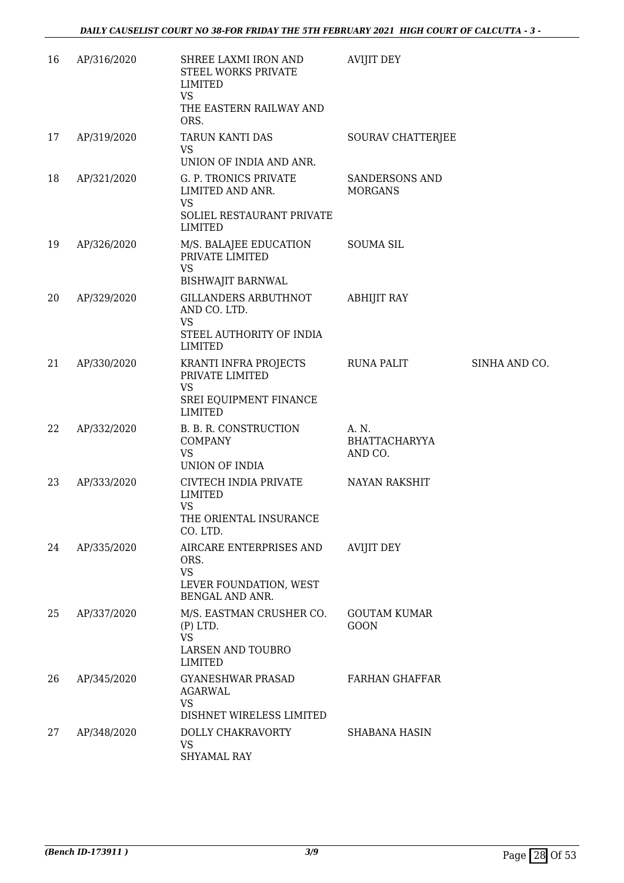| 16 | AP/316/2020 | SHREE LAXMI IRON AND<br>STEEL WORKS PRIVATE<br>LIMITED<br><b>VS</b><br>THE EASTERN RAILWAY AND         | <b>AVIJIT DEY</b>                        |               |
|----|-------------|--------------------------------------------------------------------------------------------------------|------------------------------------------|---------------|
| 17 | AP/319/2020 | ORS.<br>TARUN KANTI DAS<br>VS<br>UNION OF INDIA AND ANR.                                               | SOURAV CHATTERJEE                        |               |
| 18 | AP/321/2020 | G. P. TRONICS PRIVATE<br>LIMITED AND ANR.<br><b>VS</b><br>SOLIEL RESTAURANT PRIVATE<br><b>LIMITED</b>  | <b>SANDERSONS AND</b><br><b>MORGANS</b>  |               |
| 19 | AP/326/2020 | M/S. BALAJEE EDUCATION<br>PRIVATE LIMITED<br><b>VS</b><br><b>BISHWAJIT BARNWAL</b>                     | <b>SOUMA SIL</b>                         |               |
| 20 | AP/329/2020 | <b>GILLANDERS ARBUTHNOT</b><br>AND CO. LTD.<br><b>VS</b><br>STEEL AUTHORITY OF INDIA<br><b>LIMITED</b> | <b>ABHIJIT RAY</b>                       |               |
| 21 | AP/330/2020 | KRANTI INFRA PROJECTS<br>PRIVATE LIMITED<br><b>VS</b><br>SREI EQUIPMENT FINANCE<br>LIMITED             | <b>RUNA PALIT</b>                        | SINHA AND CO. |
| 22 | AP/332/2020 | B. B. R. CONSTRUCTION<br><b>COMPANY</b><br><b>VS</b><br>UNION OF INDIA                                 | A. N.<br><b>BHATTACHARYYA</b><br>AND CO. |               |
| 23 | AP/333/2020 | CIVTECH INDIA PRIVATE<br><b>LIMITED</b><br>VS<br>THE ORIENTAL INSURANCE<br>CO. LTD.                    | <b>NAYAN RAKSHIT</b>                     |               |
| 24 | AP/335/2020 | AIRCARE ENTERPRISES AND<br>ORS.<br><b>VS</b><br>LEVER FOUNDATION, WEST<br>BENGAL AND ANR.              | AVIJIT DEY                               |               |
| 25 | AP/337/2020 | M/S. EASTMAN CRUSHER CO.<br>$(P)$ LTD.<br><b>VS</b><br><b>LARSEN AND TOUBRO</b><br><b>LIMITED</b>      | <b>GOUTAM KUMAR</b><br><b>GOON</b>       |               |
| 26 | AP/345/2020 | <b>GYANESHWAR PRASAD</b><br><b>AGARWAL</b><br><b>VS</b><br>DISHNET WIRELESS LIMITED                    | <b>FARHAN GHAFFAR</b>                    |               |
| 27 | AP/348/2020 | DOLLY CHAKRAVORTY<br><b>VS</b><br><b>SHYAMAL RAY</b>                                                   | <b>SHABANA HASIN</b>                     |               |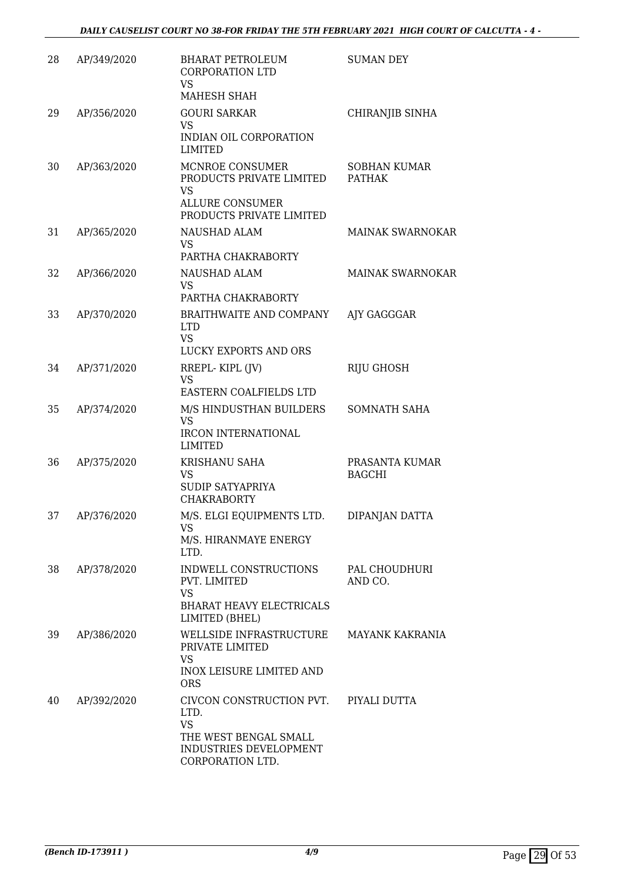| 28 | AP/349/2020 | <b>BHARAT PETROLEUM</b><br><b>CORPORATION LTD</b><br><b>VS</b><br>MAHESH SHAH                                        | <b>SUMAN DEY</b>                     |
|----|-------------|----------------------------------------------------------------------------------------------------------------------|--------------------------------------|
| 29 | AP/356/2020 | <b>GOURI SARKAR</b><br><b>VS</b><br>INDIAN OIL CORPORATION<br>LIMITED                                                | CHIRANJIB SINHA                      |
| 30 | AP/363/2020 | MCNROE CONSUMER<br>PRODUCTS PRIVATE LIMITED<br>VS<br><b>ALLURE CONSUMER</b><br>PRODUCTS PRIVATE LIMITED              | <b>SOBHAN KUMAR</b><br><b>PATHAK</b> |
| 31 | AP/365/2020 | NAUSHAD ALAM<br>VS<br>PARTHA CHAKRABORTY                                                                             | <b>MAINAK SWARNOKAR</b>              |
| 32 | AP/366/2020 | NAUSHAD ALAM<br><b>VS</b><br>PARTHA CHAKRABORTY                                                                      | <b>MAINAK SWARNOKAR</b>              |
| 33 | AP/370/2020 | BRAITHWAITE AND COMPANY<br><b>LTD</b><br><b>VS</b><br>LUCKY EXPORTS AND ORS                                          | AJY GAGGGAR                          |
| 34 | AP/371/2020 | RREPL-KIPL (JV)<br><b>VS</b><br>EASTERN COALFIELDS LTD                                                               | RIJU GHOSH                           |
| 35 | AP/374/2020 | M/S HINDUSTHAN BUILDERS<br><b>VS</b><br><b>IRCON INTERNATIONAL</b><br><b>LIMITED</b>                                 | SOMNATH SAHA                         |
| 36 | AP/375/2020 | KRISHANU SAHA<br>VS<br>SUDIP SATYAPRIYA<br><b>CHAKRABORTY</b>                                                        | PRASANTA KUMAR<br><b>BAGCHI</b>      |
| 37 | AP/376/2020 | M/S. ELGI EQUIPMENTS LTD.<br>VS<br>M/S. HIRANMAYE ENERGY<br>LTD.                                                     | DIPANJAN DATTA                       |
| 38 | AP/378/2020 | INDWELL CONSTRUCTIONS<br>PVT. LIMITED<br><b>VS</b><br><b>BHARAT HEAVY ELECTRICALS</b><br>LIMITED (BHEL)              | PAL CHOUDHURI<br>AND CO.             |
| 39 | AP/386/2020 | WELLSIDE INFRASTRUCTURE<br>PRIVATE LIMITED<br>VS<br><b>INOX LEISURE LIMITED AND</b><br><b>ORS</b>                    | <b>MAYANK KAKRANIA</b>               |
| 40 | AP/392/2020 | CIVCON CONSTRUCTION PVT.<br>LTD.<br><b>VS</b><br>THE WEST BENGAL SMALL<br>INDUSTRIES DEVELOPMENT<br>CORPORATION LTD. | PIYALI DUTTA                         |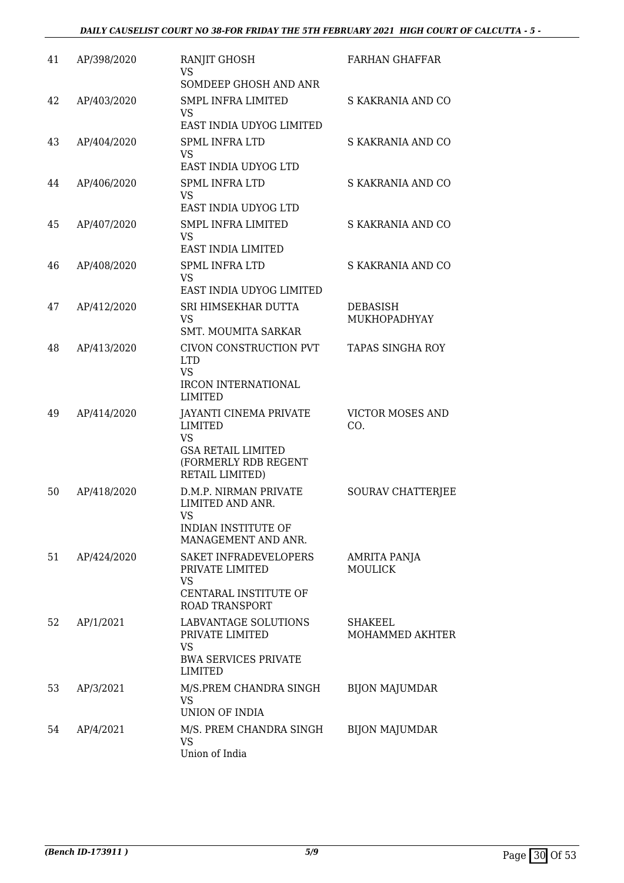| 41 | AP/398/2020 | RANJIT GHOSH<br>VS                                                                                                                   | <b>FARHAN GHAFFAR</b>             |
|----|-------------|--------------------------------------------------------------------------------------------------------------------------------------|-----------------------------------|
|    |             | SOMDEEP GHOSH AND ANR                                                                                                                |                                   |
| 42 | AP/403/2020 | <b>SMPL INFRA LIMITED</b><br><b>VS</b><br>EAST INDIA UDYOG LIMITED                                                                   | S KAKRANIA AND CO                 |
| 43 | AP/404/2020 | <b>SPML INFRA LTD</b>                                                                                                                | S KAKRANIA AND CO                 |
|    |             | <b>VS</b><br>EAST INDIA UDYOG LTD                                                                                                    |                                   |
| 44 | AP/406/2020 | <b>SPML INFRA LTD</b>                                                                                                                | S KAKRANIA AND CO                 |
|    |             | VS<br>EAST INDIA UDYOG LTD                                                                                                           |                                   |
| 45 | AP/407/2020 | <b>SMPL INFRA LIMITED</b><br>VS                                                                                                      | S KAKRANIA AND CO                 |
|    |             | EAST INDIA LIMITED                                                                                                                   |                                   |
| 46 | AP/408/2020 | <b>SPML INFRA LTD</b><br>VS                                                                                                          | S KAKRANIA AND CO                 |
|    |             | EAST INDIA UDYOG LIMITED                                                                                                             |                                   |
| 47 | AP/412/2020 | SRI HIMSEKHAR DUTTA<br>VS<br><b>SMT. MOUMITA SARKAR</b>                                                                              | DEBASISH<br>MUKHOPADHYAY          |
| 48 | AP/413/2020 | CIVON CONSTRUCTION PVT                                                                                                               | <b>TAPAS SINGHA ROY</b>           |
|    |             | <b>LTD</b><br><b>VS</b>                                                                                                              |                                   |
|    |             | <b>IRCON INTERNATIONAL</b><br>LIMITED                                                                                                |                                   |
| 49 | AP/414/2020 | <b>JAYANTI CINEMA PRIVATE</b><br><b>LIMITED</b><br><b>VS</b><br><b>GSA RETAIL LIMITED</b><br>(FORMERLY RDB REGENT<br>RETAIL LIMITED) | <b>VICTOR MOSES AND</b><br>CO.    |
| 50 | AP/418/2020 | <b>D.M.P. NIRMAN PRIVATE</b><br>LIMITED AND ANR.<br>VS.<br>INDIAN INSTITUTE OF<br>MANAGEMENT AND ANR.                                | SOURAV CHATTERJEE                 |
| 51 | AP/424/2020 | SAKET INFRADEVELOPERS<br>PRIVATE LIMITED                                                                                             | AMRITA PANJA<br><b>MOULICK</b>    |
|    |             | VS<br>CENTARAL INSTITUTE OF<br><b>ROAD TRANSPORT</b>                                                                                 |                                   |
| 52 | AP/1/2021   | LABVANTAGE SOLUTIONS<br>PRIVATE LIMITED<br>VS<br><b>BWA SERVICES PRIVATE</b><br>LIMITED                                              | <b>SHAKEEL</b><br>MOHAMMED AKHTER |
| 53 | AP/3/2021   | M/S.PREM CHANDRA SINGH<br><b>VS</b><br>UNION OF INDIA                                                                                | <b>BIJON MAJUMDAR</b>             |
| 54 | AP/4/2021   | M/S. PREM CHANDRA SINGH<br>VS<br>Union of India                                                                                      | <b>BIJON MAJUMDAR</b>             |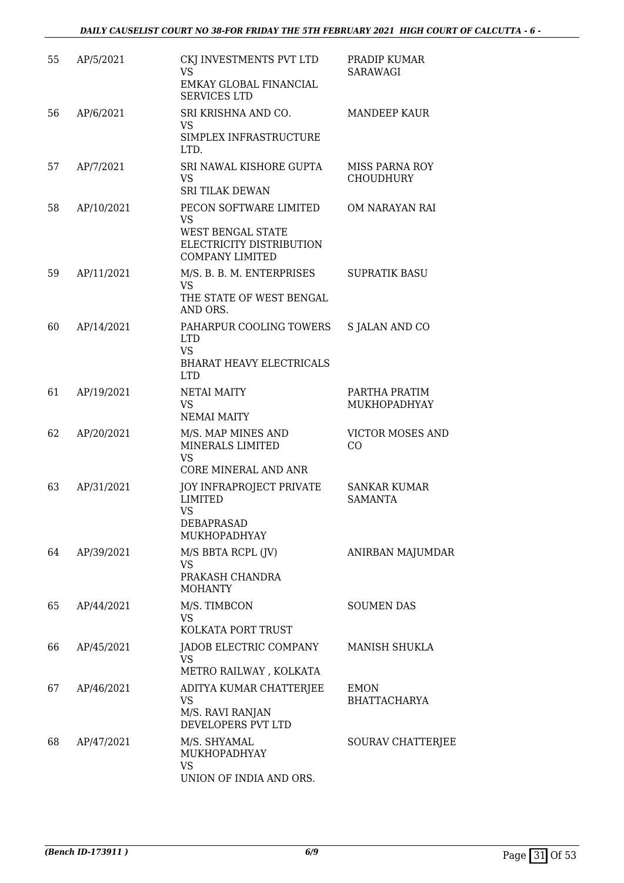| 55 | AP/5/2021  | CKJ INVESTMENTS PVT LTD<br><b>VS</b><br>EMKAY GLOBAL FINANCIAL<br><b>SERVICES LTD</b>                   | PRADIP KUMAR<br>SARAWAGI                  |
|----|------------|---------------------------------------------------------------------------------------------------------|-------------------------------------------|
| 56 | AP/6/2021  | SRI KRISHNA AND CO.<br>VS.<br>SIMPLEX INFRASTRUCTURE<br>LTD.                                            | <b>MANDEEP KAUR</b>                       |
| 57 | AP/7/2021  | SRI NAWAL KISHORE GUPTA<br>VS.<br><b>SRI TILAK DEWAN</b>                                                | <b>MISS PARNA ROY</b><br><b>CHOUDHURY</b> |
| 58 | AP/10/2021 | PECON SOFTWARE LIMITED<br>VS<br>WEST BENGAL STATE<br>ELECTRICITY DISTRIBUTION<br><b>COMPANY LIMITED</b> | OM NARAYAN RAI                            |
| 59 | AP/11/2021 | M/S. B. B. M. ENTERPRISES<br><b>VS</b><br>THE STATE OF WEST BENGAL<br>AND ORS.                          | <b>SUPRATIK BASU</b>                      |
| 60 | AP/14/2021 | PAHARPUR COOLING TOWERS<br><b>LTD</b><br><b>VS</b><br><b>BHARAT HEAVY ELECTRICALS</b><br><b>LTD</b>     | <b>S JALAN AND CO</b>                     |
| 61 | AP/19/2021 | <b>NETAI MAITY</b><br><b>VS</b><br><b>NEMAI MAITY</b>                                                   | PARTHA PRATIM<br>MUKHOPADHYAY             |
| 62 | AP/20/2021 | M/S. MAP MINES AND<br>MINERALS LIMITED<br><b>VS</b><br><b>CORE MINERAL AND ANR</b>                      | <b>VICTOR MOSES AND</b><br>CO             |
| 63 | AP/31/2021 | JOY INFRAPROJECT PRIVATE<br><b>LIMITED</b><br><b>VS</b><br><b>DEBAPRASAD</b><br><b>MUKHOPADHYAY</b>     | <b>SANKAR KUMAR</b><br><b>SAMANTA</b>     |
| 64 | AP/39/2021 | M/S BBTA RCPL (JV)<br>VS<br>PRAKASH CHANDRA<br><b>MOHANTY</b>                                           | ANIRBAN MAJUMDAR                          |
| 65 | AP/44/2021 | M/S. TIMBCON<br><b>VS</b><br>KOLKATA PORT TRUST                                                         | <b>SOUMEN DAS</b>                         |
| 66 | AP/45/2021 | JADOB ELECTRIC COMPANY<br><b>VS</b><br>METRO RAILWAY, KOLKATA                                           | <b>MANISH SHUKLA</b>                      |
| 67 | AP/46/2021 | ADITYA KUMAR CHATTERJEE<br><b>VS</b><br>M/S. RAVI RANJAN<br>DEVELOPERS PVT LTD                          | <b>EMON</b><br><b>BHATTACHARYA</b>        |
| 68 | AP/47/2021 | M/S. SHYAMAL<br>MUKHOPADHYAY<br><b>VS</b><br>UNION OF INDIA AND ORS.                                    | SOURAV CHATTERJEE                         |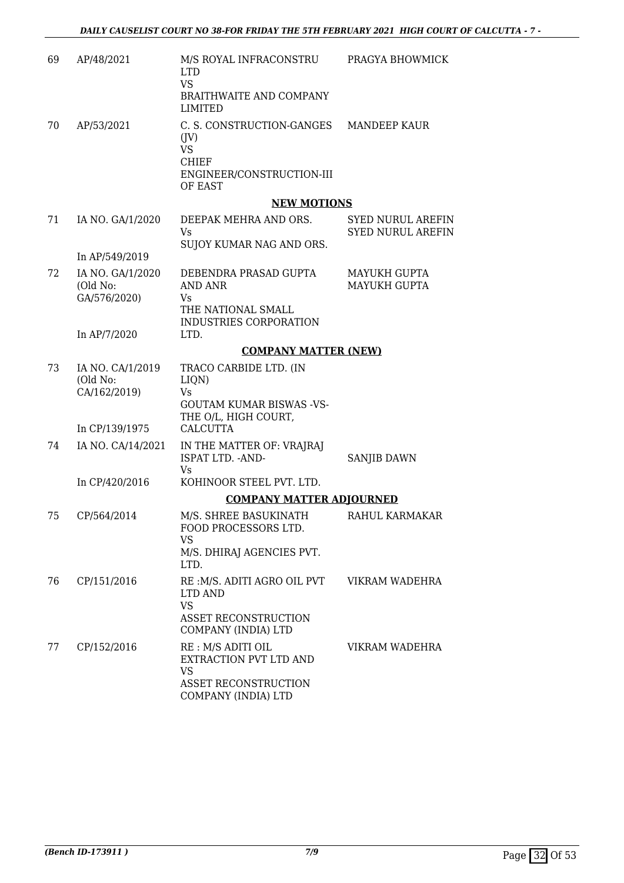| 69 | AP/48/2021                                   | M/S ROYAL INFRACONSTRU<br><b>LTD</b><br><b>VS</b><br><b>BRAITHWAITE AND COMPANY</b><br><b>LIMITED</b>                 | PRAGYA BHOWMICK                                      |
|----|----------------------------------------------|-----------------------------------------------------------------------------------------------------------------------|------------------------------------------------------|
| 70 | AP/53/2021                                   | C. S. CONSTRUCTION-GANGES<br>$($ JV $)$<br><b>VS</b><br><b>CHIEF</b><br>ENGINEER/CONSTRUCTION-III<br>OF EAST          | <b>MANDEEP KAUR</b>                                  |
|    |                                              | <b>NEW MOTIONS</b>                                                                                                    |                                                      |
| 71 | IA NO. GA/1/2020                             | DEEPAK MEHRA AND ORS.<br>Vs<br>SUJOY KUMAR NAG AND ORS.                                                               | <b>SYED NURUL AREFIN</b><br><b>SYED NURUL AREFIN</b> |
|    | In AP/549/2019                               |                                                                                                                       |                                                      |
| 72 | IA NO. GA/1/2020<br>(Old No:<br>GA/576/2020) | DEBENDRA PRASAD GUPTA<br>AND ANR<br>Vs<br>THE NATIONAL SMALL<br>INDUSTRIES CORPORATION                                | MAYUKH GUPTA<br><b>MAYUKH GUPTA</b>                  |
|    | In AP/7/2020                                 | LTD.                                                                                                                  |                                                      |
|    |                                              | <b>COMPANY MATTER (NEW)</b>                                                                                           |                                                      |
| 73 | IA NO. CA/1/2019<br>(Old No:<br>CA/162/2019) | TRACO CARBIDE LTD. (IN<br>LIQN)<br>Vs<br><b>GOUTAM KUMAR BISWAS -VS-</b><br>THE O/L, HIGH COURT,                      |                                                      |
|    | In CP/139/1975                               | <b>CALCUTTA</b>                                                                                                       |                                                      |
| 74 | IA NO. CA/14/2021                            | IN THE MATTER OF: VRAJRAJ<br>ISPAT LTD. - AND-<br>Vs                                                                  | SANJIB DAWN                                          |
|    | In CP/420/2016                               | KOHINOOR STEEL PVT. LTD.                                                                                              |                                                      |
|    |                                              | <b>COMPANY MATTER ADJOURNED</b>                                                                                       |                                                      |
| 75 | CP/564/2014                                  | M/S. SHREE BASUKINATH<br>FOOD PROCESSORS LTD.<br><b>VS</b><br>M/S. DHIRAJ AGENCIES PVT.                               | RAHUL KARMAKAR                                       |
|    |                                              | LTD.                                                                                                                  |                                                      |
| 76 | CP/151/2016                                  | RE: M/S. ADITI AGRO OIL PVT<br>LTD AND<br><b>VS</b><br>ASSET RECONSTRUCTION<br>COMPANY (INDIA) LTD                    | VIKRAM WADEHRA                                       |
| 77 | CP/152/2016                                  | RE: M/S ADITI OIL<br><b>EXTRACTION PVT LTD AND</b><br><b>VS</b><br><b>ASSET RECONSTRUCTION</b><br>COMPANY (INDIA) LTD | VIKRAM WADEHRA                                       |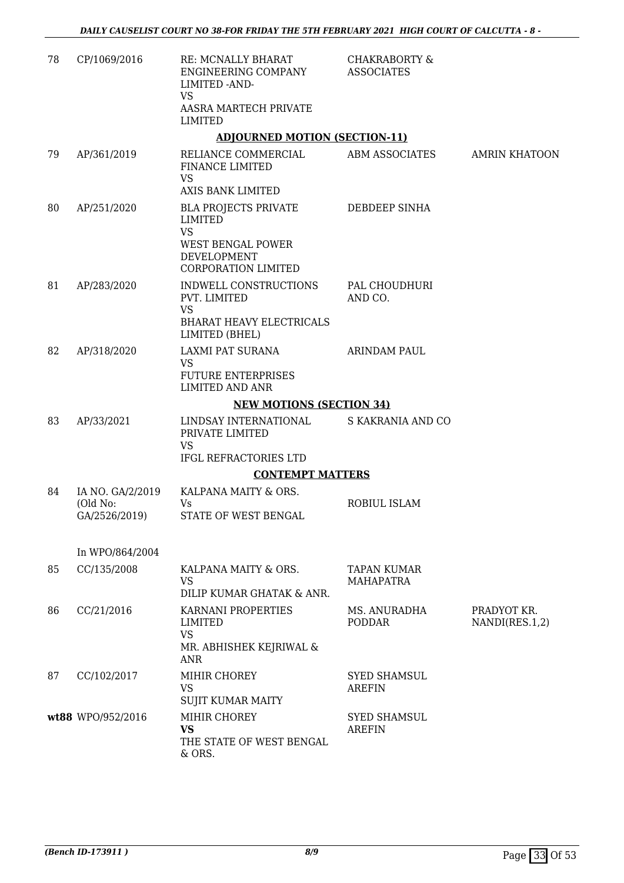| 78 | CP/1069/2016                                  | <b>RE: MCNALLY BHARAT</b><br>ENGINEERING COMPANY<br>LIMITED - AND-<br><b>VS</b><br>AASRA MARTECH PRIVATE<br><b>LIMITED</b>   | <b>CHAKRABORTY &amp;</b><br><b>ASSOCIATES</b> |                               |
|----|-----------------------------------------------|------------------------------------------------------------------------------------------------------------------------------|-----------------------------------------------|-------------------------------|
|    |                                               | <b>ADJOURNED MOTION (SECTION-11)</b>                                                                                         |                                               |                               |
| 79 | AP/361/2019                                   | RELIANCE COMMERCIAL<br><b>FINANCE LIMITED</b><br><b>VS</b><br><b>AXIS BANK LIMITED</b>                                       | ABM ASSOCIATES                                | <b>AMRIN KHATOON</b>          |
| 80 | AP/251/2020                                   | <b>BLA PROJECTS PRIVATE</b><br><b>LIMITED</b><br><b>VS</b><br>WEST BENGAL POWER<br>DEVELOPMENT<br><b>CORPORATION LIMITED</b> | DEBDEEP SINHA                                 |                               |
| 81 | AP/283/2020                                   | INDWELL CONSTRUCTIONS<br>PVT. LIMITED<br><b>VS</b><br><b>BHARAT HEAVY ELECTRICALS</b><br>LIMITED (BHEL)                      | PAL CHOUDHURI<br>AND CO.                      |                               |
| 82 | AP/318/2020                                   | LAXMI PAT SURANA<br><b>VS</b><br><b>FUTURE ENTERPRISES</b><br><b>LIMITED AND ANR</b>                                         | <b>ARINDAM PAUL</b>                           |                               |
|    |                                               | <b>NEW MOTIONS (SECTION 34)</b>                                                                                              |                                               |                               |
| 83 | AP/33/2021                                    | LINDSAY INTERNATIONAL<br>PRIVATE LIMITED<br><b>VS</b>                                                                        | S KAKRANIA AND CO                             |                               |
|    |                                               | IFGL REFRACTORIES LTD                                                                                                        |                                               |                               |
|    |                                               | <b>CONTEMPT MATTERS</b>                                                                                                      |                                               |                               |
| 84 | IA NO. GA/2/2019<br>(Old No:<br>GA/2526/2019) | KALPANA MAITY & ORS.<br>Vs<br>STATE OF WEST BENGAL                                                                           | <b>ROBIUL ISLAM</b>                           |                               |
|    | In WPO/864/2004                               |                                                                                                                              |                                               |                               |
| 85 | CC/135/2008                                   | KALPANA MAITY & ORS.<br><b>VS</b><br>DILIP KUMAR GHATAK & ANR.                                                               | <b>TAPAN KUMAR</b><br><b>MAHAPATRA</b>        |                               |
| 86 | CC/21/2016                                    | KARNANI PROPERTIES<br><b>LIMITED</b><br><b>VS</b><br>MR. ABHISHEK KEJRIWAL &<br>ANR                                          | MS. ANURADHA<br><b>PODDAR</b>                 | PRADYOT KR.<br>NANDI(RES.1,2) |
| 87 | CC/102/2017                                   | MIHIR CHOREY<br><b>VS</b><br><b>SUJIT KUMAR MAITY</b>                                                                        | <b>SYED SHAMSUL</b><br><b>AREFIN</b>          |                               |
|    | wt88 WPO/952/2016                             | MIHIR CHOREY<br><b>VS</b><br>THE STATE OF WEST BENGAL<br>& ORS.                                                              | <b>SYED SHAMSUL</b><br><b>AREFIN</b>          |                               |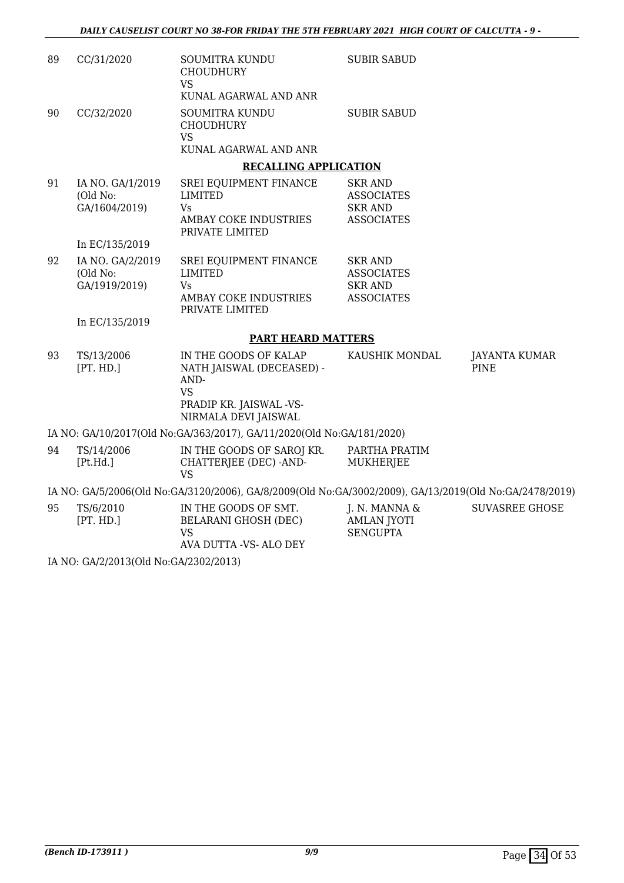| 89 | CC/31/2020                                    | <b>SOUMITRA KUNDU</b><br><b>CHOUDHURY</b><br><b>VS</b>                                                                     | <b>SUBIR SABUD</b>                                                         |                                     |
|----|-----------------------------------------------|----------------------------------------------------------------------------------------------------------------------------|----------------------------------------------------------------------------|-------------------------------------|
|    |                                               | KUNAL AGARWAL AND ANR                                                                                                      |                                                                            |                                     |
| 90 | CC/32/2020                                    | SOUMITRA KUNDU<br><b>CHOUDHURY</b><br><b>VS</b>                                                                            | <b>SUBIR SABUD</b>                                                         |                                     |
|    |                                               | KUNAL AGARWAL AND ANR                                                                                                      |                                                                            |                                     |
|    |                                               | <b>RECALLING APPLICATION</b>                                                                                               |                                                                            |                                     |
| 91 | IA NO. GA/1/2019<br>(Old No:<br>GA/1604/2019) | SREI EQUIPMENT FINANCE<br><b>LIMITED</b><br><b>Vs</b><br>AMBAY COKE INDUSTRIES<br>PRIVATE LIMITED                          | SKR AND<br><b>ASSOCIATES</b><br><b>SKR AND</b><br><b>ASSOCIATES</b>        |                                     |
|    | In EC/135/2019                                |                                                                                                                            |                                                                            |                                     |
| 92 | IA NO. GA/2/2019<br>(Old No:<br>GA/1919/2019) | SREI EQUIPMENT FINANCE<br><b>LIMITED</b><br>Vs<br>AMBAY COKE INDUSTRIES<br>PRIVATE LIMITED                                 | <b>SKR AND</b><br><b>ASSOCIATES</b><br><b>SKR AND</b><br><b>ASSOCIATES</b> |                                     |
|    | In EC/135/2019                                |                                                                                                                            |                                                                            |                                     |
|    |                                               | <b>PART HEARD MATTERS</b>                                                                                                  |                                                                            |                                     |
| 93 | TS/13/2006<br>[PT. HD.]                       | IN THE GOODS OF KALAP<br>NATH JAISWAL (DECEASED) -<br>AND-<br><b>VS</b><br>PRADIP KR. JAISWAL -VS-<br>NIRMALA DEVI JAISWAL | KAUSHIK MONDAL                                                             | <b>JAYANTA KUMAR</b><br><b>PINE</b> |
|    |                                               | IA NO: GA/10/2017(Old No:GA/363/2017), GA/11/2020(Old No:GA/181/2020)                                                      |                                                                            |                                     |
| 94 | TS/14/2006<br>[Pt.Hd.]                        | IN THE GOODS OF SAROJ KR.<br>CHATTERJEE (DEC) - AND-<br>VS                                                                 | PARTHA PRATIM<br>MUKHERJEE                                                 |                                     |
|    |                                               | IA NO: GA/5/2006(Old No:GA/3120/2006), GA/8/2009(Old No:GA/3002/2009), GA/13/2019(Old No:GA/2478/2019)                     |                                                                            |                                     |
| 95 | TS/6/2010<br>[PT. HD.]                        | IN THE GOODS OF SMT.<br><b>BELARANI GHOSH (DEC)</b><br><b>VS</b><br>AVA DUTTA -VS- ALO DEY                                 | J. N. MANNA &<br><b>AMLAN JYOTI</b><br><b>SENGUPTA</b>                     | <b>SUVASREE GHOSE</b>               |
|    | IA NO: GA/2/2013(Old No:GA/2302/2013)         |                                                                                                                            |                                                                            |                                     |
|    |                                               |                                                                                                                            |                                                                            |                                     |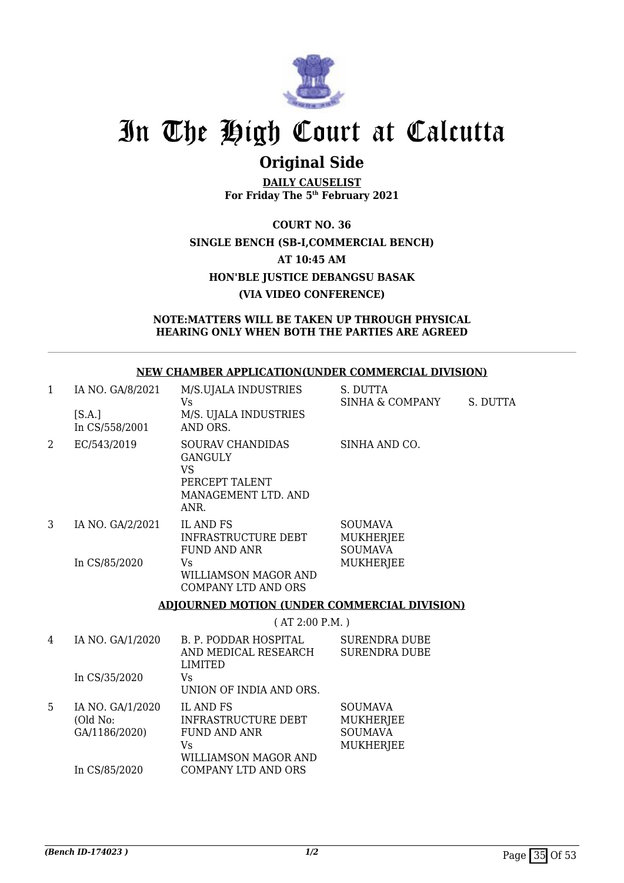

### **Original Side**

**DAILY CAUSELIST For Friday The 5th February 2021**

**COURT NO. 36 SINGLE BENCH (SB-I,COMMERCIAL BENCH) AT 10:45 AM HON'BLE JUSTICE DEBANGSU BASAK (VIA VIDEO CONFERENCE)**

### **NOTE:MATTERS WILL BE TAKEN UP THROUGH PHYSICAL HEARING ONLY WHEN BOTH THE PARTIES ARE AGREED**

|              |                                               | <u>ivew chapber all eication under commercial division (</u>                                            |                                                                          |          |
|--------------|-----------------------------------------------|---------------------------------------------------------------------------------------------------------|--------------------------------------------------------------------------|----------|
| $\mathbf{1}$ | IA NO. GA/8/2021<br>[S.A.]<br>In CS/558/2001  | M/S.UJALA INDUSTRIES<br>Vs<br>M/S. UJALA INDUSTRIES<br>AND ORS.                                         | S. DUTTA<br>SINHA & COMPANY                                              | S. DUTTA |
| 2            | EC/543/2019                                   | <b>SOURAV CHANDIDAS</b><br><b>GANGULY</b><br><b>VS</b><br>PERCEPT TALENT<br>MANAGEMENT LTD. AND<br>ANR. | SINHA AND CO.                                                            |          |
| 3            | IA NO. GA/2/2021                              | <b>IL AND FS</b><br>INFRASTRUCTURE DEBT<br><b>FUND AND ANR</b>                                          | <b>SOUMAVA</b><br><b>MUKHERJEE</b><br><b>SOUMAVA</b>                     |          |
|              | In CS/85/2020                                 | Vs<br>WILLIAMSON MAGOR AND<br><b>COMPANY LTD AND ORS</b>                                                | <b>MUKHERJEE</b>                                                         |          |
|              |                                               | <b>ADJOURNED MOTION (UNDER COMMERCIAL DIVISION)</b>                                                     |                                                                          |          |
|              |                                               | (AT 2:00 P.M. )                                                                                         |                                                                          |          |
| 4            | IA NO. GA/1/2020                              | B. P. PODDAR HOSPITAL<br>AND MEDICAL RESEARCH<br><b>LIMITED</b>                                         | <b>SURENDRA DUBE</b><br><b>SURENDRA DUBE</b>                             |          |
|              | In CS/35/2020                                 | Vs<br>UNION OF INDIA AND ORS.                                                                           |                                                                          |          |
| 5            | IA NO. GA/1/2020<br>(Old No:<br>GA/1186/2020) | <b>IL AND FS</b><br><b>INFRASTRUCTURE DEBT</b><br><b>FUND AND ANR</b><br>Vs<br>WILLIAMSON MAGOR AND     | <b>SOUMAVA</b><br><b>MUKHERJEE</b><br><b>SOUMAVA</b><br><b>MUKHERJEE</b> |          |
|              | In CS/85/2020                                 | <b>COMPANY LTD AND ORS</b>                                                                              |                                                                          |          |

**NEW CHAMBER APPLICATION(UNDER COMMERCIAL DIVISION)**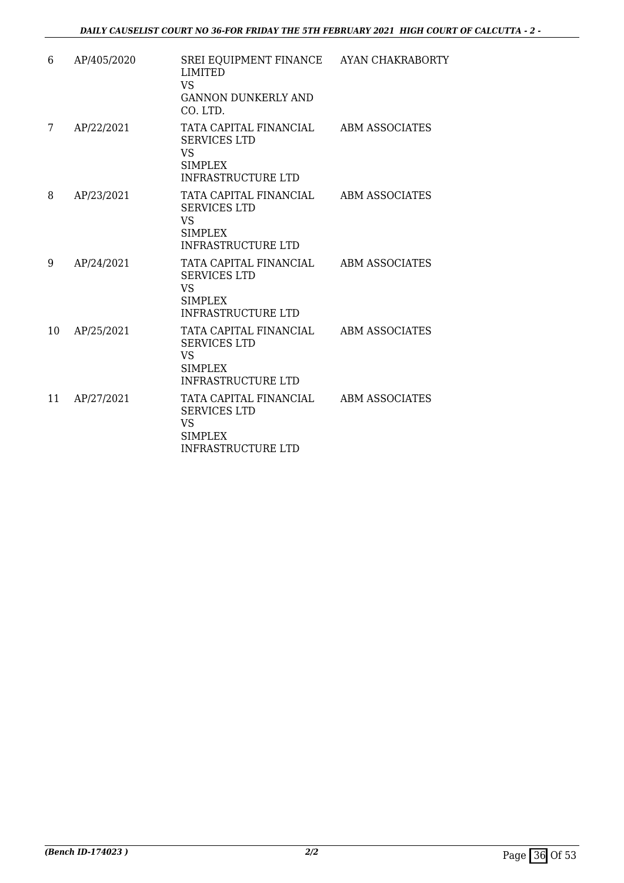| 6  | AP/405/2020 | SREI EQUIPMENT FINANCE AYAN CHAKRABORTY<br><b>LIMITED</b><br>VS.<br><b>GANNON DUNKERLY AND</b><br>CO. LTD.               |                       |
|----|-------------|--------------------------------------------------------------------------------------------------------------------------|-----------------------|
| 7  | AP/22/2021  | TATA CAPITAL FINANCIAL ABM ASSOCIATES<br><b>SERVICES LTD</b><br><b>VS</b><br><b>SIMPLEX</b><br><b>INFRASTRUCTURE LTD</b> |                       |
| 8  | AP/23/2021  | TATA CAPITAL FINANCIAL<br><b>SERVICES LTD</b><br><b>VS</b><br><b>SIMPLEX</b><br><b>INFRASTRUCTURE LTD</b>                | ABM ASSOCIATES        |
| 9  | AP/24/2021  | TATA CAPITAL FINANCIAL<br><b>SERVICES LTD</b><br><b>VS</b><br>SIMPLEX<br><b>INFRASTRUCTURE LTD</b>                       | ABM ASSOCIATES        |
| 10 | AP/25/2021  | TATA CAPITAL FINANCIAL<br><b>SERVICES LTD</b><br><b>VS</b><br>SIMPLEX<br><b>INFRASTRUCTURE LTD</b>                       | <b>ABM ASSOCIATES</b> |
| 11 | AP/27/2021  | TATA CAPITAL FINANCIAL ABM ASSOCIATES<br><b>SERVICES LTD</b><br><b>VS</b><br><b>SIMPLEX</b><br><b>INFRASTRUCTURE LTD</b> |                       |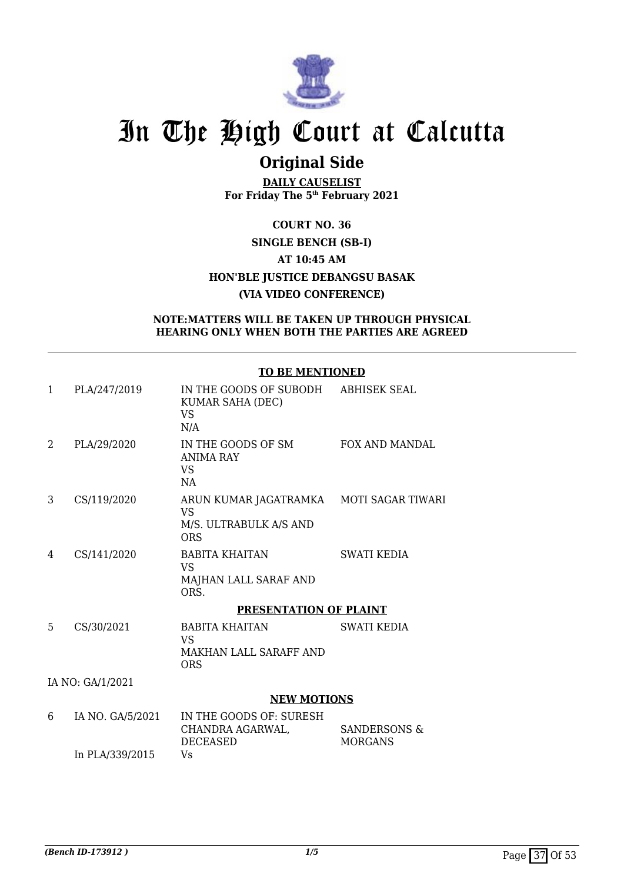

### **Original Side**

**DAILY CAUSELIST For Friday The 5th February 2021**

### **COURT NO. 36 SINGLE BENCH (SB-I) AT 10:45 AM HON'BLE JUSTICE DEBANGSU BASAK (VIA VIDEO CONFERENCE)**

### **NOTE:MATTERS WILL BE TAKEN UP THROUGH PHYSICAL HEARING ONLY WHEN BOTH THE PARTIES ARE AGREED**

### **TO BE MENTIONED**

| 1             | PLA/247/2019     | IN THE GOODS OF SUBODH<br>KUMAR SAHA (DEC)<br><b>VS</b><br>N/A                               | <b>ABHISEK SEAL</b>            |
|---------------|------------------|----------------------------------------------------------------------------------------------|--------------------------------|
| $\mathcal{L}$ | PLA/29/2020      | IN THE GOODS OF SM<br><b>ANIMA RAY</b><br><b>VS</b><br>NA                                    | FOX AND MANDAL                 |
| 3             | CS/119/2020      | ARUN KUMAR JAGATRAMKA MOTI SAGAR TIWARI<br><b>VS</b><br>M/S. ULTRABULK A/S AND<br><b>ORS</b> |                                |
| 4             | CS/141/2020      | <b>BABITA KHAITAN</b><br>VS.<br>MAJHAN LALL SARAF AND<br>ORS.                                | <b>SWATI KEDIA</b>             |
|               |                  | PRESENTATION OF PLAINT                                                                       |                                |
| 5             | CS/30/2021       | <b>BABITA KHAITAN</b><br><b>VS</b><br>MAKHAN LALL SARAFF AND<br><b>ORS</b>                   | <b>SWATI KEDIA</b>             |
|               | IA NO: GA/1/2021 |                                                                                              |                                |
|               |                  | <b>NEW MOTIONS</b>                                                                           |                                |
| 6             | IA NO. GA/5/2021 | IN THE GOODS OF: SURESH<br>CHANDRA AGARWAL,<br>DECEASED                                      | SANDERSONS &<br><b>MORGANS</b> |

In PLA/339/2015

Vs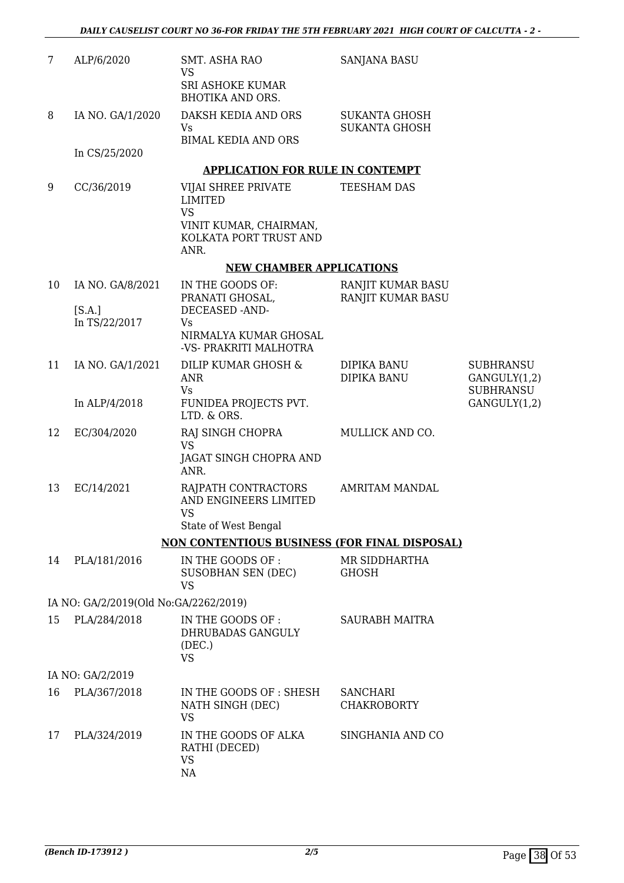| 7  | ALP/6/2020                            | <b>SMT. ASHA RAO</b><br>VS                                                 | <b>SANJANA BASU</b>                    |                                                      |
|----|---------------------------------------|----------------------------------------------------------------------------|----------------------------------------|------------------------------------------------------|
|    |                                       | <b>SRI ASHOKE KUMAR</b><br><b>BHOTIKA AND ORS.</b>                         |                                        |                                                      |
| 8  | IA NO. GA/1/2020                      | DAKSH KEDIA AND ORS<br><b>Vs</b>                                           | SUKANTA GHOSH<br><b>SUKANTA GHOSH</b>  |                                                      |
|    | In CS/25/2020                         | <b>BIMAL KEDIA AND ORS</b>                                                 |                                        |                                                      |
|    |                                       | <b>APPLICATION FOR RULE IN CONTEMPT</b>                                    |                                        |                                                      |
| 9  | CC/36/2019                            | VIJAI SHREE PRIVATE<br><b>LIMITED</b>                                      | TEESHAM DAS                            |                                                      |
|    |                                       | <b>VS</b><br>VINIT KUMAR, CHAIRMAN,<br>KOLKATA PORT TRUST AND<br>ANR.      |                                        |                                                      |
|    |                                       | <b>NEW CHAMBER APPLICATIONS</b>                                            |                                        |                                                      |
| 10 | IA NO. GA/8/2021                      | IN THE GOODS OF:<br>PRANATI GHOSAL,                                        | RANJIT KUMAR BASU<br>RANJIT KUMAR BASU |                                                      |
|    | [S.A.]<br>In TS/22/2017               | DECEASED -AND-<br>Vs                                                       |                                        |                                                      |
|    |                                       | NIRMALYA KUMAR GHOSAL<br>-VS- PRAKRITI MALHOTRA                            |                                        |                                                      |
| 11 | IA NO. GA/1/2021                      | DILIP KUMAR GHOSH &<br><b>ANR</b><br><b>Vs</b>                             | DIPIKA BANU<br>DIPIKA BANU             | <b>SUBHRANSU</b><br>GANGULY(1,2)<br><b>SUBHRANSU</b> |
|    | In ALP/4/2018                         | FUNIDEA PROJECTS PVT.<br>LTD. & ORS.                                       |                                        | GANGULY(1,2)                                         |
| 12 | EC/304/2020                           | RAJ SINGH CHOPRA<br><b>VS</b><br>JAGAT SINGH CHOPRA AND<br>ANR.            | MULLICK AND CO.                        |                                                      |
| 13 | EC/14/2021                            | RAJPATH CONTRACTORS<br>AND ENGINEERS LIMITED<br>VS<br>State of West Bengal | <b>AMRITAM MANDAL</b>                  |                                                      |
|    |                                       | <b>NON CONTENTIOUS BUSINESS (FOR FINAL DISPOSAL)</b>                       |                                        |                                                      |
| 14 | PLA/181/2016                          | IN THE GOODS OF :<br>SUSOBHAN SEN (DEC)<br><b>VS</b>                       | MR SIDDHARTHA<br><b>GHOSH</b>          |                                                      |
|    | IA NO: GA/2/2019(Old No:GA/2262/2019) |                                                                            |                                        |                                                      |
| 15 | PLA/284/2018                          | IN THE GOODS OF :<br>DHRUBADAS GANGULY<br>(DEC.)<br><b>VS</b>              | <b>SAURABH MAITRA</b>                  |                                                      |
|    | IA NO: GA/2/2019                      |                                                                            |                                        |                                                      |
| 16 | PLA/367/2018                          | IN THE GOODS OF : SHESH<br>NATH SINGH (DEC)<br><b>VS</b>                   | <b>SANCHARI</b><br><b>CHAKROBORTY</b>  |                                                      |
| 17 | PLA/324/2019                          | IN THE GOODS OF ALKA<br>RATHI (DECED)<br><b>VS</b><br>NA                   | SINGHANIA AND CO                       |                                                      |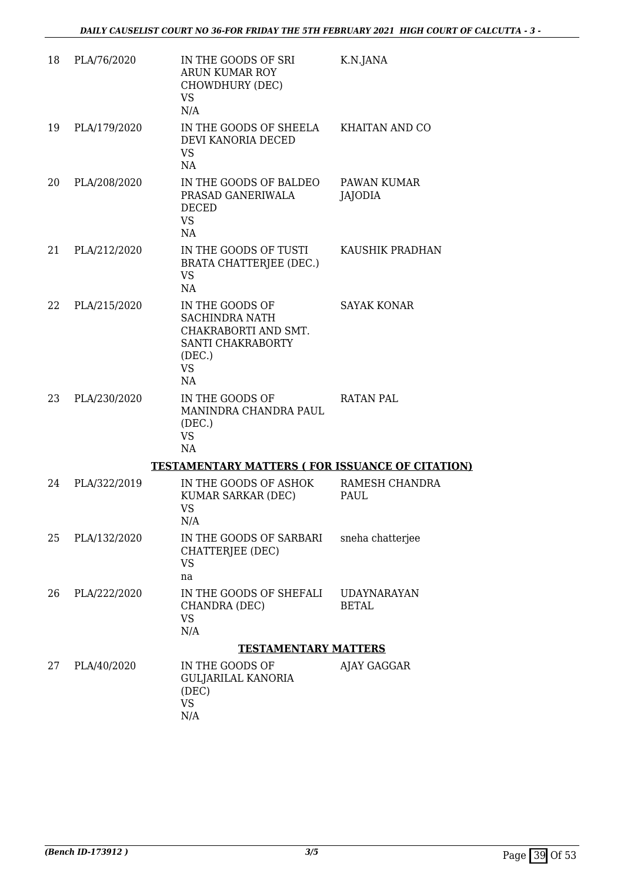| 18 | PLA/76/2020  | IN THE GOODS OF SRI<br>ARUN KUMAR ROY<br>CHOWDHURY (DEC)<br><b>VS</b><br>N/A                                       | K.N.JANA                           |
|----|--------------|--------------------------------------------------------------------------------------------------------------------|------------------------------------|
| 19 | PLA/179/2020 | IN THE GOODS OF SHEELA KHAITAN AND CO<br>DEVI KANORIA DECED<br><b>VS</b><br>NA                                     |                                    |
| 20 | PLA/208/2020 | IN THE GOODS OF BALDEO<br>PRASAD GANERIWALA<br><b>DECED</b><br><b>VS</b><br>NA                                     | PAWAN KUMAR<br><b>JAJODIA</b>      |
| 21 | PLA/212/2020 | IN THE GOODS OF TUSTI<br><b>BRATA CHATTERJEE (DEC.)</b><br><b>VS</b><br>NA                                         | KAUSHIK PRADHAN                    |
| 22 | PLA/215/2020 | IN THE GOODS OF<br><b>SACHINDRA NATH</b><br>CHAKRABORTI AND SMT.<br>SANTI CHAKRABORTY<br>(DEC.)<br><b>VS</b><br>NA | <b>SAYAK KONAR</b>                 |
| 23 | PLA/230/2020 | IN THE GOODS OF<br>MANINDRA CHANDRA PAUL<br>(DEC.)<br><b>VS</b><br>NA                                              | <b>RATAN PAL</b>                   |
|    |              | <b>TESTAMENTARY MATTERS (FOR ISSUANCE OF CITATION)</b>                                                             |                                    |
| 24 | PLA/322/2019 | IN THE GOODS OF ASHOK<br>KUMAR SARKAR (DEC)<br><b>VS</b><br>N/A                                                    | RAMESH CHANDRA<br>PAUL             |
| 25 | PLA/132/2020 | IN THE GOODS OF SARBARI<br>CHATTERJEE (DEC)<br><b>VS</b><br>na                                                     | sneha chatterjee                   |
| 26 | PLA/222/2020 | IN THE GOODS OF SHEFALI<br>CHANDRA (DEC)<br><b>VS</b><br>N/A                                                       | <b>UDAYNARAYAN</b><br><b>BETAL</b> |
|    |              | <b>TESTAMENTARY MATTERS</b>                                                                                        |                                    |
| 27 | PLA/40/2020  | IN THE GOODS OF<br><b>GULJARILAL KANORIA</b><br>(DEC)<br><b>VS</b><br>N/A                                          | AJAY GAGGAR                        |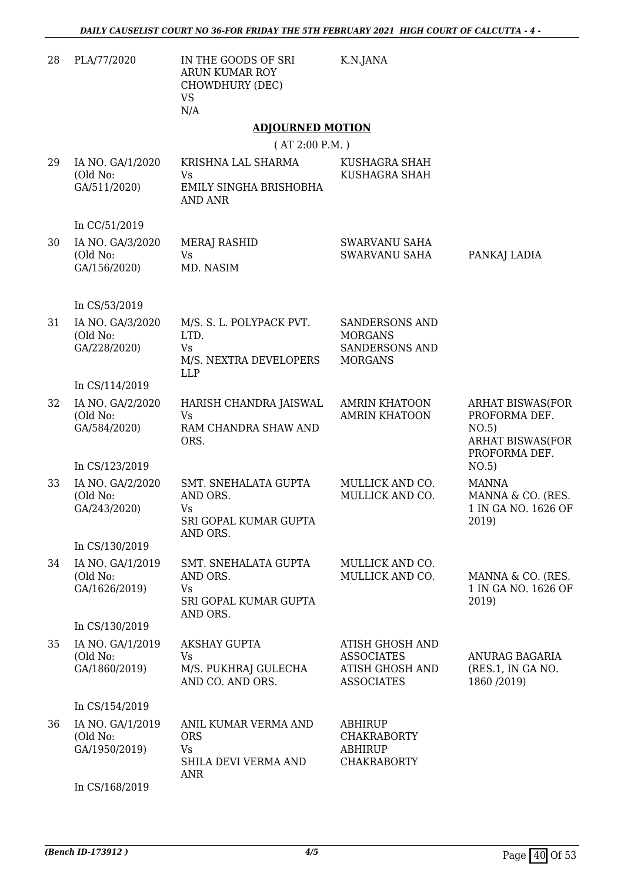| 28 | PLA/77/2020                                   | IN THE GOODS OF SRI<br>ARUN KUMAR ROY<br>CHOWDHURY (DEC)<br><b>VS</b><br>N/A          | K.N.JANA                                                                                   |                                                                                               |
|----|-----------------------------------------------|---------------------------------------------------------------------------------------|--------------------------------------------------------------------------------------------|-----------------------------------------------------------------------------------------------|
|    |                                               | <b>ADJOURNED MOTION</b>                                                               |                                                                                            |                                                                                               |
|    |                                               | (AT 2:00 P.M. )                                                                       |                                                                                            |                                                                                               |
| 29 | IA NO. GA/1/2020<br>(Old No:<br>GA/511/2020)  | KRISHNA LAL SHARMA<br><b>Vs</b><br>EMILY SINGHA BRISHOBHA<br><b>AND ANR</b>           | KUSHAGRA SHAH<br>KUSHAGRA SHAH                                                             |                                                                                               |
|    | In CC/51/2019                                 |                                                                                       |                                                                                            |                                                                                               |
| 30 | IA NO. GA/3/2020<br>(Old No:<br>GA/156/2020)  | MERAJ RASHID<br><b>Vs</b><br>MD. NASIM                                                | SWARVANU SAHA<br>SWARVANU SAHA                                                             | PANKAJ LADIA                                                                                  |
|    | In CS/53/2019                                 |                                                                                       |                                                                                            |                                                                                               |
| 31 | IA NO. GA/3/2020<br>(Old No:<br>GA/228/2020)  | M/S. S. L. POLYPACK PVT.<br>LTD.<br><b>Vs</b><br>M/S. NEXTRA DEVELOPERS<br><b>LLP</b> | <b>SANDERSONS AND</b><br><b>MORGANS</b><br><b>SANDERSONS AND</b><br><b>MORGANS</b>         |                                                                                               |
|    | In CS/114/2019                                |                                                                                       |                                                                                            |                                                                                               |
| 32 | IA NO. GA/2/2020<br>(Old No:<br>GA/584/2020)  | HARISH CHANDRA JAISWAL<br>Vs<br>RAM CHANDRA SHAW AND<br>ORS.                          | <b>AMRIN KHATOON</b><br><b>AMRIN KHATOON</b>                                               | <b>ARHAT BISWAS(FOR</b><br>PROFORMA DEF.<br>NO.5)<br><b>ARHAT BISWAS(FOR</b><br>PROFORMA DEF. |
|    | In CS/123/2019                                |                                                                                       |                                                                                            | NO.5)                                                                                         |
| 33 | IA NO. GA/2/2020<br>(Old No:<br>GA/243/2020)  | SMT. SNEHALATA GUPTA<br>AND ORS.<br>Vs<br>SRI GOPAL KUMAR GUPTA<br>AND ORS.           | MULLICK AND CO.<br>MULLICK AND CO.                                                         | <b>MANNA</b><br>MANNA & CO. (RES.<br>1 IN GA NO. 1626 OF<br>2019)                             |
|    | In CS/130/2019                                |                                                                                       |                                                                                            |                                                                                               |
| 34 | IA NO. GA/1/2019<br>(Old No:<br>GA/1626/2019) | SMT. SNEHALATA GUPTA<br>AND ORS.<br>Vs<br>SRI GOPAL KUMAR GUPTA<br>AND ORS.           | MULLICK AND CO.<br>MULLICK AND CO.                                                         | MANNA & CO. (RES.<br>1 IN GA NO. 1626 OF<br>2019)                                             |
|    | In CS/130/2019                                |                                                                                       |                                                                                            |                                                                                               |
| 35 | IA NO. GA/1/2019<br>(Old No:<br>GA/1860/2019) | <b>AKSHAY GUPTA</b><br>Vs<br>M/S. PUKHRAJ GULECHA<br>AND CO. AND ORS.                 | <b>ATISH GHOSH AND</b><br><b>ASSOCIATES</b><br><b>ATISH GHOSH AND</b><br><b>ASSOCIATES</b> | ANURAG BAGARIA<br>(RES.1, IN GA NO.<br>1860 / 2019)                                           |
|    | In CS/154/2019                                |                                                                                       |                                                                                            |                                                                                               |
| 36 | IA NO. GA/1/2019<br>(Old No:<br>GA/1950/2019) | ANIL KUMAR VERMA AND<br><b>ORS</b><br>Vs<br>SHILA DEVI VERMA AND<br><b>ANR</b>        | <b>ABHIRUP</b><br><b>CHAKRABORTY</b><br><b>ABHIRUP</b><br><b>CHAKRABORTY</b>               |                                                                                               |
|    | In CS/168/2019                                |                                                                                       |                                                                                            |                                                                                               |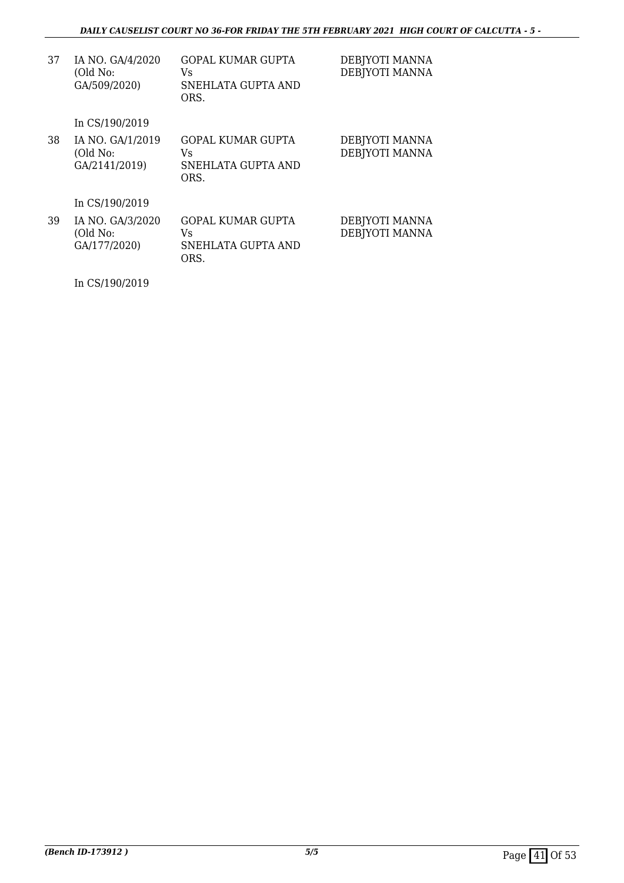| 37 | IA NO. GA/4/2020<br>(Old No:<br>GA/509/2020)  | <b>GOPAL KUMAR GUPTA</b><br>Vs<br>SNEHLATA GUPTA AND<br>ORS. | DEBJYOTI MANNA<br>DEBJYOTI MANNA |
|----|-----------------------------------------------|--------------------------------------------------------------|----------------------------------|
|    | In CS/190/2019                                |                                                              |                                  |
| 38 | IA NO. GA/1/2019<br>(Old No:<br>GA/2141/2019) | <b>GOPAL KUMAR GUPTA</b><br>Vs<br>SNEHLATA GUPTA AND<br>ORS. | DEBJYOTI MANNA<br>DEBJYOTI MANNA |
|    | In CS/190/2019                                |                                                              |                                  |
| 39 | IA NO. GA/3/2020<br>(Old No:<br>GA/177/2020)  | <b>GOPAL KUMAR GUPTA</b><br>Vs<br>SNEHLATA GUPTA AND<br>ORS. | DEBJYOTI MANNA<br>DEBJYOTI MANNA |

In CS/190/2019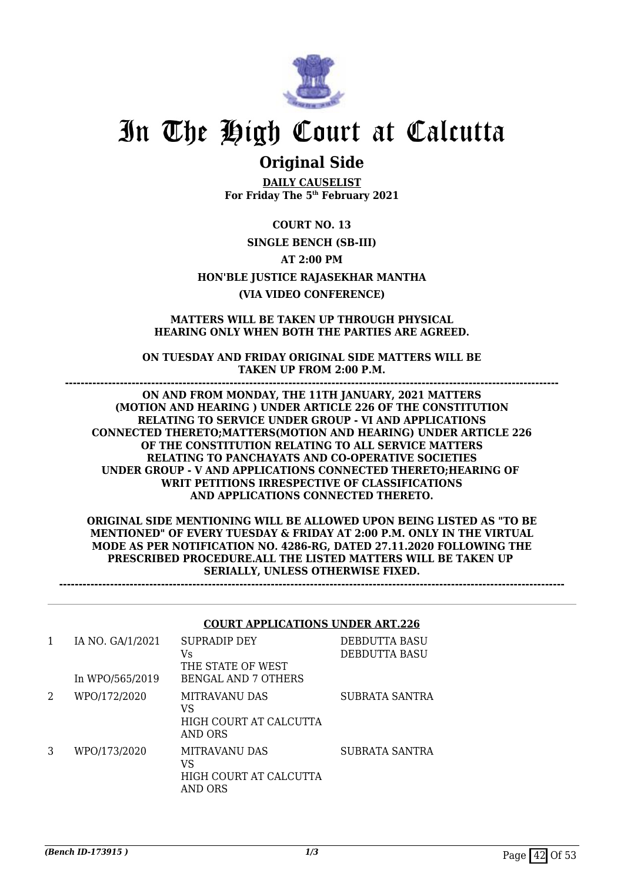

### **Original Side**

**DAILY CAUSELIST For Friday The 5th February 2021**

**COURT NO. 13 SINGLE BENCH (SB-III) AT 2:00 PM HON'BLE JUSTICE RAJASEKHAR MANTHA (VIA VIDEO CONFERENCE)**

### **MATTERS WILL BE TAKEN UP THROUGH PHYSICAL HEARING ONLY WHEN BOTH THE PARTIES ARE AGREED.**

**ON TUESDAY AND FRIDAY ORIGINAL SIDE MATTERS WILL BE TAKEN UP FROM 2:00 P.M. ------------------------------------------------------------------------------------------------------------------------------**

**ON AND FROM MONDAY, THE 11TH JANUARY, 2021 MATTERS (MOTION AND HEARING ) UNDER ARTICLE 226 OF THE CONSTITUTION RELATING TO SERVICE UNDER GROUP - VI AND APPLICATIONS CONNECTED THERETO;MATTERS(MOTION AND HEARING) UNDER ARTICLE 226 OF THE CONSTITUTION RELATING TO ALL SERVICE MATTERS RELATING TO PANCHAYATS AND CO-OPERATIVE SOCIETIES UNDER GROUP - V AND APPLICATIONS CONNECTED THERETO;HEARING OF WRIT PETITIONS IRRESPECTIVE OF CLASSIFICATIONS AND APPLICATIONS CONNECTED THERETO.**

**ORIGINAL SIDE MENTIONING WILL BE ALLOWED UPON BEING LISTED AS "TO BE MENTIONED" OF EVERY TUESDAY & FRIDAY AT 2:00 P.M. ONLY IN THE VIRTUAL MODE AS PER NOTIFICATION NO. 4286-RG, DATED 27.11.2020 FOLLOWING THE PRESCRIBED PROCEDURE.ALL THE LISTED MATTERS WILL BE TAKEN UP SERIALLY, UNLESS OTHERWISE FIXED.**

**---------------------------------------------------------------------------------------------------------------------------------**

#### **COURT APPLICATIONS UNDER ART.226**

| 1 | IA NO. GA/1/2021<br>In WPO/565/2019 | SUPRADIP DEY<br>Vs<br>THE STATE OF WEST<br>BENGAL AND 7 OTHERS  | DEBDUTTA BASU<br>DEBDUTTA BASU |
|---|-------------------------------------|-----------------------------------------------------------------|--------------------------------|
| 2 | WPO/172/2020                        | MITRAVANU DAS<br>VS<br>HIGH COURT AT CALCUTTA<br>AND ORS        | SUBRATA SANTRA                 |
| 3 | WPO/173/2020                        | <b>MITRAVANU DAS</b><br>VS<br>HIGH COURT AT CALCUTTA<br>AND ORS | SUBRATA SANTRA                 |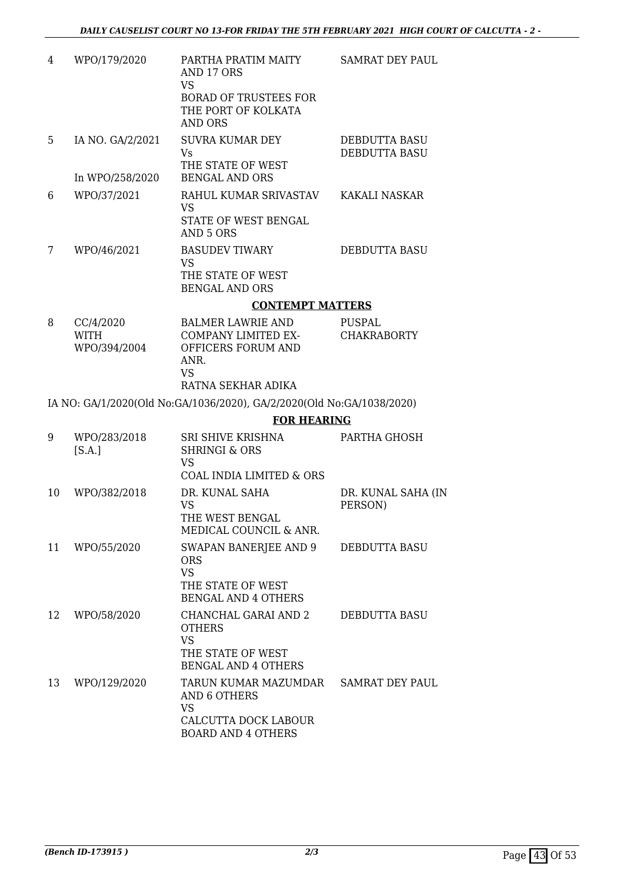| 4  | WPO/179/2020                | PARTHA PRATIM MAITY<br>AND 17 ORS<br><b>VS</b>                                                        | <b>SAMRAT DEY PAUL</b>                |
|----|-----------------------------|-------------------------------------------------------------------------------------------------------|---------------------------------------|
|    |                             | <b>BORAD OF TRUSTEES FOR</b><br>THE PORT OF KOLKATA<br><b>AND ORS</b>                                 |                                       |
| 5  | IA NO. GA/2/2021            | <b>SUVRA KUMAR DEY</b><br><b>Vs</b><br>THE STATE OF WEST                                              | DEBDUTTA BASU<br><b>DEBDUTTA BASU</b> |
|    | In WPO/258/2020             | <b>BENGAL AND ORS</b>                                                                                 |                                       |
| 6  | WPO/37/2021                 | RAHUL KUMAR SRIVASTAV<br><b>VS</b><br>STATE OF WEST BENGAL<br>AND 5 ORS                               | KAKALI NASKAR                         |
| 7  | WPO/46/2021                 | <b>BASUDEV TIWARY</b><br><b>VS</b><br>THE STATE OF WEST<br><b>BENGAL AND ORS</b>                      | DEBDUTTA BASU                         |
|    |                             | <b>CONTEMPT MATTERS</b>                                                                               |                                       |
| 8  | CC/4/2020                   | <b>BALMER LAWRIE AND</b>                                                                              | PUSPAL                                |
|    | <b>WITH</b><br>WPO/394/2004 | COMPANY LIMITED EX-<br>OFFICERS FORUM AND<br>ANR.<br><b>VS</b>                                        | <b>CHAKRABORTY</b>                    |
|    |                             | RATNA SEKHAR ADIKA                                                                                    |                                       |
|    |                             | IA NO: GA/1/2020(Old No:GA/1036/2020), GA/2/2020(Old No:GA/1038/2020)                                 |                                       |
|    |                             | <b>FOR HEARING</b>                                                                                    |                                       |
| 9  | WPO/283/2018<br>[S.A.]      | SRI SHIVE KRISHNA<br><b>SHRINGI &amp; ORS</b><br><b>VS</b>                                            | PARTHA GHOSH                          |
|    |                             | COAL INDIA LIMITED & ORS                                                                              |                                       |
| 10 | WPO/382/2018                | DR. KUNAL SAHA<br><b>VS</b><br>THE WEST BENGAL<br>MEDICAL COUNCIL & ANR.                              | DR. KUNAL SAHA (IN<br>PERSON)         |
| 11 | WPO/55/2020                 | SWAPAN BANERJEE AND 9<br><b>ORS</b><br><b>VS</b><br>THE STATE OF WEST<br><b>BENGAL AND 4 OTHERS</b>   | <b>DEBDUTTA BASU</b>                  |
| 12 | WPO/58/2020                 | CHANCHAL GARAI AND 2<br><b>OTHERS</b><br><b>VS</b><br>THE STATE OF WEST<br><b>BENGAL AND 4 OTHERS</b> | DEBDUTTA BASU                         |
| 13 | WPO/129/2020                | TARUN KUMAR MAZUMDAR<br>AND 6 OTHERS<br><b>VS</b><br>CALCUTTA DOCK LABOUR                             | <b>SAMRAT DEY PAUL</b>                |

BOARD AND 4 OTHERS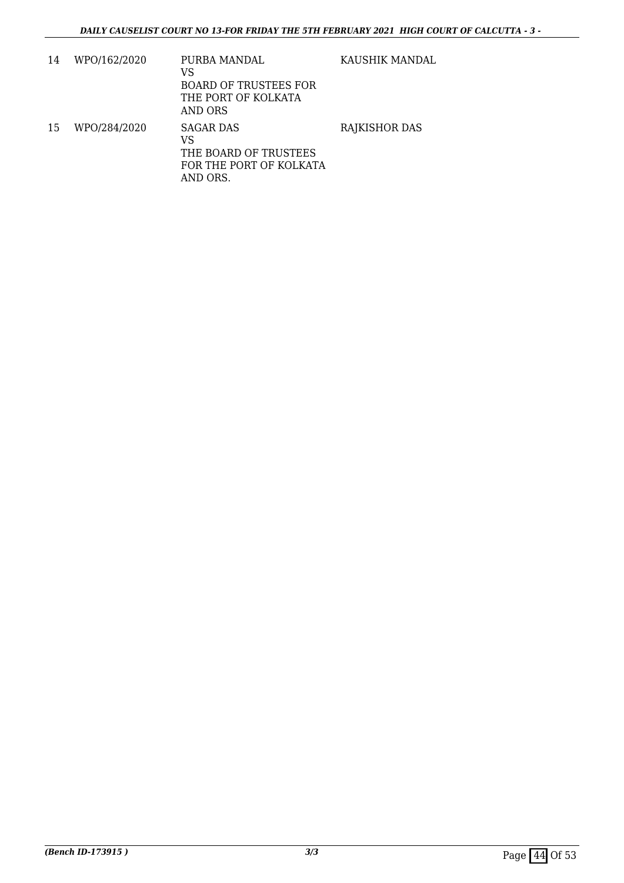| 14 | WPO/162/2020 | PURBA MANDAL<br>VS<br><b>BOARD OF TRUSTEES FOR</b><br>THE PORT OF KOLKATA<br>AND ORS | KAUSHIK MANDAL       |
|----|--------------|--------------------------------------------------------------------------------------|----------------------|
| 15 | WPO/284/2020 | SAGAR DAS<br>VS<br>THE BOARD OF TRUSTEES<br>FOR THE PORT OF KOLKATA<br>AND ORS.      | <b>RAJKISHOR DAS</b> |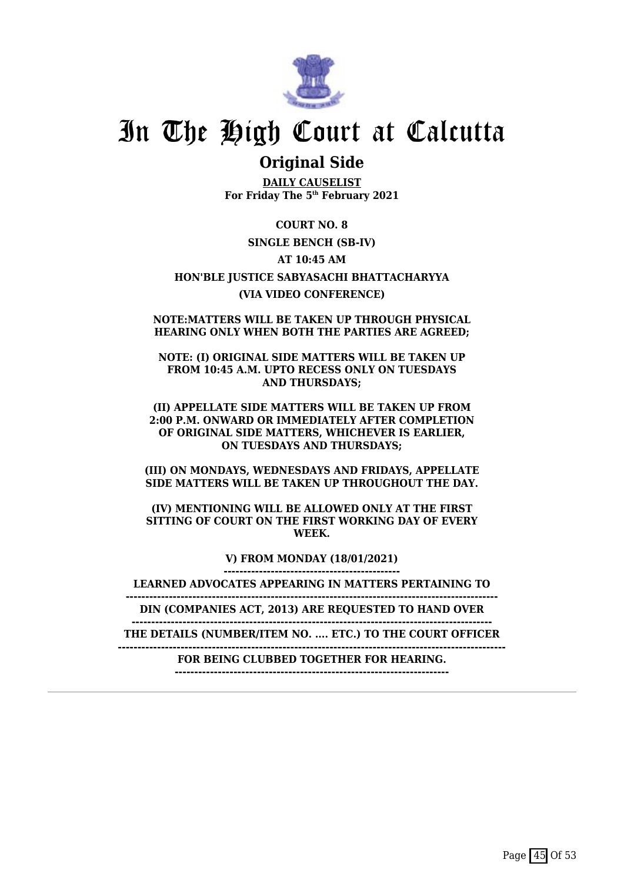

### **Original Side**

**DAILY CAUSELIST For Friday The 5th February 2021**

**COURT NO. 8 SINGLE BENCH (SB-IV) AT 10:45 AM HON'BLE JUSTICE SABYASACHI BHATTACHARYYA (VIA VIDEO CONFERENCE)**

**NOTE:MATTERS WILL BE TAKEN UP THROUGH PHYSICAL HEARING ONLY WHEN BOTH THE PARTIES ARE AGREED;**

**NOTE: (I) ORIGINAL SIDE MATTERS WILL BE TAKEN UP FROM 10:45 A.M. UPTO RECESS ONLY ON TUESDAYS AND THURSDAYS;**

**(II) APPELLATE SIDE MATTERS WILL BE TAKEN UP FROM 2:00 P.M. ONWARD OR IMMEDIATELY AFTER COMPLETION OF ORIGINAL SIDE MATTERS, WHICHEVER IS EARLIER, ON TUESDAYS AND THURSDAYS;**

**(III) ON MONDAYS, WEDNESDAYS AND FRIDAYS, APPELLATE SIDE MATTERS WILL BE TAKEN UP THROUGHOUT THE DAY.**

**(IV) MENTIONING WILL BE ALLOWED ONLY AT THE FIRST SITTING OF COURT ON THE FIRST WORKING DAY OF EVERY WEEK.**

> **V) FROM MONDAY (18/01/2021) ---------------------------------------------**

**LEARNED ADVOCATES APPEARING IN MATTERS PERTAINING TO**

**-----------------------------------------------------------------------------------------------**

**DIN (COMPANIES ACT, 2013) ARE REQUESTED TO HAND OVER --------------------------------------------------------------------------------------------**

**THE DETAILS (NUMBER/ITEM NO. .... ETC.) TO THE COURT OFFICER**

**---------------------------------------------------------------------------------------------------**

**FOR BEING CLUBBED TOGETHER FOR HEARING. ----------------------------------------------------------------------**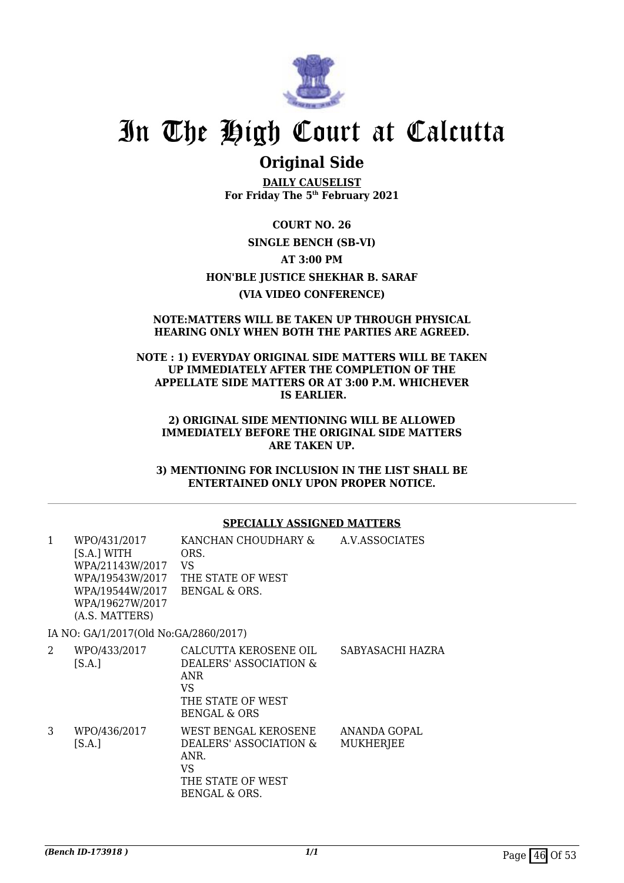

### **Original Side**

**DAILY CAUSELIST For Friday The 5th February 2021**

**COURT NO. 26 SINGLE BENCH (SB-VI) AT 3:00 PM HON'BLE JUSTICE SHEKHAR B. SARAF (VIA VIDEO CONFERENCE)**

#### **NOTE:MATTERS WILL BE TAKEN UP THROUGH PHYSICAL HEARING ONLY WHEN BOTH THE PARTIES ARE AGREED.**

### **NOTE : 1) EVERYDAY ORIGINAL SIDE MATTERS WILL BE TAKEN UP IMMEDIATELY AFTER THE COMPLETION OF THE APPELLATE SIDE MATTERS OR AT 3:00 P.M. WHICHEVER IS EARLIER.**

#### **2) ORIGINAL SIDE MENTIONING WILL BE ALLOWED IMMEDIATELY BEFORE THE ORIGINAL SIDE MATTERS ARE TAKEN UP.**

**3) MENTIONING FOR INCLUSION IN THE LIST SHALL BE ENTERTAINED ONLY UPON PROPER NOTICE.**

### **SPECIALLY ASSIGNED MATTERS**

| 1 | WPO/431/2017<br>[S.A.] WITH<br>WPA/21143W/2017 VS<br>WPA/19544W/2017 BENGAL & ORS.<br>WPA/19627W/2017<br>(A.S. MATTERS) | KANCHAN CHOUDHARY &<br>ORS.<br>WPA/19543W/2017 THE STATE OF WEST                                                     | A.V.ASSOCIATES            |
|---|-------------------------------------------------------------------------------------------------------------------------|----------------------------------------------------------------------------------------------------------------------|---------------------------|
|   | IA NO: GA/1/2017(Old No:GA/2860/2017)                                                                                   |                                                                                                                      |                           |
| 2 | WPO/433/2017<br>[S.A.]                                                                                                  | CALCUTTA KEROSENE OIL<br>DEALERS' ASSOCIATION &<br><b>ANR</b><br>VS.<br>THE STATE OF WEST<br><b>BENGAL &amp; ORS</b> | SABYASACHI HAZRA          |
| 3 | WPO/436/2017<br>[S.A.]                                                                                                  | WEST BENGAL KEROSENE<br>DEALERS' ASSOCIATION &<br>ANR.<br>VS<br>THE STATE OF WEST<br>BENGAL & ORS.                   | ANANDA GOPAL<br>MUKHERJEE |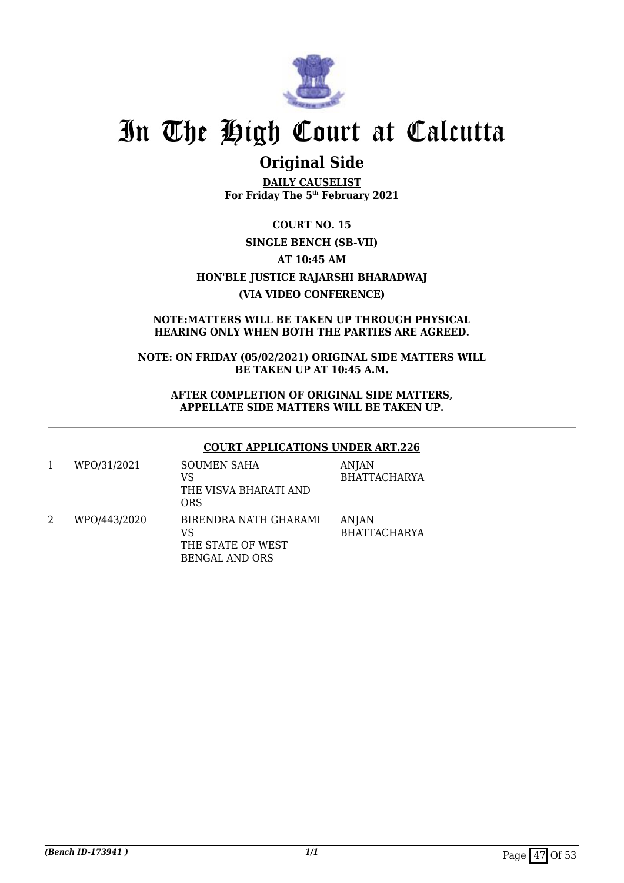

### **Original Side**

**DAILY CAUSELIST For Friday The 5th February 2021**

**COURT NO. 15 SINGLE BENCH (SB-VII) AT 10:45 AM HON'BLE JUSTICE RAJARSHI BHARADWAJ (VIA VIDEO CONFERENCE)**

### **NOTE:MATTERS WILL BE TAKEN UP THROUGH PHYSICAL HEARING ONLY WHEN BOTH THE PARTIES ARE AGREED.**

**NOTE: ON FRIDAY (05/02/2021) ORIGINAL SIDE MATTERS WILL BE TAKEN UP AT 10:45 A.M.**

**AFTER COMPLETION OF ORIGINAL SIDE MATTERS, APPELLATE SIDE MATTERS WILL BE TAKEN UP.**

### **COURT APPLICATIONS UNDER ART.226**

| WPO/31/2021  | <b>SOUMEN SAHA</b><br>VS<br>THE VISVA BHARATI AND<br>ORS                  | <b>ANJAN</b><br><b>BHATTACHARYA</b> |
|--------------|---------------------------------------------------------------------------|-------------------------------------|
| WPO/443/2020 | BIRENDRA NATH GHARAMI<br>VS<br>THE STATE OF WEST<br><b>BENGAL AND ORS</b> | ANJAN<br><b>BHATTACHARYA</b>        |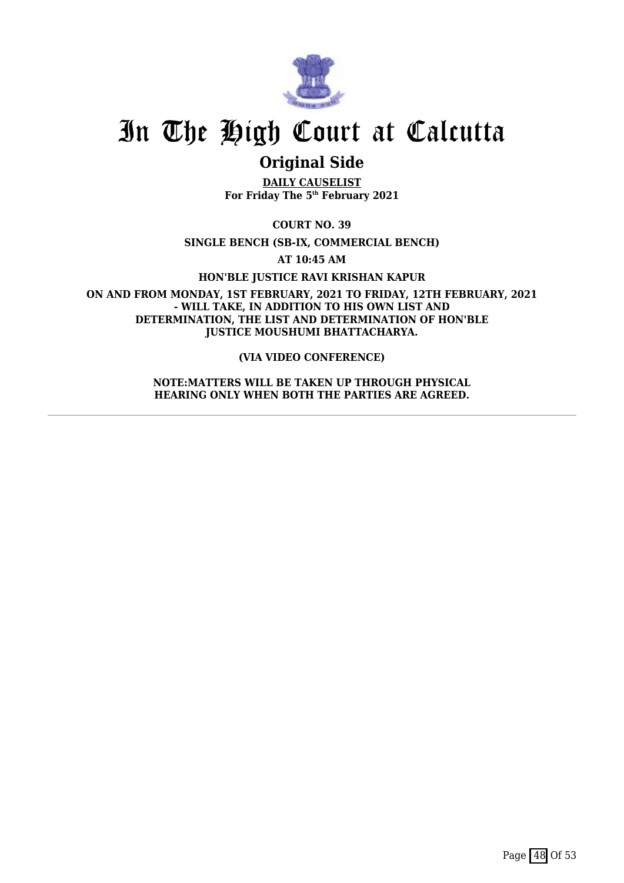

### **Original Side**

**DAILY CAUSELIST For Friday The 5th February 2021**

**COURT NO. 39**

**SINGLE BENCH (SB-IX, COMMERCIAL BENCH)**

**AT 10:45 AM**

**HON'BLE JUSTICE RAVI KRISHAN KAPUR**

**ON AND FROM MONDAY, 1ST FEBRUARY, 2021 TO FRIDAY, 12TH FEBRUARY, 2021 - WILL TAKE, IN ADDITION TO HIS OWN LIST AND DETERMINATION, THE LIST AND DETERMINATION OF HON'BLE JUSTICE MOUSHUMI BHATTACHARYA.**

**(VIA VIDEO CONFERENCE)**

**NOTE:MATTERS WILL BE TAKEN UP THROUGH PHYSICAL HEARING ONLY WHEN BOTH THE PARTIES ARE AGREED.**

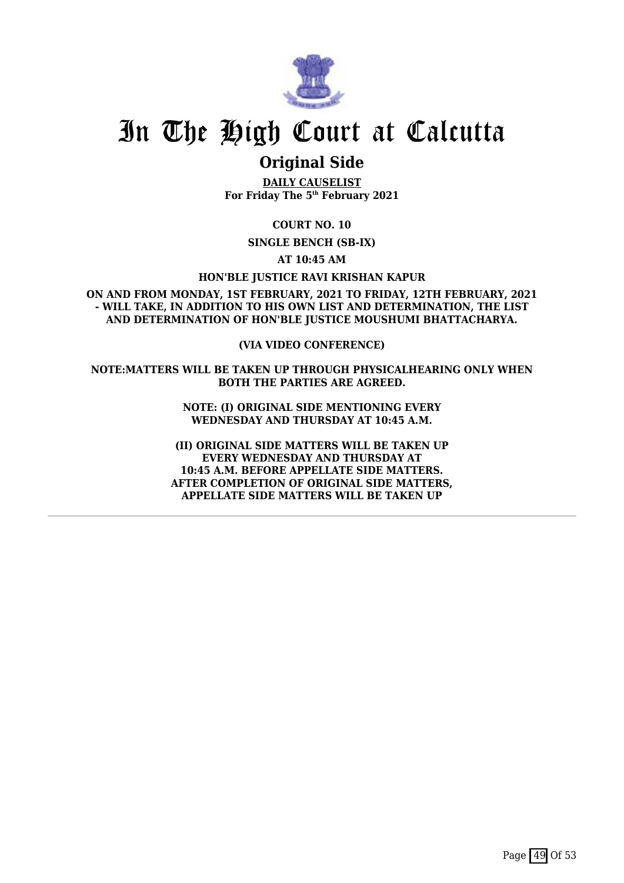

### **Original Side**

**DAILY CAUSELIST For Friday The 5th February 2021**

**COURT NO. 10**

**SINGLE BENCH (SB-IX)**

**AT 10:45 AM**

**HON'BLE JUSTICE RAVI KRISHAN KAPUR**

**ON AND FROM MONDAY, 1ST FEBRUARY, 2021 TO FRIDAY, 12TH FEBRUARY, 2021 - WILL TAKE, IN ADDITION TO HIS OWN LIST AND DETERMINATION, THE LIST AND DETERMINATION OF HON'BLE JUSTICE MOUSHUMI BHATTACHARYA.**

**(VIA VIDEO CONFERENCE)**

**NOTE:MATTERS WILL BE TAKEN UP THROUGH PHYSICALHEARING ONLY WHEN BOTH THE PARTIES ARE AGREED.**

> **NOTE: (I) ORIGINAL SIDE MENTIONING EVERY WEDNESDAY AND THURSDAY AT 10:45 A.M.**

**(II) ORIGINAL SIDE MATTERS WILL BE TAKEN UP EVERY WEDNESDAY AND THURSDAY AT 10:45 A.M. BEFORE APPELLATE SIDE MATTERS. AFTER COMPLETION OF ORIGINAL SIDE MATTERS, APPELLATE SIDE MATTERS WILL BE TAKEN UP**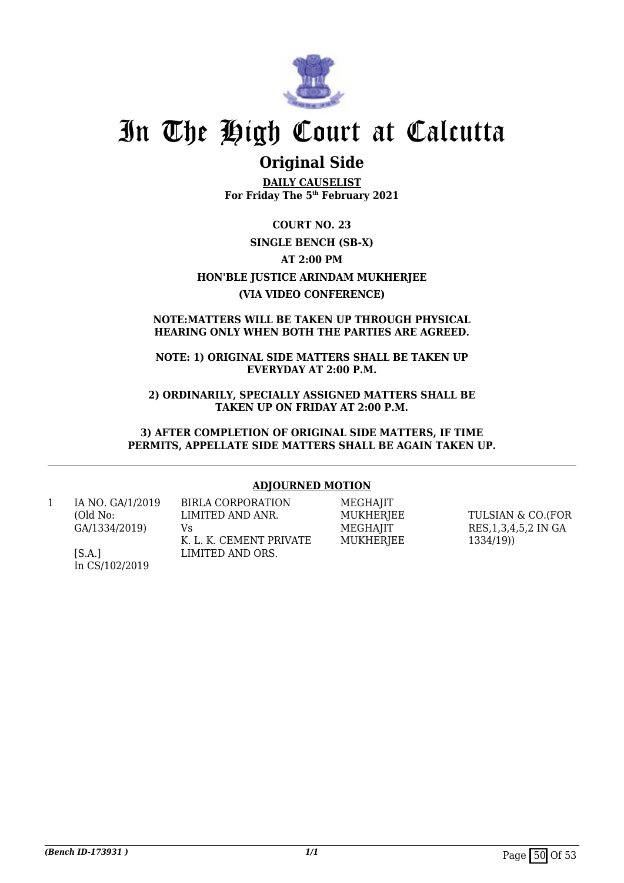

### **Original Side**

**DAILY CAUSELIST For Friday The 5th February 2021**

**COURT NO. 23 SINGLE BENCH (SB-X) AT 2:00 PM HON'BLE JUSTICE ARINDAM MUKHERJEE (VIA VIDEO CONFERENCE)**

### **NOTE:MATTERS WILL BE TAKEN UP THROUGH PHYSICAL HEARING ONLY WHEN BOTH THE PARTIES ARE AGREED.**

### **NOTE: 1) ORIGINAL SIDE MATTERS SHALL BE TAKEN UP EVERYDAY AT 2:00 P.M.**

**2) ORDINARILY, SPECIALLY ASSIGNED MATTERS SHALL BE TAKEN UP ON FRIDAY AT 2:00 P.M.**

**3) AFTER COMPLETION OF ORIGINAL SIDE MATTERS, IF TIME PERMITS, APPELLATE SIDE MATTERS SHALL BE AGAIN TAKEN UP.**

### **ADJOURNED MOTION**

1 IA NO. GA/1/2019 (Old No: GA/1334/2019)

> $[S.A.]$ In CS/102/2019

LIMITED AND ANR. Vs K. L. K. CEMENT PRIVATE LIMITED AND ORS.

BIRLA CORPORATION

MEGHAJIT **MUKHERIEE MEGHAIIT** MUKHERJEE

TULSIAN & CO.(FOR RES,1,3,4,5,2 IN GA 1334/19))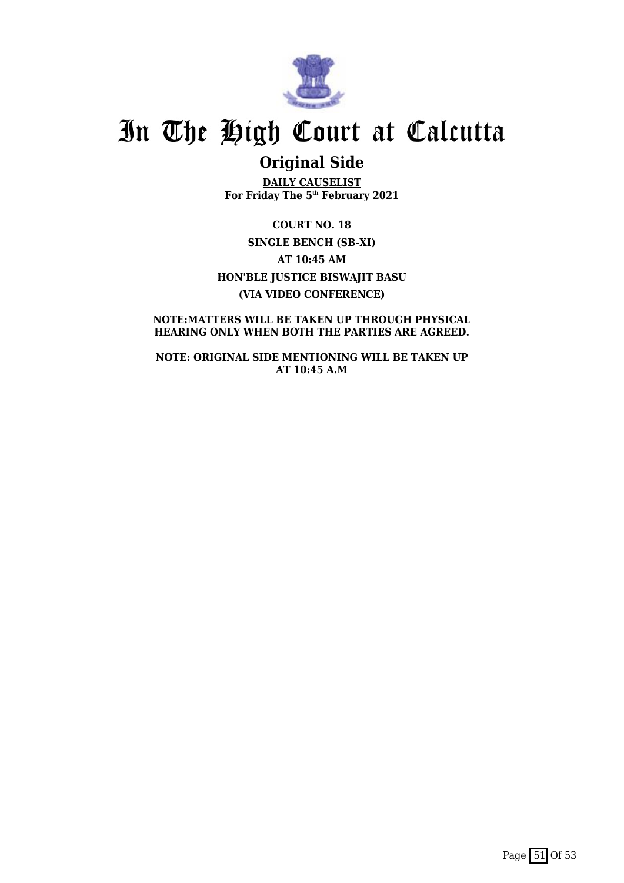

## **Original Side**

**DAILY CAUSELIST For Friday The 5th February 2021**

**COURT NO. 18 SINGLE BENCH (SB-XI) AT 10:45 AM HON'BLE JUSTICE BISWAJIT BASU (VIA VIDEO CONFERENCE)**

**NOTE:MATTERS WILL BE TAKEN UP THROUGH PHYSICAL HEARING ONLY WHEN BOTH THE PARTIES ARE AGREED.**

**NOTE: ORIGINAL SIDE MENTIONING WILL BE TAKEN UP AT 10:45 A.M**

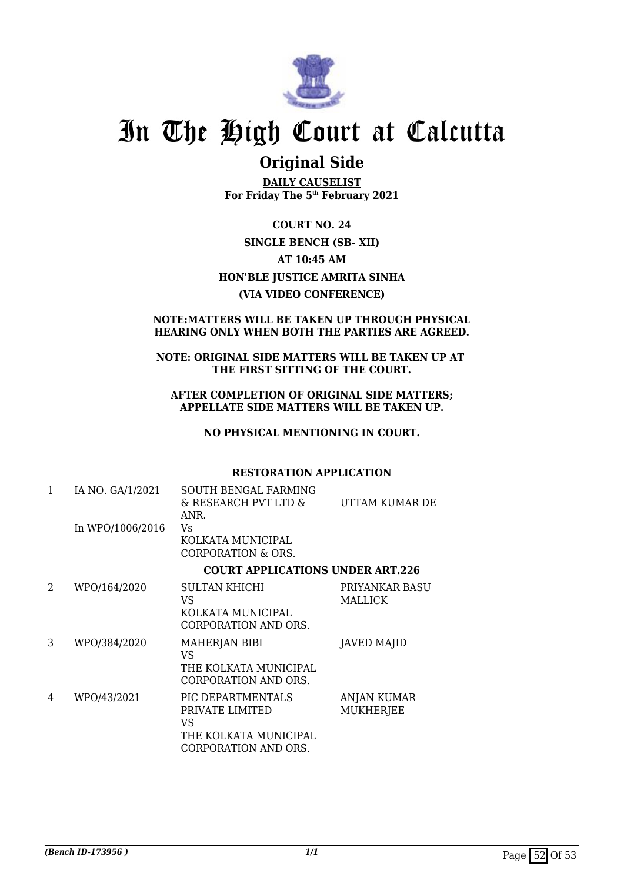

### **Original Side**

**DAILY CAUSELIST For Friday The 5th February 2021**

**COURT NO. 24 SINGLE BENCH (SB- XII) AT 10:45 AM HON'BLE JUSTICE AMRITA SINHA (VIA VIDEO CONFERENCE)**

### **NOTE:MATTERS WILL BE TAKEN UP THROUGH PHYSICAL HEARING ONLY WHEN BOTH THE PARTIES ARE AGREED.**

### **NOTE: ORIGINAL SIDE MATTERS WILL BE TAKEN UP AT THE FIRST SITTING OF THE COURT.**

**AFTER COMPLETION OF ORIGINAL SIDE MATTERS; APPELLATE SIDE MATTERS WILL BE TAKEN UP.**

**NO PHYSICAL MENTIONING IN COURT.**

### **RESTORATION APPLICATION**

| 1              | IA NO. GA/1/2021 | SOUTH BENGAL FARMING<br>& RESEARCH PVT LTD &<br>ANR.                                        | UTTAM KUMAR DE                  |
|----------------|------------------|---------------------------------------------------------------------------------------------|---------------------------------|
|                | In WPO/1006/2016 | Vs<br>KOLKATA MUNICIPAL<br>CORPORATION & ORS.                                               |                                 |
|                |                  | <b>COURT APPLICATIONS UNDER ART.226</b>                                                     |                                 |
| $\mathfrak{D}$ | WPO/164/2020     | SULTAN KHICHI<br>VS<br>KOLKATA MUNICIPAL<br>CORPORATION AND ORS.                            | PRIYANKAR BASU<br>MALLICK       |
| 3              | WPO/384/2020     | <b>MAHERJAN BIBI</b><br>VS<br>THE KOLKATA MUNICIPAL<br>CORPORATION AND ORS.                 | <b>JAVED MAJID</b>              |
| 4              | WPO/43/2021      | PIC DEPARTMENTALS<br>PRIVATE LIMITED<br>VS<br>THE KOLKATA MUNICIPAL<br>CORPORATION AND ORS. | ANJAN KUMAR<br><b>MUKHERJEE</b> |